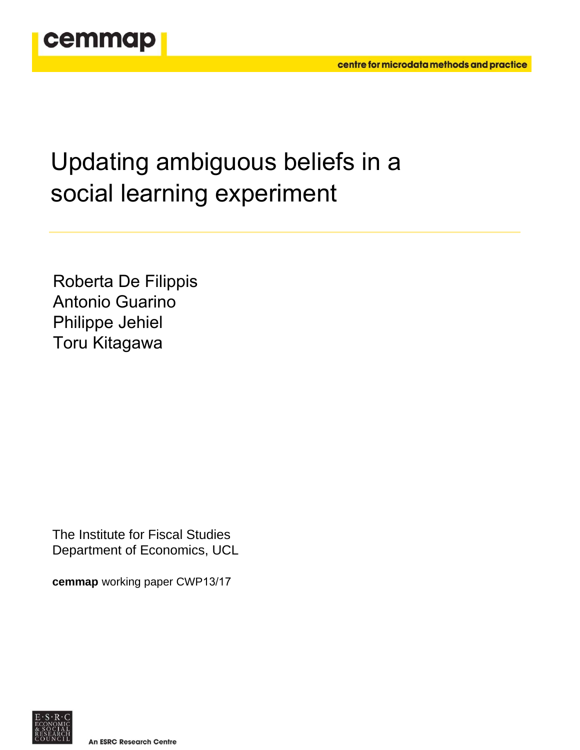

# Updating ambiguous beliefs in a social learning experiment

Roberta De Filippis Antonio Guarino Philippe Jehiel Toru Kitagawa

The Institute for Fiscal Studies Department of Economics, UCL

**cemmap** working paper CWP13/17

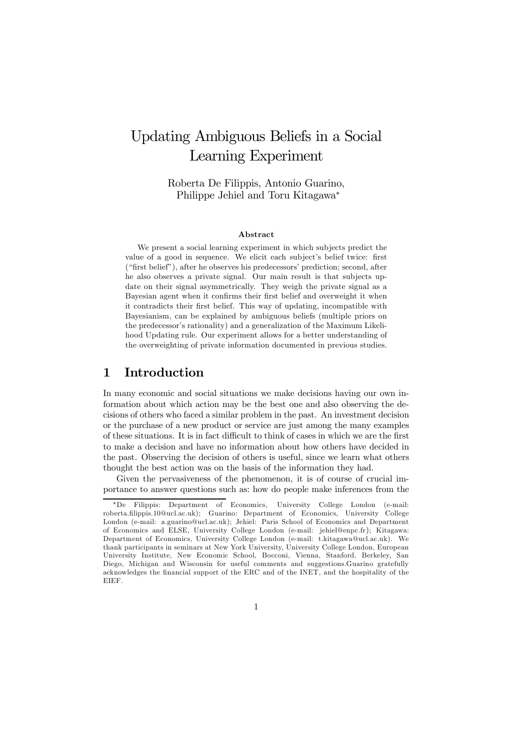# Updating Ambiguous Beliefs in a Social Learning Experiment

Roberta De Filippis, Antonio Guarino, Philippe Jehiel and Toru Kitagawa<sup>\*</sup>

#### Abstract

We present a social learning experiment in which subjects predict the value of a good in sequence. We elicit each subject's belief twice: first ("first belief"), after he observes his predecessors' prediction; second, after he also observes a private signal. Our main result is that subjects update on their signal asymmetrically. They weigh the private signal as a Bayesian agent when it confirms their first belief and overweight it when it contradicts their first belief. This way of updating, incompatible with Bayesianism, can be explained by ambiguous beliefs (multiple priors on the predecessor's rationality) and a generalization of the Maximum Likelihood Updating rule. Our experiment allows for a better understanding of the overweighting of private information documented in previous studies.

### 1 Introduction

In many economic and social situations we make decisions having our own information about which action may be the best one and also observing the decisions of others who faced a similar problem in the past. An investment decision or the purchase of a new product or service are just among the many examples of these situations. It is in fact difficult to think of cases in which we are the first to make a decision and have no information about how others have decided in the past. Observing the decision of others is useful, since we learn what others thought the best action was on the basis of the information they had.

Given the pervasiveness of the phenomenon, it is of course of crucial importance to answer questions such as: how do people make inferences from the

<sup>¤</sup>De Filippis: Department of Economics, University College London (e-mail: roberta.…lippis.10@ucl.ac.uk); Guarino: Department of Economics, University College London (e-mail: a.guarino@ucl.ac.uk); Jehiel: Paris School of Economics and Department of Economics and ELSE, University College London (e-mail: jehiel@enpc.fr); Kitagawa: Department of Economics, University College London (e-mail: t.kitagawa@ucl.ac.uk). We thank participants in seminars at New York University, University College London, European University Institute, New Economic School, Bocconi, Vienna, Stanford, Berkeley, San Diego, Michigan and Wisconsin for useful comments and suggestions.Guarino gratefully acknowledges the financial support of the ERC and of the INET, and the hospitality of the EIEF.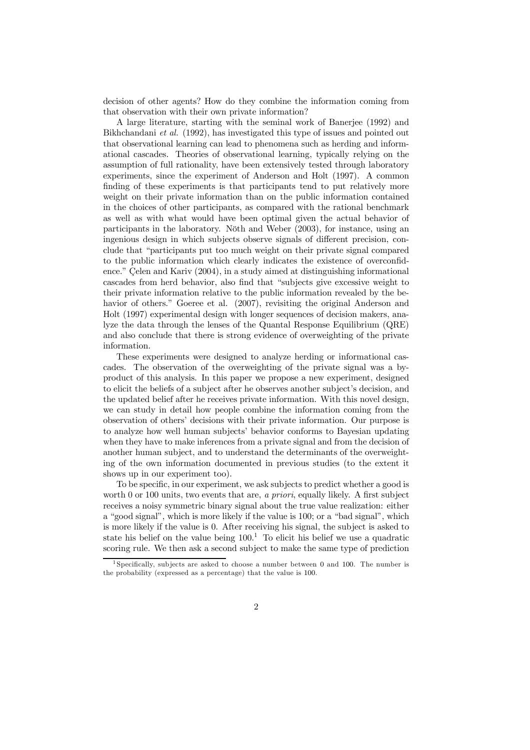decision of other agents? How do they combine the information coming from that observation with their own private information?

A large literature, starting with the seminal work of Banerjee (1992) and Bikhchandani *et al.* (1992), has investigated this type of issues and pointed out that observational learning can lead to phenomena such as herding and informational cascades. Theories of observational learning, typically relying on the assumption of full rationality, have been extensively tested through laboratory experiments, since the experiment of Anderson and Holt (1997). A common finding of these experiments is that participants tend to put relatively more weight on their private information than on the public information contained in the choices of other participants, as compared with the rational benchmark as well as with what would have been optimal given the actual behavior of participants in the laboratory. Nöth and Weber (2003), for instance, using an ingenious design in which subjects observe signals of different precision, conclude that "participants put too much weight on their private signal compared to the public information which clearly indicates the existence of overconfidence." Çelen and Kariv (2004), in a study aimed at distinguishing informational cascades from herd behavior, also find that "subjects give excessive weight to their private information relative to the public information revealed by the behavior of others." Goeree et al. (2007), revisiting the original Anderson and Holt (1997) experimental design with longer sequences of decision makers, analyze the data through the lenses of the Quantal Response Equilibrium (QRE) and also conclude that there is strong evidence of overweighting of the private information.

These experiments were designed to analyze herding or informational cascades. The observation of the overweighting of the private signal was a byproduct of this analysis. In this paper we propose a new experiment, designed to elicit the beliefs of a subject after he observes another subject's decision, and the updated belief after he receives private information. With this novel design, we can study in detail how people combine the information coming from the observation of others' decisions with their private information. Our purpose is to analyze how well human subjects' behavior conforms to Bayesian updating when they have to make inferences from a private signal and from the decision of another human subject, and to understand the determinants of the overweighting of the own information documented in previous studies (to the extent it shows up in our experiment too).

To be specific, in our experiment, we ask subjects to predict whether a good is worth 0 or 100 units, two events that are, *a priori*, equally likely. A first subject receives a noisy symmetric binary signal about the true value realization: either a "good signal", which is more likely if the value is 100; or a "bad signal", which is more likely if the value is 0. After receiving his signal, the subject is asked to state his belief on the value being  $100<sup>1</sup>$  To elicit his belief we use a quadratic scoring rule. We then ask a second subject to make the same type of prediction

<sup>&</sup>lt;sup>1</sup> Specifically, subjects are asked to choose a number between 0 and 100. The number is the probability (expressed as a percentage) that the value is 100.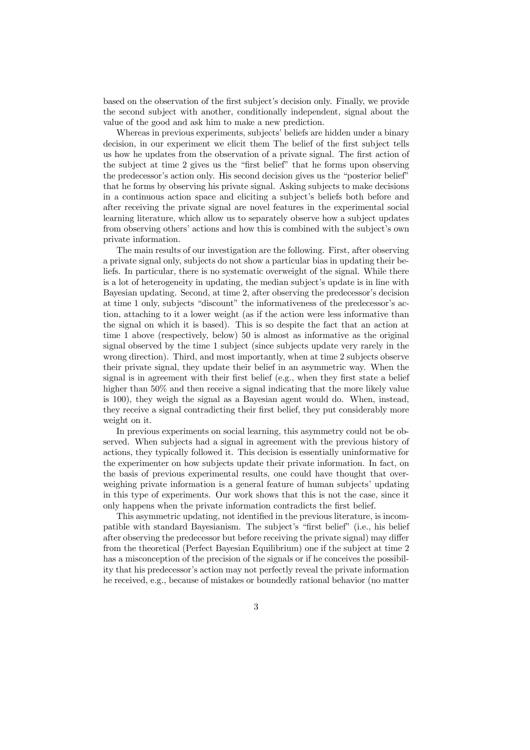based on the observation of the first subject's decision only. Finally, we provide the second subject with another, conditionally independent, signal about the value of the good and ask him to make a new prediction.

Whereas in previous experiments, subjects' beliefs are hidden under a binary decision, in our experiment we elicit them The belief of the first subject tells us how he updates from the observation of a private signal. The first action of the subject at time 2 gives us the "first belief" that he forms upon observing the predecessor's action only. His second decision gives us the "posterior belief" that he forms by observing his private signal. Asking subjects to make decisions in a continuous action space and eliciting a subject's beliefs both before and after receiving the private signal are novel features in the experimental social learning literature, which allow us to separately observe how a subject updates from observing others' actions and how this is combined with the subject's own private information.

The main results of our investigation are the following. First, after observing a private signal only, subjects do not show a particular bias in updating their beliefs. In particular, there is no systematic overweight of the signal. While there is a lot of heterogeneity in updating, the median subject's update is in line with Bayesian updating. Second, at time 2, after observing the predecessor's decision at time 1 only, subjects "discount" the informativeness of the predecessor's action, attaching to it a lower weight (as if the action were less informative than the signal on which it is based). This is so despite the fact that an action at time 1 above (respectively, below) 50 is almost as informative as the original signal observed by the time 1 subject (since subjects update very rarely in the wrong direction). Third, and most importantly, when at time 2 subjects observe their private signal, they update their belief in an asymmetric way. When the signal is in agreement with their first belief  $(e.g.,$  when they first state a belief higher than 50% and then receive a signal indicating that the more likely value is 100), they weigh the signal as a Bayesian agent would do. When, instead, they receive a signal contradicting their first belief, they put considerably more weight on it.

In previous experiments on social learning, this asymmetry could not be observed. When subjects had a signal in agreement with the previous history of actions, they typically followed it. This decision is essentially uninformative for the experimenter on how subjects update their private information. In fact, on the basis of previous experimental results, one could have thought that overweighing private information is a general feature of human subjects' updating in this type of experiments. Our work shows that this is not the case, since it only happens when the private information contradicts the first belief.

This asymmetric updating, not identified in the previous literature, is incompatible with standard Bayesianism. The subject's "first belief" (i.e., his belief after observing the predecessor but before receiving the private signal) may differ from the theoretical (Perfect Bayesian Equilibrium) one if the subject at time 2 has a misconception of the precision of the signals or if he conceives the possibility that his predecessor's action may not perfectly reveal the private information he received, e.g., because of mistakes or boundedly rational behavior (no matter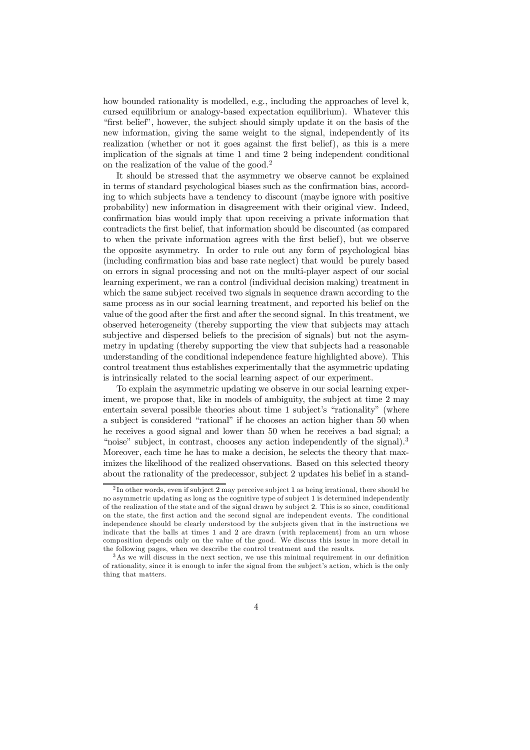how bounded rationality is modelled, e.g., including the approaches of level k, cursed equilibrium or analogy-based expectation equilibrium). Whatever this "first belief", however, the subject should simply update it on the basis of the new information, giving the same weight to the signal, independently of its realization (whether or not it goes against the first belief), as this is a mere implication of the signals at time 1 and time 2 being independent conditional on the realization of the value of the good.<sup>2</sup>

It should be stressed that the asymmetry we observe cannot be explained in terms of standard psychological biases such as the confirmation bias, according to which subjects have a tendency to discount (maybe ignore with positive probability) new information in disagreement with their original view. Indeed, confirmation bias would imply that upon receiving a private information that contradicts the first belief, that information should be discounted (as compared to when the private information agrees with the first belief), but we observe the opposite asymmetry. In order to rule out any form of psychological bias (including confirmation bias and base rate neglect) that would be purely based on errors in signal processing and not on the multi-player aspect of our social learning experiment, we ran a control (individual decision making) treatment in which the same subject received two signals in sequence drawn according to the same process as in our social learning treatment, and reported his belief on the value of the good after the first and after the second signal. In this treatment, we observed heterogeneity (thereby supporting the view that subjects may attach subjective and dispersed beliefs to the precision of signals) but not the asymmetry in updating (thereby supporting the view that subjects had a reasonable understanding of the conditional independence feature highlighted above). This control treatment thus establishes experimentally that the asymmetric updating is intrinsically related to the social learning aspect of our experiment.

To explain the asymmetric updating we observe in our social learning experiment, we propose that, like in models of ambiguity, the subject at time 2 may entertain several possible theories about time 1 subject's "rationality" (where a subject is considered "rational" if he chooses an action higher than 50 when he receives a good signal and lower than 50 when he receives a bad signal; a "noise" subject, in contrast, chooses any action independently of the signal).<sup>3</sup> Moreover, each time he has to make a decision, he selects the theory that maximizes the likelihood of the realized observations. Based on this selected theory about the rationality of the predecessor, subject 2 updates his belief in a stand-

 $2 \text{ In other words, even if subject 2 may perceive subject 1 as being irrational, there should be}$ no asymmetric updating as long as the cognitive type of subject 1 is determined independently of the realization of the state and of the signal drawn by subject 2. This is so since, conditional on the state, the first action and the second signal are independent events. The conditional independence should be clearly understood by the subjects given that in the instructions we indicate that the balls at times 1 and 2 are drawn (with replacement) from an urn whose composition depends only on the value of the good. We discuss this issue in more detail in the following pages, when we describe the control treatment and the results.

 $3As$  we will discuss in the next section, we use this minimal requirement in our definition of rationality, since it is enough to infer the signal from the subject's action, which is the only thing that matters.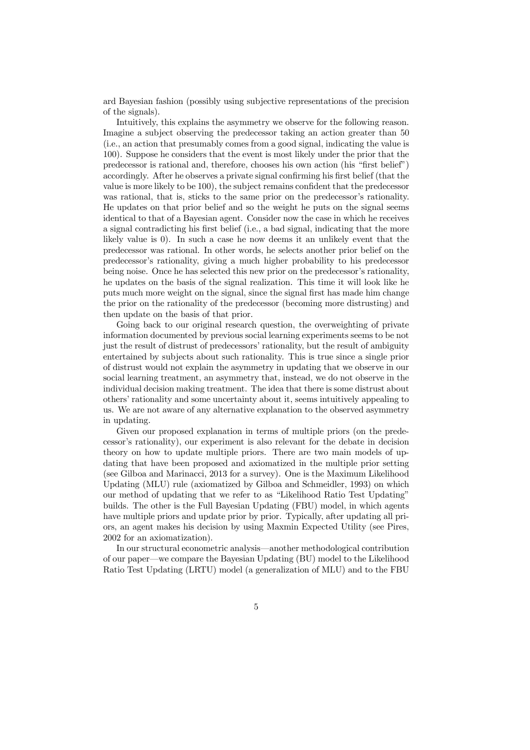ard Bayesian fashion (possibly using subjective representations of the precision of the signals).

Intuitively, this explains the asymmetry we observe for the following reason. Imagine a subject observing the predecessor taking an action greater than 50 (i.e., an action that presumably comes from a good signal, indicating the value is 100). Suppose he considers that the event is most likely under the prior that the predecessor is rational and, therefore, chooses his own action (his "first belief") accordingly. After he observes a private signal confirming his first belief (that the value is more likely to be 100), the subject remains confident that the predecessor was rational, that is, sticks to the same prior on the predecessor's rationality. He updates on that prior belief and so the weight he puts on the signal seems identical to that of a Bayesian agent. Consider now the case in which he receives a signal contradicting his first belief (i.e., a bad signal, indicating that the more likely value is 0). In such a case he now deems it an unlikely event that the predecessor was rational. In other words, he selects another prior belief on the predecessor's rationality, giving a much higher probability to his predecessor being noise. Once he has selected this new prior on the predecessor's rationality, he updates on the basis of the signal realization. This time it will look like he puts much more weight on the signal, since the signal first has made him change the prior on the rationality of the predecessor (becoming more distrusting) and then update on the basis of that prior.

Going back to our original research question, the overweighting of private information documented by previous social learning experiments seems to be not just the result of distrust of predecessors' rationality, but the result of ambiguity entertained by subjects about such rationality. This is true since a single prior of distrust would not explain the asymmetry in updating that we observe in our social learning treatment, an asymmetry that, instead, we do not observe in the individual decision making treatment. The idea that there is some distrust about others' rationality and some uncertainty about it, seems intuitively appealing to us. We are not aware of any alternative explanation to the observed asymmetry in updating.

Given our proposed explanation in terms of multiple priors (on the predecessor's rationality), our experiment is also relevant for the debate in decision theory on how to update multiple priors. There are two main models of updating that have been proposed and axiomatized in the multiple prior setting (see Gilboa and Marinacci, 2013 for a survey). One is the Maximum Likelihood Updating (MLU) rule (axiomatized by Gilboa and Schmeidler, 1993) on which our method of updating that we refer to as "Likelihood Ratio Test Updating" builds. The other is the Full Bayesian Updating (FBU) model, in which agents have multiple priors and update prior by prior. Typically, after updating all priors, an agent makes his decision by using Maxmin Expected Utility (see Pires, 2002 for an axiomatization).

In our structural econometric analysis—another methodological contribution of our paper—we compare the Bayesian Updating (BU) model to the Likelihood Ratio Test Updating (LRTU) model (a generalization of MLU) and to the FBU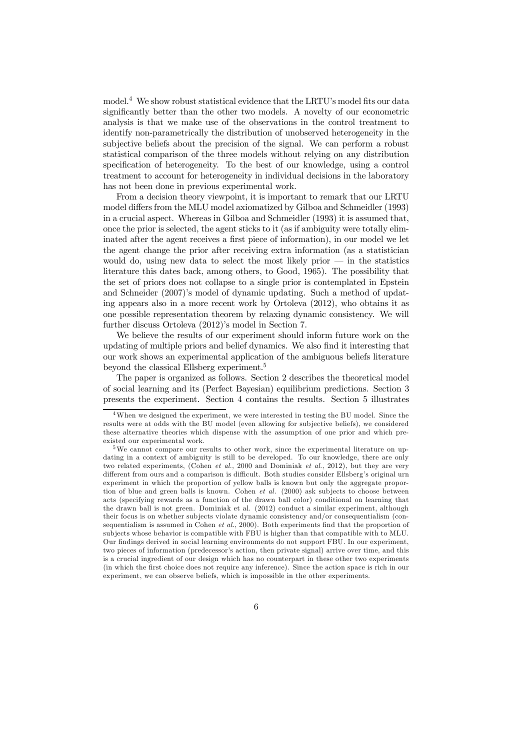model.<sup>4</sup> We show robust statistical evidence that the LRTU's model fits our data significantly better than the other two models. A novelty of our econometric analysis is that we make use of the observations in the control treatment to identify non-parametrically the distribution of unobserved heterogeneity in the subjective beliefs about the precision of the signal. We can perform a robust statistical comparison of the three models without relying on any distribution specification of heterogeneity. To the best of our knowledge, using a control treatment to account for heterogeneity in individual decisions in the laboratory has not been done in previous experimental work.

From a decision theory viewpoint, it is important to remark that our LRTU model differs from the MLU model axiomatized by Gilboa and Schmeidler (1993) in a crucial aspect. Whereas in Gilboa and Schmeidler (1993) it is assumed that, once the prior is selected, the agent sticks to it (as if ambiguity were totally eliminated after the agent receives a first piece of information), in our model we let the agent change the prior after receiving extra information (as a statistician would do, using new data to select the most likely prior  $-$  in the statistics literature this dates back, among others, to Good, 1965). The possibility that the set of priors does not collapse to a single prior is contemplated in Epstein and Schneider (2007)'s model of dynamic updating. Such a method of updating appears also in a more recent work by Ortoleva (2012), who obtains it as one possible representation theorem by relaxing dynamic consistency. We will further discuss Ortoleva (2012)'s model in Section 7.

We believe the results of our experiment should inform future work on the updating of multiple priors and belief dynamics. We also find it interesting that our work shows an experimental application of the ambiguous beliefs literature beyond the classical Ellsberg experiment.<sup>5</sup>

The paper is organized as follows. Section 2 describes the theoretical model of social learning and its (Perfect Bayesian) equilibrium predictions. Section 3 presents the experiment. Section 4 contains the results. Section 5 illustrates

When we designed the experiment, we were interested in testing the BU model. Since the results were at odds with the BU model (even allowing for subjective beliefs), we considered these alternative theories which dispense with the assumption of one prior and which preexisted our experimental work.

<sup>5</sup>We cannot compare our results to other work, since the experimental literature on updating in a context of ambiguity is still to be developed. To our knowledge, there are only two related experiments, (Cohen *et al*., 2000 and Dominiak *et al*., 2012), but they are very different from ours and a comparison is difficult. Both studies consider Ellsberg's original urn experiment in which the proportion of yellow balls is known but only the aggregate proportion of blue and green balls is known. Cohen *et al.* (2000) ask subjects to choose between acts (specifying rewards as a function of the drawn ball color) conditional on learning that the drawn ball is not green. Dominiak et al. (2012) conduct a similar experiment, although their focus is on whether subjects violate dynamic consistency and/or consequentialism (consequentialism is assumed in Cohen  $et al., 2000$ . Both experiments find that the proportion of subjects whose behavior is compatible with FBU is higher than that compatible with to MLU. Our findings derived in social learning environments do not support FBU. In our experiment, two pieces of information (predecessor's action, then private signal) arrive over time, and this is a crucial ingredient of our design which has no counterpart in these other two experiments (in which the first choice does not require any inference). Since the action space is rich in our experiment, we can observe beliefs, which is impossible in the other experiments.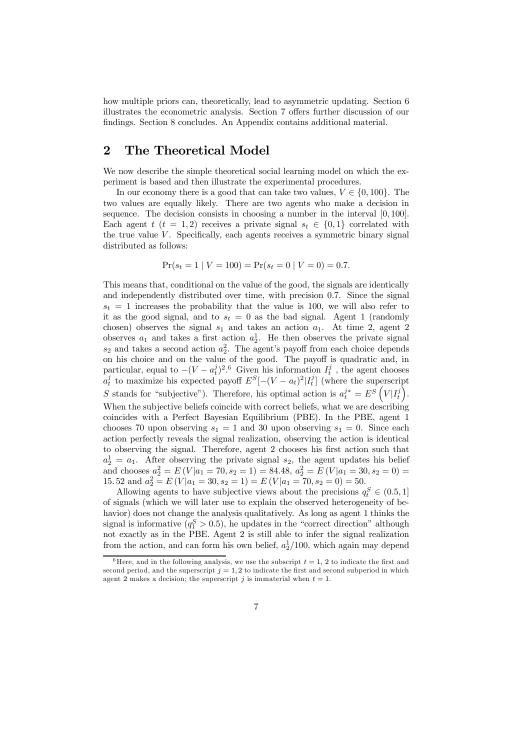how multiple priors can, theoretically, lead to asymmetric updating. Section 6 illustrates the econometric analysis. Section 7 offers further discussion of our findings. Section 8 concludes. An Appendix contains additional material.

### 2 The Theoretical Model

We now describe the simple theoretical social learning model on which the experiment is based and then illustrate the experimental procedures.

In our economy there is a good that can take two values,  $V \in \{0, 100\}$ . The two values are equally likely. There are two agents who make a decision in sequence. The decision consists in choosing a number in the interval  $[0, 100]$ . Each agent  $t$   $(t = 1, 2)$  receives a private signal  $s_t \in \{0, 1\}$  correlated with the true value  $V$ . Specifically, each agents receives a symmetric binary signal distributed as follows:

$$
Pr(s_t = 1 | V = 100) = Pr(s_t = 0 | V = 0) = 0.7.
$$

This means that, conditional on the value of the good, the signals are identically and independently distributed over time, with precision 07. Since the signal  $s_t = 1$  increases the probability that the value is 100, we will also refer to it as the good signal, and to  $s_t = 0$  as the bad signal. Agent 1 (randomly chosen) observes the signal  $s_1$  and takes an action  $a_1$ . At time 2, agent 2 observes  $a_1$  and takes a first action  $a_2^1$ . He then observes the private signal  $s_2$  and takes a second action  $a_2^2$ . The agent's payoff from each choice depends on his choice and on the value of the good. The payoff is quadratic and, in particular, equal to  $-(V - a_t^j)^2$ .<sup>6</sup> Given his information  $I_t^j$ , the agent chooses  $a_t^j$  to maximize his expected payoff  $E^S[-(V-a_t)^2]I_t^j]$  (where the superscript S stands for "subjective"). Therefore, his optimal action is  $a_t^{j*} = E^S\left(V|I_t^j\right)$ . When the subjective beliefs coincide with correct beliefs, what we are describing coincides with a Perfect Bayesian Equilibrium (PBE). In the PBE, agent 1 chooses 70 upon observing  $s_1 = 1$  and 30 upon observing  $s_1 = 0$ . Since each action perfectly reveals the signal realization, observing the action is identical to observing the signal. Therefore, agent 2 chooses his first action such that  $a_2^1 = a_1$ . After observing the private signal  $s_2$ , the agent updates his belief and chooses  $a_2^2 = E(V|a_1 = 70, s_2 = 1) = 84.48, a_2^2 = E(V|a_1 = 30, s_2 = 0) =$ 15.52 and  $a_2^2 = E(V|a_1 = 30, s_2 = 1) = E(V|a_1 = 70, s_2 = 0) = 50.$ 

Allowing agents to have subjective views about the precisions  $q_t^S \in (0.5, 1]$ of signals (which we will later use to explain the observed heterogeneity of behavior) does not change the analysis qualitatively. As long as agent 1 thinks the signal is informative  $(q_1^S > 0.5)$ , he updates in the "correct direction" although not exactly as in the PBE. Agent 2 is still able to infer the signal realization from the action, and can form his own belief,  $a_2^1/100$ , which again may depend

<sup>&</sup>lt;sup>6</sup> Here, and in the following analysis, we use the subscript  $t = 1, 2$  to indicate the first and second period, and the superscript  $j = 1, 2$  to indicate the first and second subperiod in which agent 2 makes a decision; the superscript  $j$  is immaterial when  $t = 1$ .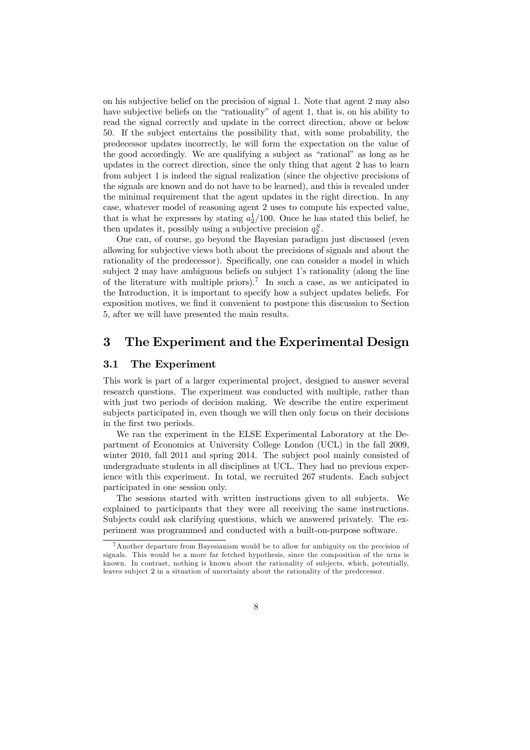on his subjective belief on the precision of signal 1. Note that agent 2 may also have subjective beliefs on the "rationality" of agent 1, that is, on his ability to read the signal correctly and update in the correct direction, above or below 50. If the subject entertains the possibility that, with some probability, the predecessor updates incorrectly, he will form the expectation on the value of the good accordingly. We are qualifying a subject as "rational" as long as he updates in the correct direction, since the only thing that agent 2 has to learn from subject 1 is indeed the signal realization (since the objective precisions of the signals are known and do not have to be learned), and this is revealed under the minimal requirement that the agent updates in the right direction. In any case, whatever model of reasoning agent 2 uses to compute his expected value, that is what he expresses by stating  $a_2^1/100$ . Once he has stated this belief, he then updates it, possibly using a subjective precision  $q_2^S$ .

One can, of course, go beyond the Bayesian paradigm just discussed (even allowing for subjective views both about the precisions of signals and about the rationality of the predecessor). Specifically, one can consider a model in which subject 2 may have ambiguous beliefs on subject 1's rationality (along the line of the literature with multiple priors).<sup>7</sup> In such a case, as we anticipated in the Introduction, it is important to specify how a subject updates beliefs. For exposition motives, we find it convenient to postpone this discussion to Section 5, after we will have presented the main results.

### 3 The Experiment and the Experimental Design

### 3.1 The Experiment

This work is part of a larger experimental project, designed to answer several research questions. The experiment was conducted with multiple, rather than with just two periods of decision making. We describe the entire experiment subjects participated in, even though we will then only focus on their decisions in the first two periods.

We ran the experiment in the ELSE Experimental Laboratory at the Department of Economics at University College London (UCL) in the fall 2009, winter 2010, fall 2011 and spring 2014. The subject pool mainly consisted of undergraduate students in all disciplines at UCL. They had no previous experience with this experiment. In total, we recruited 267 students. Each subject participated in one session only.

The sessions started with written instructions given to all subjects. We explained to participants that they were all receiving the same instructions. Subjects could ask clarifying questions, which we answered privately. The experiment was programmed and conducted with a built-on-purpose software.

<sup>&</sup>lt;sup>7</sup> Another departure from Bayesianism would be to allow for ambiguity on the precision of signals. This would be a more far fetched hypothesis, since the composition of the urns is known. In contrast, nothing is known about the rationality of subjects, which, potentially, leaves subject 2 in a situation of uncertainty about the rationality of the predecessor.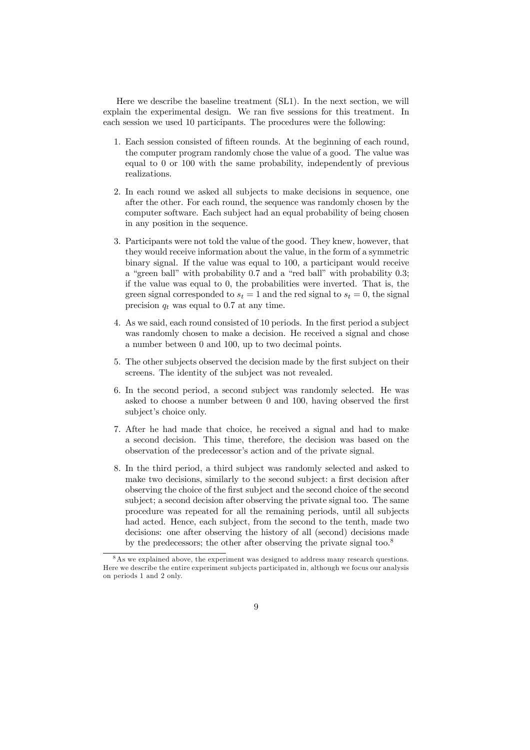Here we describe the baseline treatment (SL1). In the next section, we will explain the experimental design. We ran five sessions for this treatment. In each session we used 10 participants. The procedures were the following:

- 1. Each session consisted of fifteen rounds. At the beginning of each round, the computer program randomly chose the value of a good. The value was equal to 0 or 100 with the same probability, independently of previous realizations.
- 2. In each round we asked all subjects to make decisions in sequence, one after the other. For each round, the sequence was randomly chosen by the computer software. Each subject had an equal probability of being chosen in any position in the sequence.
- 3. Participants were not told the value of the good. They knew, however, that they would receive information about the value, in the form of a symmetric binary signal. If the value was equal to 100, a participant would receive a "green ball" with probability 07 and a "red ball" with probability 03; if the value was equal to 0, the probabilities were inverted. That is, the green signal corresponded to  $s_t = 1$  and the red signal to  $s_t = 0$ , the signal precision  $q_t$  was equal to 0.7 at any time.
- 4. As we said, each round consisted of 10 periods. In the first period a subject was randomly chosen to make a decision. He received a signal and chose a number between 0 and 100, up to two decimal points.
- 5. The other subjects observed the decision made by the first subject on their screens. The identity of the subject was not revealed.
- 6. In the second period, a second subject was randomly selected. He was asked to choose a number between  $0$  and  $100$ , having observed the first subject's choice only.
- 7. After he had made that choice, he received a signal and had to make a second decision. This time, therefore, the decision was based on the observation of the predecessor's action and of the private signal.
- 8. In the third period, a third subject was randomly selected and asked to make two decisions, similarly to the second subject: a first decision after observing the choice of the first subject and the second choice of the second subject; a second decision after observing the private signal too. The same procedure was repeated for all the remaining periods, until all subjects had acted. Hence, each subject, from the second to the tenth, made two decisions: one after observing the history of all (second) decisions made by the predecessors; the other after observing the private signal too.<sup>8</sup>

<sup>&</sup>lt;sup>8</sup>As we explained above, the experiment was designed to address many research questions. Here we describe the entire experiment subjects participated in, although we focus our analysis on periods 1 and 2 only.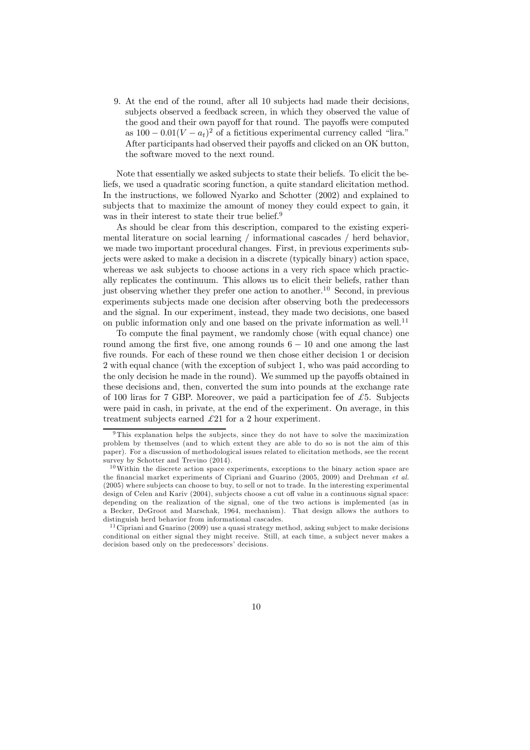9. At the end of the round, after all 10 subjects had made their decisions, subjects observed a feedback screen, in which they observed the value of the good and their own payoff for that round. The payoffs were computed as  $100 - 0.01(V - a_t)^2$  of a fictitious experimental currency called "lira." After participants had observed their payoffs and clicked on an OK button, the software moved to the next round.

Note that essentially we asked subjects to state their beliefs. To elicit the beliefs, we used a quadratic scoring function, a quite standard elicitation method. In the instructions, we followed Nyarko and Schotter (2002) and explained to subjects that to maximize the amount of money they could expect to gain, it was in their interest to state their true belief.<sup>9</sup>

As should be clear from this description, compared to the existing experimental literature on social learning / informational cascades / herd behavior, we made two important procedural changes. First, in previous experiments subjects were asked to make a decision in a discrete (typically binary) action space, whereas we ask subjects to choose actions in a very rich space which practically replicates the continuum. This allows us to elicit their beliefs, rather than just observing whether they prefer one action to another.<sup>10</sup> Second, in previous experiments subjects made one decision after observing both the predecessors and the signal. In our experiment, instead, they made two decisions, one based on public information only and one based on the private information as well.<sup>11</sup>

To compute the final payment, we randomly chose (with equal chance) one round among the first five, one among rounds  $6 - 10$  and one among the last five rounds. For each of these round we then chose either decision 1 or decision 2 with equal chance (with the exception of subject 1, who was paid according to the only decision he made in the round). We summed up the payoffs obtained in these decisions and, then, converted the sum into pounds at the exchange rate of 100 liras for 7 GBP. Moreover, we paid a participation fee of *\$*5. Subjects were paid in cash, in private, at the end of the experiment. On average, in this treatment subjects earned *\$*21 for a 2 hour experiment.

 $9$ This explanation helps the subjects, since they do not have to solve the maximization problem by themselves (and to which extent they are able to do so is not the aim of this paper). For a discussion of methodological issues related to elicitation methods, see the recent survey by Schotter and Trevino  $(2014)$ .

<sup>10</sup>Within the discrete action space experiments, exceptions to the binary action space are the financial market experiments of Cipriani and Guarino (2005, 2009) and Drehman *et al.* (2005) where subjects can choose to buy, to sell or not to trade. In the interesting experimental design of Celen and Kariv (2004), subjects choose a cut off value in a continuous signal space: depending on the realization of the signal, one of the two actions is implemented (as in a Becker, DeGroot and Marschak, 1964, mechanism). That design allows the authors to distinguish herd behavior from informational cascades.

<sup>&</sup>lt;sup>11</sup> Cipriani and Guarino  $(2009)$  use a quasi strategy method, asking subject to make decisions conditional on either signal they might receive. Still, at each time, a subject never makes a decision based only on the predecessors' decisions.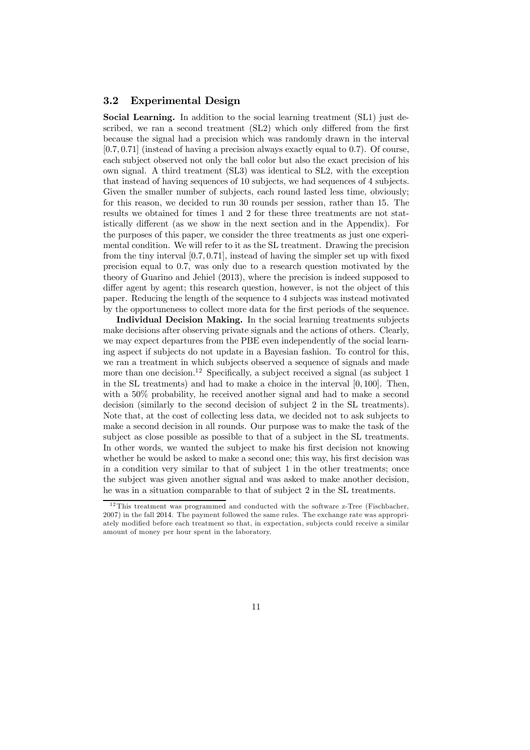### 3.2 Experimental Design

Social Learning. In addition to the social learning treatment (SL1) just described, we ran a second treatment (SL2) which only differed from the first because the signal had a precision which was randomly drawn in the interval  $[0.7, 0.71]$  (instead of having a precision always exactly equal to 0.7). Of course, each subject observed not only the ball color but also the exact precision of his own signal. A third treatment (SL3) was identical to SL2, with the exception that instead of having sequences of 10 subjects, we had sequences of 4 subjects. Given the smaller number of subjects, each round lasted less time, obviously; for this reason, we decided to run 30 rounds per session, rather than 15. The results we obtained for times 1 and 2 for these three treatments are not statistically different (as we show in the next section and in the Appendix). For the purposes of this paper, we consider the three treatments as just one experimental condition. We will refer to it as the SL treatment. Drawing the precision from the tiny interval  $[0.7, 0.71]$ , instead of having the simpler set up with fixed precision equal to 07, was only due to a research question motivated by the theory of Guarino and Jehiel (2013), where the precision is indeed supposed to differ agent by agent; this research question, however, is not the object of this paper. Reducing the length of the sequence to 4 subjects was instead motivated by the opportuneness to collect more data for the first periods of the sequence.

Individual Decision Making. In the social learning treatments subjects make decisions after observing private signals and the actions of others. Clearly, we may expect departures from the PBE even independently of the social learning aspect if subjects do not update in a Bayesian fashion. To control for this, we ran a treatment in which subjects observed a sequence of signals and made more than one decision.<sup>12</sup> Specifically, a subject received a signal (as subject 1 in the SL treatments) and had to make a choice in the interval  $[0, 100]$ . Then, with a 50% probability, he received another signal and had to make a second decision (similarly to the second decision of subject 2 in the SL treatments). Note that, at the cost of collecting less data, we decided not to ask subjects to make a second decision in all rounds. Our purpose was to make the task of the subject as close possible as possible to that of a subject in the SL treatments. In other words, we wanted the subject to make his first decision not knowing whether he would be asked to make a second one; this way, his first decision was in a condition very similar to that of subject 1 in the other treatments; once the subject was given another signal and was asked to make another decision, he was in a situation comparable to that of subject 2 in the SL treatments.

 $^{12}\mathrm{This\ treatment\ was\ programmed\ and\ conducted\ with\ the\ software\ z-Tree\ (Fischbacher,$ 2007) in the fall 2014. The payment followed the same rules. The exchange rate was appropriately modified before each treatment so that, in expectation, subjects could receive a similar amount of money per hour spent in the laboratory.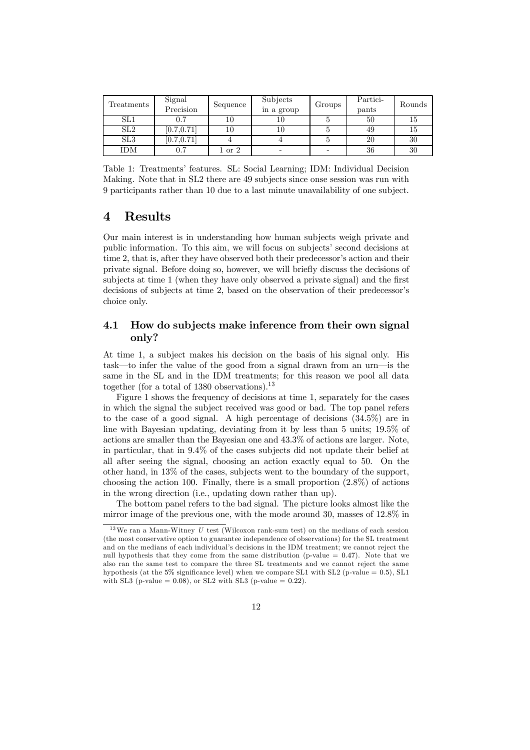| Treatments      | Signal<br>Precision | Sequence         | Subjects<br>in a group   | Groups | Partici-<br>pants | Rounds |
|-----------------|---------------------|------------------|--------------------------|--------|-------------------|--------|
| SL1             | 0.7                 |                  |                          |        | 50                | 15     |
| SL <sub>2</sub> | [0.7, 0.71]         |                  |                          |        | 49                |        |
| SL3             | [0.7, 0.71]         |                  |                          |        | 20                | 30     |
| <b>IDM</b>      | 0.7                 | $1\ {\rm or}\ 2$ | $\overline{\phantom{0}}$ |        | 36                | 30     |

Table 1: Treatments' features. SL: Social Learning; IDM: Individual Decision Making. Note that in SL2 there are 49 subjects since onse session was run with 9 participants rather than 10 due to a last minute unavailability of one subject.

### 4 Results

Our main interest is in understanding how human subjects weigh private and public information. To this aim, we will focus on subjects' second decisions at time 2, that is, after they have observed both their predecessor's action and their private signal. Before doing so, however, we will brie‡y discuss the decisions of subjects at time 1 (when they have only observed a private signal) and the first decisions of subjects at time 2, based on the observation of their predecessor's choice only.

### 4.1 How do subjects make inference from their own signal only?

At time 1, a subject makes his decision on the basis of his signal only. His task—to infer the value of the good from a signal drawn from an urn—is the same in the SL and in the IDM treatments; for this reason we pool all data together (for a total of  $1380$  observations).<sup>13</sup>

Figure 1 shows the frequency of decisions at time 1, separately for the cases in which the signal the subject received was good or bad. The top panel refers to the case of a good signal. A high percentage of decisions (345%) are in line with Bayesian updating, deviating from it by less than 5 units; 195% of actions are smaller than the Bayesian one and 433% of actions are larger. Note, in particular, that in 94% of the cases subjects did not update their belief at all after seeing the signal, choosing an action exactly equal to 50. On the other hand, in 13% of the cases, subjects went to the boundary of the support, choosing the action 100. Finally, there is a small proportion  $(2.8\%)$  of actions in the wrong direction (i.e., updating down rather than up).

The bottom panel refers to the bad signal. The picture looks almost like the mirror image of the previous one, with the mode around 30, masses of 128% in

<sup>&</sup>lt;sup>13</sup>We ran a Mann-Witney *U* test (Wilcoxon rank-sum test) on the medians of each session (the most conservative option to guarantee independence of observations) for the SL treatment and on the medians of each individual's decisions in the IDM treatment; we cannot reject the null hypothesis that they come from the same distribution (p-value  $= 0.47$ ). Note that we also ran the same test to compare the three SL treatments and we cannot reject the same hypothesis (at the 5% significance level) when we compare SL1 with SL2 (p-value = 0.5), SL1 with SL3 (p-value =  $0.08$ ), or SL2 with SL3 (p-value =  $0.22$ ).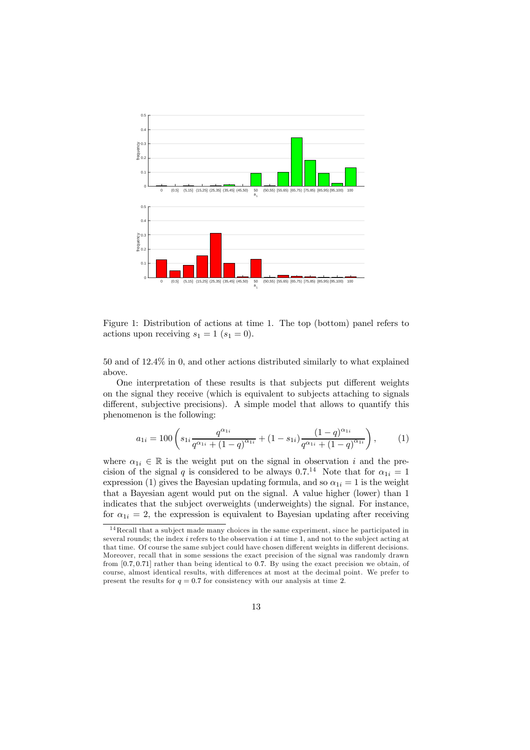

Figure 1: Distribution of actions at time 1. The top (bottom) panel refers to actions upon receiving  $s_1 = 1$   $(s_1 = 0)$ .

50 and of 124% in 0, and other actions distributed similarly to what explained above.

One interpretation of these results is that subjects put different weights on the signal they receive (which is equivalent to subjects attaching to signals different, subjective precisions). A simple model that allows to quantify this phenomenon is the following:

$$
a_{1i} = 100 \left( s_{1i} \frac{q^{\alpha_{1i}}}{q^{\alpha_{1i}} + (1-q)^{\alpha_{1i}}} + (1-s_{1i}) \frac{(1-q)^{\alpha_{1i}}}{q^{\alpha_{1i}} + (1-q)^{\alpha_{1i}}} \right),
$$
 (1)

where  $\alpha_{1i} \in \mathbb{R}$  is the weight put on the signal in observation *i* and the precision of the signal q is considered to be always 0.7.<sup>14</sup> Note that for  $\alpha_{1i} = 1$ expression (1) gives the Bayesian updating formula, and so  $\alpha_{1i} = 1$  is the weight that a Bayesian agent would put on the signal. A value higher (lower) than 1 indicates that the subject overweights (underweights) the signal. For instance, for  $\alpha_{1i} = 2$ , the expression is equivalent to Bayesian updating after receiving

<sup>14</sup> Recall that a subject made many choices in the same experiment, since he participated in several rounds; the index  $i$  refers to the observation  $i$  at time 1, and not to the subject acting at that time. Of course the same subject could have chosen different weights in different decisions. Moreover, recall that in some sessions the exact precision of the signal was randomly drawn from  $[0.7, 0.71]$  rather than being identical to 0.7. By using the exact precision we obtain, of course, almost identical results, with differences at most at the decimal point. We prefer to present the results for  $q = 0.7$  for consistency with our analysis at time 2.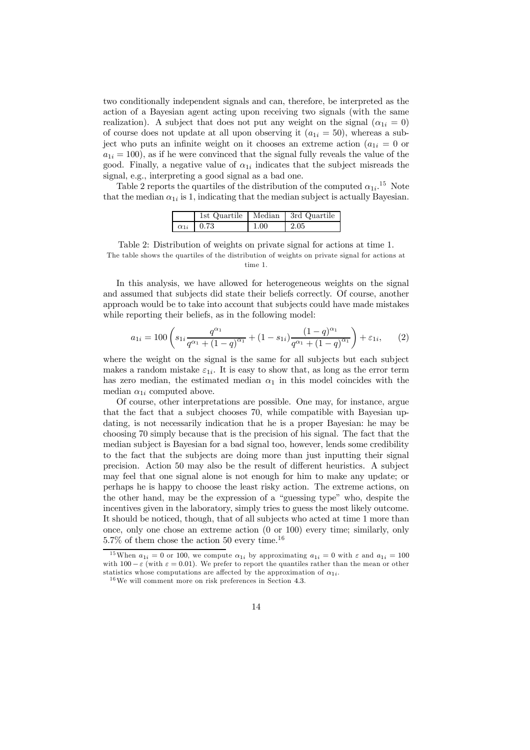two conditionally independent signals and can, therefore, be interpreted as the action of a Bayesian agent acting upon receiving two signals (with the same realization). A subject that does not put any weight on the signal  $(\alpha_{1i} = 0)$ of course does not update at all upon observing it  $(a_{1i} = 50)$ , whereas a subject who puts an infinite weight on it chooses an extreme action ( $a_{1i} = 0$  or  $a_{1i} = 100$ , as if he were convinced that the signal fully reveals the value of the good. Finally, a negative value of  $\alpha_{1i}$  indicates that the subject misreads the signal, e.g., interpreting a good signal as a bad one.

Table 2 reports the quartiles of the distribution of the computed  $\alpha_{1i}$ <sup>15</sup> Note that the median  $\alpha_{1i}$  is 1, indicating that the median subject is actually Bayesian.

|                      |          | 1st Quartile   Median   3rd Quartile |
|----------------------|----------|--------------------------------------|
| $\alpha_{1i}$   0.73 | $1.00\,$ | 2.05                                 |

Table 2: Distribution of weights on private signal for actions at time 1. The table shows the quartiles of the distribution of weights on private signal for actions at time 1.

In this analysis, we have allowed for heterogeneous weights on the signal and assumed that subjects did state their beliefs correctly. Of course, another approach would be to take into account that subjects could have made mistakes while reporting their beliefs, as in the following model:

$$
a_{1i} = 100 \left( s_{1i} \frac{q^{\alpha_1}}{q^{\alpha_1} + (1-q)^{\alpha_1}} + (1-s_{1i}) \frac{(1-q)^{\alpha_1}}{q^{\alpha_1} + (1-q)^{\alpha_1}} \right) + \varepsilon_{1i}, \qquad (2)
$$

where the weight on the signal is the same for all subjects but each subject makes a random mistake  $\varepsilon_{1i}$ . It is easy to show that, as long as the error term has zero median, the estimated median  $\alpha_1$  in this model coincides with the median  $\alpha_{1i}$  computed above.

Of course, other interpretations are possible. One may, for instance, argue that the fact that a subject chooses 70, while compatible with Bayesian updating, is not necessarily indication that he is a proper Bayesian: he may be choosing 70 simply because that is the precision of his signal. The fact that the median subject is Bayesian for a bad signal too, however, lends some credibility to the fact that the subjects are doing more than just inputting their signal precision. Action 50 may also be the result of different heuristics. A subject may feel that one signal alone is not enough for him to make any update; or perhaps he is happy to choose the least risky action. The extreme actions, on the other hand, may be the expression of a "guessing type" who, despite the incentives given in the laboratory, simply tries to guess the most likely outcome. It should be noticed, though, that of all subjects who acted at time 1 more than once, only one chose an extreme action (0 or 100) every time; similarly, only 57% of them chose the action 50 every time.<sup>16</sup>

<sup>&</sup>lt;sup>15</sup>When  $a_{1i} = 0$  or 100, we compute  $\alpha_{1i}$  by approximating  $a_{1i} = 0$  with  $\varepsilon$  and  $a_{1i} = 100$ with  $100 - \varepsilon$  (with  $\varepsilon = 0.01$ ). We prefer to report the quantiles rather than the mean or other statistics whose computations are affected by the approximation of  $\alpha_{1i}$ .

<sup>16</sup>We will comment more on risk preferences in Section 43.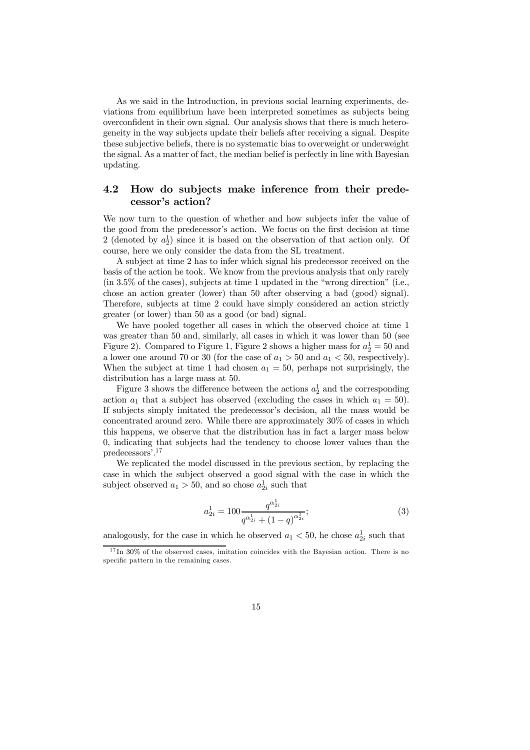As we said in the Introduction, in previous social learning experiments, deviations from equilibrium have been interpreted sometimes as subjects being overconfident in their own signal. Our analysis shows that there is much heterogeneity in the way subjects update their beliefs after receiving a signal. Despite these subjective beliefs, there is no systematic bias to overweight or underweight the signal. As a matter of fact, the median belief is perfectly in line with Bayesian updating.

### 4.2 How do subjects make inference from their predecessor's action?

We now turn to the question of whether and how subjects infer the value of the good from the predecessor's action. We focus on the first decision at time 2 (denoted by  $a_2$ ) since it is based on the observation of that action only. Of course, here we only consider the data from the SL treatment.

A subject at time 2 has to infer which signal his predecessor received on the basis of the action he took. We know from the previous analysis that only rarely (in 35% of the cases), subjects at time 1 updated in the "wrong direction" (i.e., chose an action greater (lower) than 50 after observing a bad (good) signal). Therefore, subjects at time 2 could have simply considered an action strictly greater (or lower) than 50 as a good (or bad) signal.

We have pooled together all cases in which the observed choice at time 1 was greater than 50 and, similarly, all cases in which it was lower than 50 (see Figure 2). Compared to Figure 1, Figure 2 shows a higher mass for  $a_2^1 = 50$  and a lower one around 70 or 30 (for the case of  $a_1 > 50$  and  $a_1 < 50$ , respectively). When the subject at time 1 had chosen  $a_1 = 50$ , perhaps not surprisingly, the distribution has a large mass at 50.

Figure 3 shows the difference between the actions  $a_2^1$  and the corresponding action  $a_1$  that a subject has observed (excluding the cases in which  $a_1 = 50$ ). If subjects simply imitated the predecessor's decision, all the mass would be concentrated around zero. While there are approximately 30% of cases in which this happens, we observe that the distribution has in fact a larger mass below 0, indicating that subjects had the tendency to choose lower values than the predecessors'. 17

We replicated the model discussed in the previous section, by replacing the case in which the subject observed a good signal with the case in which the subject observed  $a_1 > 50$ , and so chose  $a_{2i}^1$  such that

$$
a_{2i}^1 = 100 \frac{q^{\alpha_{2i}^1}}{q^{\alpha_{2i}^1} + (1-q)^{\alpha_{2i}^1}};
$$
\n(3)

analogously, for the case in which he observed  $a_1 < 50$ , he chose  $a_{2i}^1$  such that

<sup>17</sup> In 30% of the observed cases, imitation coincides with the Bayesian action. There is no specific pattern in the remaining cases.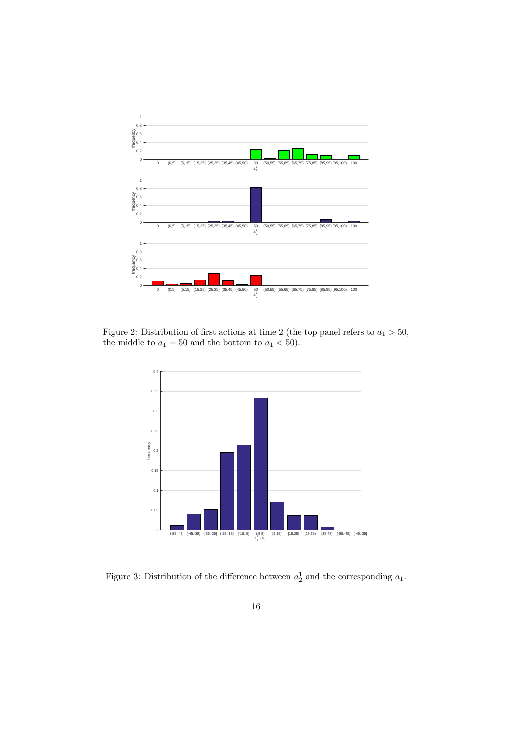

Figure 2: Distribution of first actions at time 2 (the top panel refers to  $a_1 > 50$ , the middle to  $a_1 = 50$  and the bottom to  $a_1 < 50$ ).



Figure 3: Distribution of the difference between  $a_2^1$  and the corresponding  $a_1$ .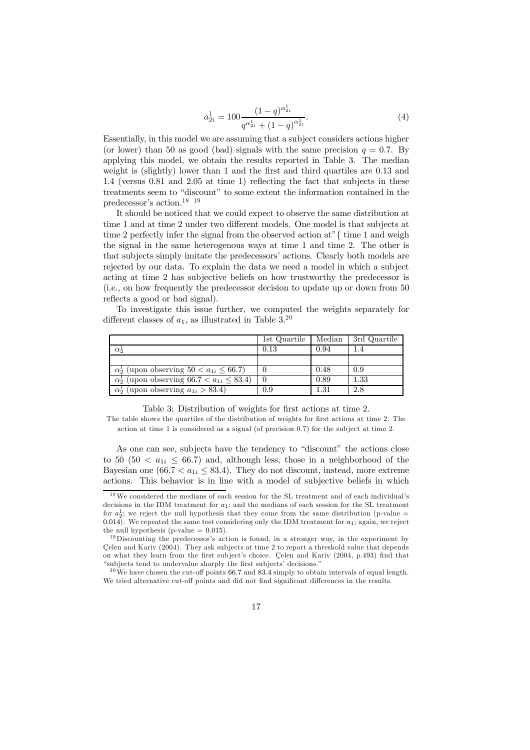$$
a_{2i}^1 = 100 \frac{(1-q)^{\alpha_{2i}^1}}{q^{\alpha_{2i}^1} + (1-q)^{\alpha_{2i}^1}}.
$$
\n(4)

Essentially, in this model we are assuming that a subject considers actions higher (or lower) than 50 as good (bad) signals with the same precision  $q = 0.7$ . By applying this model, we obtain the results reported in Table 3. The median weight is (slightly) lower than  $1$  and the first and third quartiles are  $0.13$  and 1.4 (versus 0.81 and 2.05 at time 1) reflecting the fact that subjects in these treatments seem to "discount" to some extent the information contained in the predecessor's action.18 19

It should be noticed that we could expect to observe the same distribution at time 1 and at time 2 under two different models. One model is that subjects at time 2 perfectly infer the signal from the observed action at"{ time 1 and weigh the signal in the same heterogenous ways at time 1 and time 2. The other is that subjects simply imitate the predecessors' actions. Clearly both models are rejected by our data. To explain the data we need a model in which a subject acting at time 2 has subjective beliefs on how trustworthy the predecessor is (i.e., on how frequently the predecessor decision to update up or down from 50 reflects a good or bad signal).

To investigate this issue further, we computed the weights separately for different classes of  $a_1$ , as illustrated in Table 3.<sup>20</sup>

|                                                            | 1st Quartile | Median | 3rd Quartile |
|------------------------------------------------------------|--------------|--------|--------------|
| $\alpha_2^*$                                               | 0.13         | 0.94   |              |
|                                                            |              |        |              |
| $\alpha_2^1$ (upon observing $50 < a_{1i} < 66.7$ )        |              | 0.48   | 0.9          |
| $\alpha_2^1$ (upon observing 66.7 $\lt a_{1i} \leq 83.4$ ) |              | 0.89   | $1.33\,$     |
| $\alpha_2^1$ (upon observing $a_{1i} > 83.4$ )             | 0.9          | 1.31   | 2.8          |

Table 3: Distribution of weights for first actions at time 2.

The table shows the quartiles of the distribution of weights for first actions at time 2. The action at time 1 is considered as a signal (of precision 0.7) for the subject at time 2.

As one can see, subjects have the tendency to "discount" the actions close to 50 (50  $\lt a_{1i} \leq 66.7$ ) and, although less, those in a neighborhood of the Bayesian one (66.7  $\lt a_{1i} \leq 83.4$ ). They do not discount, instead, more extreme actions. This behavior is in line with a model of subjective beliefs in which

<sup>18</sup>We considered the medians of each session for the SL treatment and of each individual's decisions in the IDM treatment for  $a_1$ ; and the medians of each session for the SL treatment for  $a_2^1$ ; we reject the null hypothesis that they come from the same distribution (p-value = 0.014). We repeated the same test considering only the IDM treatment for  $a_1$ ; again, we reject the null hypothesis (p-value  $= 0.015$ ).

<sup>&</sup>lt;sup>19</sup>Discounting the predecessor's action is found, in a stronger way, in the experiment by Çelen and Kariv (2004). They ask subjects at time 2 to report a threshold value that depends on what they learn from the first subject's choice. Celen and Kariv  $(2004, p.493)$  find that "subjects tend to undervalue sharply the first subjects' decisions."

 $20$  We have chosen the cut-off points 66.7 and 83.4 simply to obtain intervals of equal length. We tried alternative cut-off points and did not find significant differences in the results.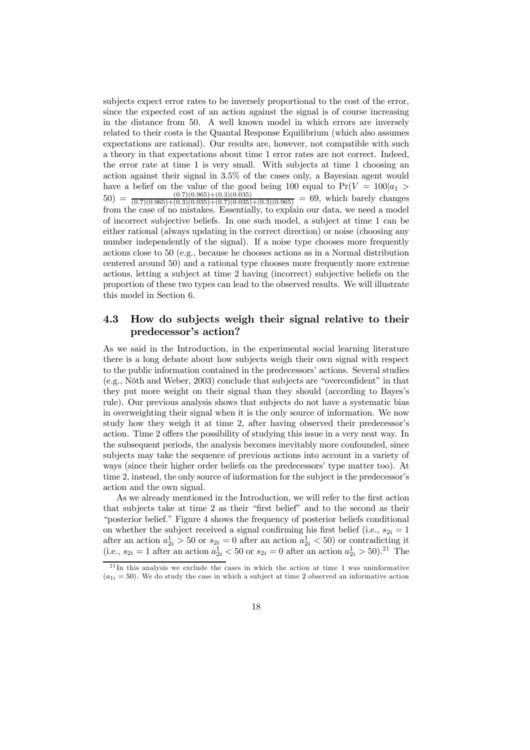subjects expect error rates to be inversely proportional to the cost of the error, since the expected cost of an action against the signal is of course increasing in the distance from 50. A well known model in which errors are inversely related to their costs is the Quantal Response Equilibrium (which also assumes expectations are rational). Our results are, however, not compatible with such a theory in that expectations about time 1 error rates are not correct. Indeed, the error rate at time 1 is very small. With subjects at time 1 choosing an action against their signal in 35% of the cases only, a Bayesian agent would have a belief on the value of the good being 100 equal to  $Pr(V = 100|a_1)$  $50) = \frac{(0.7)(0.965)+(0.3)(0.035)}{(0.7)(0.965)+(0.3)(0.035)+(0.7)(0.035)+(0.3)(0.965)} = 69$ , which barely changes from the case of no mistakes. Essentially, to explain our data, we need a model of incorrect subjective beliefs. In one such model, a subject at time 1 can be either rational (always updating in the correct direction) or noise (choosing any number independently of the signal). If a noise type chooses more frequently actions close to 50 (e.g., because he chooses actions as in a Normal distribution centered around 50) and a rational type chooses more frequently more extreme actions, letting a subject at time 2 having (incorrect) subjective beliefs on the proportion of these two types can lead to the observed results. We will illustrate this model in Section 6.

### 4.3 How do subjects weigh their signal relative to their predecessor's action?

As we said in the Introduction, in the experimental social learning literature there is a long debate about how subjects weigh their own signal with respect to the public information contained in the predecessors' actions. Several studies  $(e.g., \nNoth and Weber, 2003)$  conclude that subjects are "overconfident" in that they put more weight on their signal than they should (according to Bayes's rule). Our previous analysis shows that subjects do not have a systematic bias in overweighting their signal when it is the only source of information. We now study how they weigh it at time 2, after having observed their predecessor's action. Time 2 offers the possibility of studying this issue in a very neat way. In the subsequent periods, the analysis becomes inevitably more confounded, since subjects may take the sequence of previous actions into account in a variety of ways (since their higher order beliefs on the predecessors' type matter too). At time 2, instead, the only source of information for the subject is the predecessor's action and the own signal.

As we already mentioned in the Introduction, we will refer to the first action that subjects take at time 2 as their "first belief" and to the second as their "posterior belief." Figure 4 shows the frequency of posterior beliefs conditional on whether the subject received a signal confirming his first belief (i.e.,  $s_{2i} = 1$ ) after an action  $a_{2i}^1 > 50$  or  $s_{2i} = 0$  after an action  $a_{2i}^1 < 50$ ) or contradicting it (i.e.,  $s_{2i} = 1$  after an action  $a_{2i}^1 < 50$  or  $s_{2i} = 0$  after an action  $a_{2i}^1 > 50$ ).<sup>21</sup> The

 $21$  In this analysis we exclude the cases in which the action at time 1 was uninformative  $(a_{1i} = 50)$ . We do study the case in which a subject at time 2 observed an informative action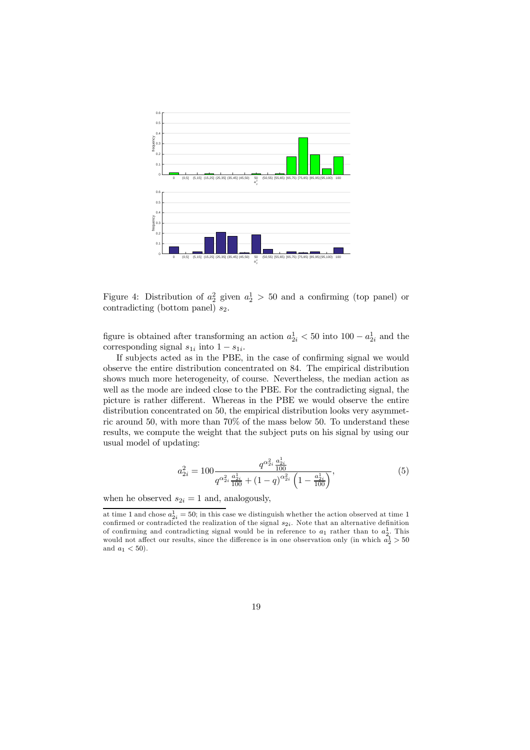

Figure 4: Distribution of  $a_2^2$  given  $a_2^1 > 50$  and a confirming (top panel) or contradicting (bottom panel)  $s_2$ .

figure is obtained after transforming an action  $a_{2i}^1 < 50$  into  $100 - a_{2i}^1$  and the corresponding signal  $s_{1i}$  into  $1 - s_{1i}$ .

If subjects acted as in the PBE, in the case of confirming signal we would observe the entire distribution concentrated on 84. The empirical distribution shows much more heterogeneity, of course. Nevertheless, the median action as well as the mode are indeed close to the PBE. For the contradicting signal, the picture is rather different. Whereas in the PBE we would observe the entire distribution concentrated on 50, the empirical distribution looks very asymmetric around 50, with more than 70% of the mass below 50. To understand these results, we compute the weight that the subject puts on his signal by using our usual model of updating:

$$
a_{2i}^2 = 100 \frac{q^{\alpha_{2i}^2} \frac{a_{2i}^1}{100}}{q^{\alpha_{2i}^2} \frac{a_{2i}^1}{100} + (1-q)^{\alpha_{2i}^2} \left(1 - \frac{a_{2i}^1}{100}\right)},
$$
\n
$$
(5)
$$

when he observed  $s_{2i} = 1$  and, analogously,

at time 1 and chose  $a_{2i}^1 = 50$ ; in this case we distinguish whether the action observed at time 1 confirmed or contradicted the realization of the signal  $s_{2i}$ . Note that an alternative definition of confirming and contradicting signal would be in reference to  $a_1$  rather than to  $a_2^1$ . This would not affect our results, since the difference is in one observation only (in which  $a_2^1 > 50$ and  $a_1 < 50$ ).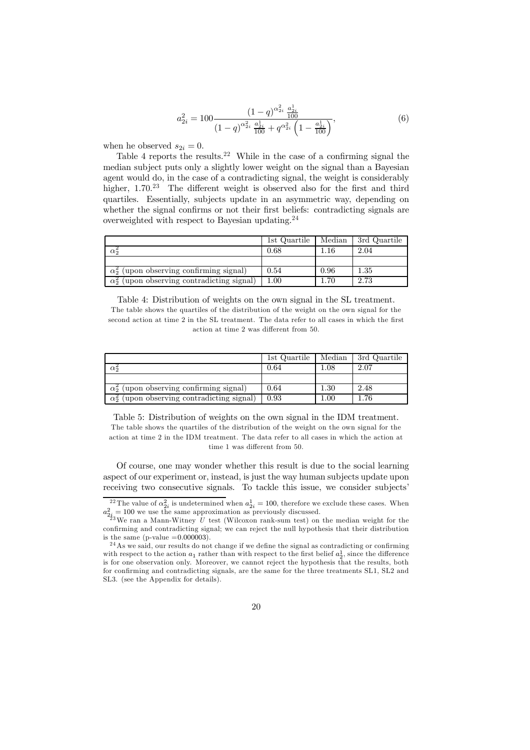$$
a_{2i}^2 = 100 \frac{\left(1-q\right)^{\alpha_{2i}^2} \frac{a_{2i}^1}{100}}{\left(1-q\right)^{\alpha_{2i}^2} \frac{a_{2i}^1}{100} + q^{\alpha_{2i}^2} \left(1 - \frac{a_{2i}^1}{100}\right)},\tag{6}
$$

when he observed  $s_{2i} = 0$ .

Table 4 reports the results.<sup>22</sup> While in the case of a confirming signal the median subject puts only a slightly lower weight on the signal than a Bayesian agent would do, in the case of a contradicting signal, the weight is considerably higher,  $1.70^{23}$  The different weight is observed also for the first and third quartiles. Essentially, subjects update in an asymmetric way, depending on whether the signal confirms or not their first beliefs: contradicting signals are overweighted with respect to Bayesian updating.<sup>24</sup>

|                                                    | 1st Quartile | Median | 3rd Quartile |
|----------------------------------------------------|--------------|--------|--------------|
| $\alpha$ <sup>5</sup>                              | $0.68\,$     | .16    | 2.04         |
|                                                    |              |        |              |
| $\alpha_2^2$ (upon observing confirming signal)    | 0.54         | 0.96   | $1.35\,$     |
| $\alpha_2^2$ (upon observing contradicting signal) | $1.00\,$     | 1.70   | 2.73         |

Table 4: Distribution of weights on the own signal in the SL treatment. The table shows the quartiles of the distribution of the weight on the own signal for the second action at time 2 in the SL treatment. The data refer to all cases in which the first action at time 2 was different from 50.

|                                                    | 1st Quartile | Median   | 3rd Quartile |
|----------------------------------------------------|--------------|----------|--------------|
| $\alpha_2^2$                                       | 0.64         | 0.1      | 2.07         |
|                                                    |              |          |              |
| $\alpha_2^2$ (upon observing confirming signal)    | 0.64         | $1.30\,$ | 2.48         |
| $\alpha_2^2$ (upon observing contradicting signal) | 0.93         | 00.1     | 1.76         |

Table 5: Distribution of weights on the own signal in the IDM treatment. The table shows the quartiles of the distribution of the weight on the own signal for the action at time 2 in the IDM treatment. The data refer to all cases in which the action at time 1 was different from 50.

Of course, one may wonder whether this result is due to the social learning aspect of our experiment or, instead, is just the way human subjects update upon receiving two consecutive signals. To tackle this issue, we consider subjects'

<sup>&</sup>lt;sup>22</sup> The value of  $\alpha_{2i}^2$  is undetermined when  $a_{2i}^1 = 100$ , therefore we exclude these cases. When  $a_{2i}^2 = 100$  we use the same approximation as previously discussed.<br><sup>23</sup>We ran a Mann-Witney *U* test (Wilcoxon rank-sum test) on the median weight for the

confirming and contradicting signal; we can reject the null hypothesis that their distribution is the same (p-value  $=0.000003$ ).

<sup>&</sup>lt;sup>24</sup>As we said, our results do not change if we define the signal as contradicting or confirming with respect to the action  $a_1$  rather than with respect to the first belief  $a_2^1$ , since the difference is for one observation only. Moreover, we cannot reject the hypothesis that the results, both for confirming and contradicting signals, are the same for the three treatments  $SL1$ ,  $SL2$  and SL3. (see the Appendix for details).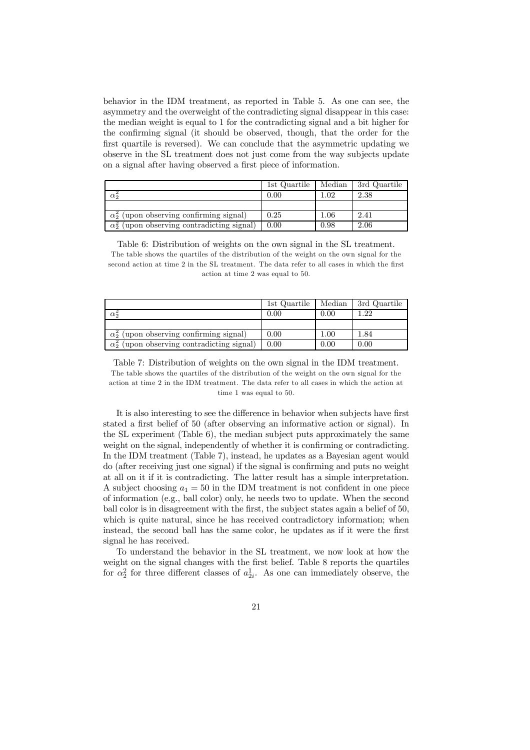behavior in the IDM treatment, as reported in Table 5. As one can see, the asymmetry and the overweight of the contradicting signal disappear in this case: the median weight is equal to 1 for the contradicting signal and a bit higher for the confirming signal (it should be observed, though, that the order for the first quartile is reversed). We can conclude that the asymmetric updating we observe in the SL treatment does not just come from the way subjects update on a signal after having observed a first piece of information.

|                                                    | 1st Quartile | Median   | 3rd Quartile |
|----------------------------------------------------|--------------|----------|--------------|
| $\alpha$ <sup>5</sup>                              | 0.00         | $1.02\,$ | 2.38         |
|                                                    |              |          |              |
| $\alpha_2^2$ (upon observing confirming signal)    | 0.25         | $1.06\,$ | 2.41         |
| $\alpha_2^2$ (upon observing contradicting signal) | 0.00         | 0.98     | 2.06         |

Table 6: Distribution of weights on the own signal in the SL treatment. The table shows the quartiles of the distribution of the weight on the own signal for the second action at time 2 in the SL treatment. The data refer to all cases in which the first action at time 2 was equal to 50.

|                                                    | 1st Quartile | Median | 3rd Quartile |
|----------------------------------------------------|--------------|--------|--------------|
| $\alpha_2^2$                                       | 0.00         | 0.00   | 1.22         |
|                                                    |              |        |              |
| $\alpha_2^2$ (upon observing confirming signal)    | 0.00         | 1.00   | 1.84         |
| $\alpha_2^2$ (upon observing contradicting signal) | 0.00         | 0.00   | 0.00         |

Table 7: Distribution of weights on the own signal in the IDM treatment. The table shows the quartiles of the distribution of the weight on the own signal for the action at time 2 in the IDM treatment. The data refer to all cases in which the action at time 1 was equal to 50.

It is also interesting to see the difference in behavior when subjects have first stated a first belief of 50 (after observing an informative action or signal). In the SL experiment (Table 6), the median subject puts approximately the same weight on the signal, independently of whether it is confirming or contradicting. In the IDM treatment (Table 7), instead, he updates as a Bayesian agent would do (after receiving just one signal) if the signal is confirming and puts no weight at all on it if it is contradicting. The latter result has a simple interpretation. A subject choosing  $a_1 = 50$  in the IDM treatment is not confident in one piece of information (e.g., ball color) only, he needs two to update. When the second ball color is in disagreement with the first, the subject states again a belief of 50, which is quite natural, since he has received contradictory information; when instead, the second ball has the same color, he updates as if it were the first signal he has received.

To understand the behavior in the SL treatment, we now look at how the weight on the signal changes with the first belief. Table 8 reports the quartiles for  $\alpha_2^2$  for three different classes of  $a_{2i}^1$ . As one can immediately observe, the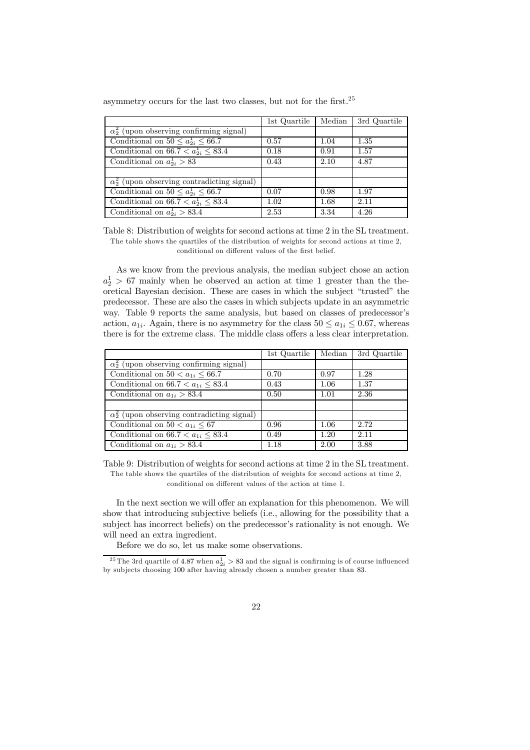|  | asymmetry occurs for the last two classes, but not for the first. <sup>25</sup> |  |  |  |  |  |
|--|---------------------------------------------------------------------------------|--|--|--|--|--|
|--|---------------------------------------------------------------------------------|--|--|--|--|--|

|                                                    | 1st Quartile | Median | 3rd Quartile |
|----------------------------------------------------|--------------|--------|--------------|
| $\alpha_2^2$ (upon observing confirming signal)    |              |        |              |
| Conditional on $50 \le a_{2i}^1 \le 66.7$          | 0.57         | 1.04   | 1.35         |
| Conditional on $66.7 < a_{2i}^1 \leq 83.4$         | 0.18         | 0.91   | 1.57         |
| Conditional on $a_{2i}^1 > 83$                     | 0.43         | 2.10   | 4.87         |
|                                                    |              |        |              |
| $\alpha_2^2$ (upon observing contradicting signal) |              |        |              |
| Conditional on $50 \le a_{2i}^1 \le 66.7$          | 0.07         | 0.98   | 1.97         |
| Conditional on $66.7 < a_{2i}^1 \leq 83.4$         | 1.02         | 1.68   | 2.11         |
| Conditional on $a_{2i}^1 > 83.4$                   | 2.53         | 3.34   | 4.26         |

Table 8: Distribution of weights for second actions at time 2 in the SL treatment. The table shows the quartiles of the distribution of weights for second actions at time 2, conditional on different values of the first belief.

As we know from the previous analysis, the median subject chose an action  $a_2^1 > 67$  mainly when he observed an action at time 1 greater than the theoretical Bayesian decision. These are cases in which the subject "trusted" the predecessor. These are also the cases in which subjects update in an asymmetric way. Table 9 reports the same analysis, but based on classes of predecessor's action,  $a_{1i}$ . Again, there is no asymmetry for the class  $50 \le a_{1i} \le 0.67$ , whereas there is for the extreme class. The middle class offers a less clear interpretation.

|                                                    | 1st Quartile | Median | 3rd Quartile |
|----------------------------------------------------|--------------|--------|--------------|
| $\alpha_2^2$ (upon observing confirming signal)    |              |        |              |
| Conditional on $50 < a_{1i} < 66.7$                | 0.70         | 0.97   | 1.28         |
| Conditional on $66.7 < a_{1i} < 83.4$              | 0.43         | 1.06   | 1.37         |
| Conditional on $a_{1i} > 83.4$                     | 0.50         | 1.01   | 2.36         |
|                                                    |              |        |              |
| $\alpha_2^2$ (upon observing contradicting signal) |              |        |              |
| Conditional on $50 < a_{1i} < 67$                  | 0.96         | 1.06   | 2.72         |
| Conditional on $66.7 < a_{1i} \leq 83.4$           | 0.49         | 1.20   | 2.11         |
| Conditional on $a_{1i} > 83.4$                     | 1.18         | 2.00   | 3.88         |

Table 9: Distribution of weights for second actions at time 2 in the SL treatment. The table shows the quartiles of the distribution of weights for second actions at time 2, conditional on different values of the action at time 1.

In the next section we will offer an explanation for this phenomenon. We will show that introducing subjective beliefs (i.e., allowing for the possibility that a subject has incorrect beliefs) on the predecessor's rationality is not enough. We will need an extra ingredient.

Before we do so, let us make some observations.

<sup>&</sup>lt;sup>25</sup> The 3rd quartile of 4.87 when  $a_{2i}^1 > 83$  and the signal is confirming is of course influenced by subjects choosing 100 after having already chosen a number greater than 83.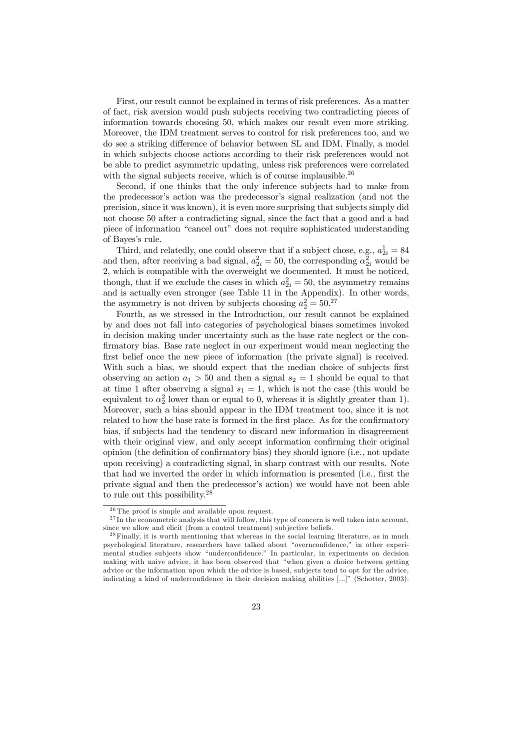First, our result cannot be explained in terms of risk preferences. As a matter of fact, risk aversion would push subjects receiving two contradicting pieces of information towards choosing 50, which makes our result even more striking. Moreover, the IDM treatment serves to control for risk preferences too, and we do see a striking difference of behavior between SL and IDM. Finally, a model in which subjects choose actions according to their risk preferences would not be able to predict asymmetric updating, unless risk preferences were correlated with the signal subjects receive, which is of course implausible. $26$ 

Second, if one thinks that the only inference subjects had to make from the predecessor's action was the predecessor's signal realization (and not the precision, since it was known), it is even more surprising that subjects simply did not choose 50 after a contradicting signal, since the fact that a good and a bad piece of information "cancel out" does not require sophisticated understanding of Bayes's rule.

Third, and relatedly, one could observe that if a subject chose, e.g.,  $a_{2i}^1 = 84$ and then, after receiving a bad signal,  $a_{2i}^2 = 50$ , the corresponding  $\alpha_{2i}^2$  would be 2, which is compatible with the overweight we documented. It must be noticed, though, that if we exclude the cases in which  $a_{2i}^2 = 50$ , the asymmetry remains and is actually even stronger (see Table 11 in the Appendix). In other words, the asymmetry is not driven by subjects choosing  $a_2^2 = 50^{27}$ 

Fourth, as we stressed in the Introduction, our result cannot be explained by and does not fall into categories of psychological biases sometimes invoked in decision making under uncertainty such as the base rate neglect or the con firmatory bias. Base rate neglect in our experiment would mean neglecting the first belief once the new piece of information (the private signal) is received. With such a bias, we should expect that the median choice of subjects first observing an action  $a_1 > 50$  and then a signal  $s_2 = 1$  should be equal to that at time 1 after observing a signal  $s_1 = 1$ , which is not the case (this would be equivalent to  $\alpha_2^2$  lower than or equal to 0, whereas it is slightly greater than 1). Moreover, such a bias should appear in the IDM treatment too, since it is not related to how the base rate is formed in the first place. As for the confirmatory bias, if subjects had the tendency to discard new information in disagreement with their original view, and only accept information confirming their original opinion (the definition of confirmatory bias) they should ignore (i.e., not update upon receiving) a contradicting signal, in sharp contrast with our results. Note that had we inverted the order in which information is presented (i.e., first the private signal and then the predecessor's action) we would have not been able to rule out this possibility.<sup>28</sup>

 $\sqrt[26]{\text{The proof}}$  is simple and available upon request.

 $27$  In the econometric analysis that will follow, this type of concern is well taken into account, since we allow and elicit (from a control treatment) subjective beliefs.

<sup>&</sup>lt;sup>28</sup> Finally, it is worth mentioning that whereas in the social learning literature, as in much psychological literature, researchers have talked about "overnconfidence," in other experimental studies subjects show "underconfidence." In particular, in experiments on decision making with naive advice, it has been observed that "when given a choice between getting advice or the information upon which the advice is based, subjects tend to opt for the advice, indicating a kind of underconfidence in their decision making abilities [...]" (Schotter, 2003).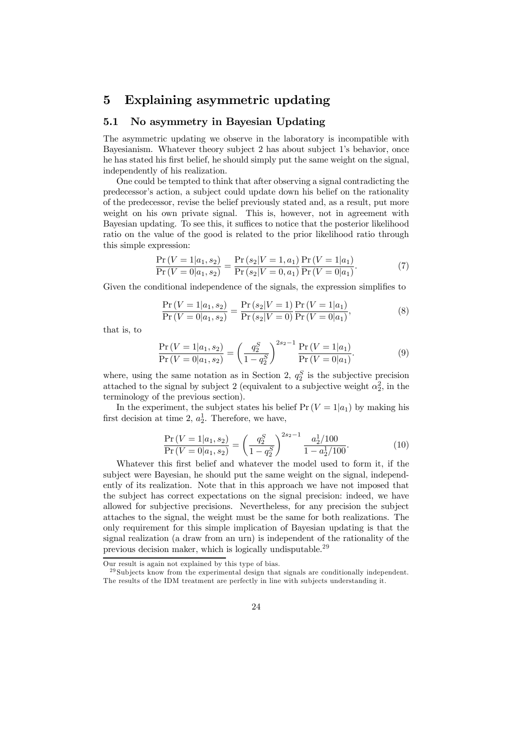### 5 Explaining asymmetric updating

### 5.1 No asymmetry in Bayesian Updating

The asymmetric updating we observe in the laboratory is incompatible with Bayesianism. Whatever theory subject 2 has about subject 1's behavior, once he has stated his first belief, he should simply put the same weight on the signal, independently of his realization.

One could be tempted to think that after observing a signal contradicting the predecessor's action, a subject could update down his belief on the rationality of the predecessor, revise the belief previously stated and, as a result, put more weight on his own private signal. This is, however, not in agreement with Bayesian updating. To see this, it suffices to notice that the posterior likelihood ratio on the value of the good is related to the prior likelihood ratio through this simple expression:

$$
\frac{\Pr(V=1|a_1,s_2)}{\Pr(V=0|a_1,s_2)} = \frac{\Pr(s_2|V=1,a_1)}{\Pr(s_2|V=0,a_1)} \frac{\Pr(V=1|a_1)}{\Pr(V=0|a_1)}.
$$
\n(7)

Given the conditional independence of the signals, the expression simplifies to

$$
\frac{\Pr(V=1|a_1,s_2)}{\Pr(V=0|a_1,s_2)} = \frac{\Pr(s_2|V=1)}{\Pr(s_2|V=0)} \frac{\Pr(V=1|a_1)}{\Pr(V=0|a_1)},\tag{8}
$$

that is, to

$$
\frac{\Pr(V=1|a_1,s_2)}{\Pr(V=0|a_1,s_2)} = \left(\frac{q_2^S}{1-q_2^S}\right)^{2s_2-1} \frac{\Pr(V=1|a_1)}{\Pr(V=0|a_1)}.
$$
\n(9)

where, using the same notation as in Section 2,  $q_2^S$  is the subjective precision attached to the signal by subject 2 (equivalent to a subjective weight  $\alpha_2^2$ , in the terminology of the previous section).

In the experiment, the subject states his belief  $Pr(V = 1|a_1)$  by making his first decision at time 2,  $a_2^1$ . Therefore, we have,

$$
\frac{\Pr(V=1|a_1,s_2)}{\Pr(V=0|a_1,s_2)} = \left(\frac{q_2^S}{1-q_2^S}\right)^{2s_2-1} \frac{a_2^1/100}{1-a_2^1/100}.
$$
\n(10)

Whatever this first belief and whatever the model used to form it, if the subject were Bayesian, he should put the same weight on the signal, independently of its realization. Note that in this approach we have not imposed that the subject has correct expectations on the signal precision: indeed, we have allowed for subjective precisions. Nevertheless, for any precision the subject attaches to the signal, the weight must be the same for both realizations. The only requirement for this simple implication of Bayesian updating is that the signal realization (a draw from an urn) is independent of the rationality of the previous decision maker, which is logically undisputable.<sup>29</sup>

Our result is again not explained by this type of bias.

 $^{29}$  Subjects know from the experimental design that signals are conditionally independent. The results of the IDM treatment are perfectly in line with subjects understanding it.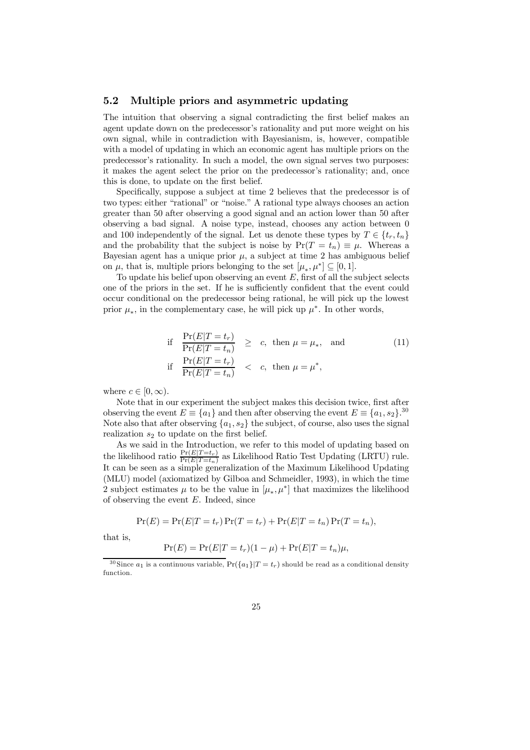### 5.2 Multiple priors and asymmetric updating

The intuition that observing a signal contradicting the first belief makes an agent update down on the predecessor's rationality and put more weight on his own signal, while in contradiction with Bayesianism, is, however, compatible with a model of updating in which an economic agent has multiple priors on the predecessor's rationality. In such a model, the own signal serves two purposes: it makes the agent select the prior on the predecessor's rationality; and, once this is done, to update on the first belief.

Specifically, suppose a subject at time 2 believes that the predecessor is of two types: either "rational" or "noise." A rational type always chooses an action greater than 50 after observing a good signal and an action lower than 50 after observing a bad signal. A noise type, instead, chooses any action between 0 and 100 independently of the signal. Let us denote these types by  $T \in \{t_r, t_n\}$ and the probability that the subject is noise by  $Pr(T = t_n) \equiv \mu$ . Whereas a Bayesian agent has a unique prior  $\mu$ , a subject at time 2 has ambiguous belief on  $\mu$ , that is, multiple priors belonging to the set  $[\mu_*, \mu^*] \subseteq [0, 1]$ .

To update his belief upon observing an event  $E$ , first of all the subject selects one of the priors in the set. If he is sufficiently confident that the event could occur conditional on the predecessor being rational, he will pick up the lowest prior  $\mu_*$ , in the complementary case, he will pick up  $\mu^*$ . In other words,

if 
$$
\frac{\Pr(E|T=t_r)}{\Pr(E|T=t_n)} \ge c
$$
, then  $\mu = \mu_*$ , and  
if  $\frac{\Pr(E|T=t_r)}{\Pr(E|T=t_n)} < c$ , then  $\mu = \mu^*$ , (11)

where  $c \in [0,\infty)$ .

Note that in our experiment the subject makes this decision twice, first after observing the event  $E \equiv \{a_1\}$  and then after observing the event  $E \equiv \{a_1, s_2\}^{30}$ Note also that after observing  $\{a_1, s_2\}$  the subject, of course, also uses the signal realization  $s_2$  to update on the first belief.

As we said in the Introduction, we refer to this model of updating based on the likelihood ratio  $\frac{\Pr(E|T=t_n)}{\Pr(E|T=t_n)}$  as Likelihood Ratio Test Updating (LRTU) rule. It can be seen as a simple generalization of the Maximum Likelihood Updating (MLU) model (axiomatized by Gilboa and Schmeidler, 1993), in which the time 2 subject estimates  $\mu$  to be the value in  $[\mu_*, \mu^*]$  that maximizes the likelihood of observing the event  $E$ . Indeed, since

$$
Pr(E) = Pr(E|T = t_r) Pr(T = t_r) + Pr(E|T = t_n) Pr(T = t_n),
$$

that is,

$$
Pr(E) = Pr(E|T = t_r)(1 - \mu) + Pr(E|T = t_n)\mu,
$$

<sup>&</sup>lt;sup>30</sup> Since  $a_1$  is a continuous variable,  $Pr({a_1}|T = t_r)$  should be read as a conditional density function.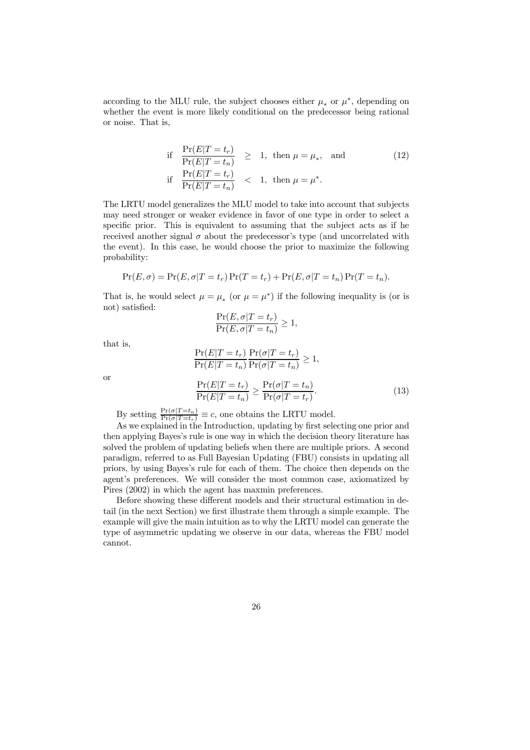according to the MLU rule, the subject chooses either  $\mu_*$  or  $\mu^*$ , depending on whether the event is more likely conditional on the predecessor being rational or noise. That is,

if 
$$
\frac{\Pr(E|T=t_r)}{\Pr(E|T=t_n)} \geq 1, \text{ then } \mu = \mu_*, \text{ and}
$$
  
if 
$$
\frac{\Pr(E|T=t_r)}{\Pr(E|T=t_n)} < 1, \text{ then } \mu = \mu^*.
$$
 (12)

The LRTU model generalizes the MLU model to take into account that subjects may need stronger or weaker evidence in favor of one type in order to select a specific prior. This is equivalent to assuming that the subject acts as if he received another signal  $\sigma$  about the predecessor's type (and uncorrelated with the event). In this case, he would choose the prior to maximize the following probability:

$$
Pr(E, \sigma) = Pr(E, \sigma | T = t_r) Pr(T = t_r) + Pr(E, \sigma | T = t_n) Pr(T = t_n).
$$

That is, he would select  $\mu = \mu_*$  (or  $\mu = \mu^*$ ) if the following inequality is (or is not) satisfied:

$$
\frac{\Pr(E,\sigma|T=t_r)}{\Pr(E,\sigma|T=t_n)} \ge 1,
$$

that is,

$$
\frac{\Pr(E|T=t_r)}{\Pr(E|T=t_n)} \frac{\Pr(\sigma|T=t_r)}{\Pr(\sigma|T=t_n)} \ge 1,
$$

or

$$
\frac{\Pr(E|T=t_r)}{\Pr(E|T=t_n)} \ge \frac{\Pr(\sigma|T=t_n)}{\Pr(\sigma|T=t_r)}.\tag{13}
$$

By setting  $\frac{\Pr(\sigma | T = t_n)}{\Pr(\sigma | T = t_r)} \equiv c$ , one obtains the LRTU model.

As we explained in the Introduction, updating by first selecting one prior and then applying Bayes's rule is one way in which the decision theory literature has solved the problem of updating beliefs when there are multiple priors. A second paradigm, referred to as Full Bayesian Updating (FBU) consists in updating all priors, by using Bayes's rule for each of them. The choice then depends on the agent's preferences. We will consider the most common case, axiomatized by Pires (2002) in which the agent has maxmin preferences.

Before showing these different models and their structural estimation in detail (in the next Section) we first illustrate them through a simple example. The example will give the main intuition as to why the LRTU model can generate the type of asymmetric updating we observe in our data, whereas the FBU model cannot.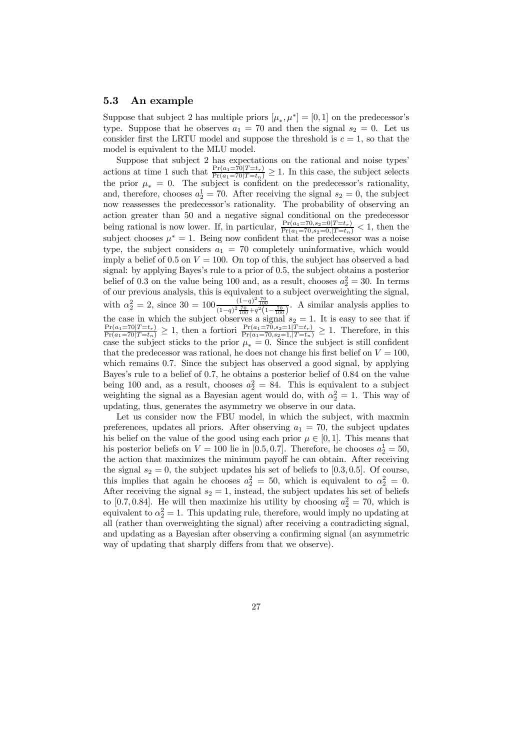### 5.3 An example

Suppose that subject 2 has multiple priors  $[\mu_*, \mu^*] = [0, 1]$  on the predecessor's type. Suppose that he observes  $a_1 = 70$  and then the signal  $s_2 = 0$ . Let us consider first the LRTU model and suppose the threshold is  $c = 1$ , so that the model is equivalent to the MLU model.

Suppose that subject 2 has expectations on the rational and noise types' actions at time 1 such that  $\frac{\Pr(a_1=70|T=t_r)}{\Pr(a_1=70|T=t_n)} \ge 1$ . In this case, the subject selects the prior  $\mu_* = 0$ . The subject is confident on the predecessor's rationality, and, therefore, chooses  $a_2^1 = 70$ . After receiving the signal  $s_2 = 0$ , the subject now reassesses the predecessor's rationality. The probability of observing an action greater than 50 and a negative signal conditional on the predecessor being rational is now lower. If, in particular,  $\frac{\Pr(a_1=70,s_2=0|T=t_r)}{\Pr(a_1=70,s_2=0,|T=t_n)} < 1$ , then the subject chooses  $\mu^* = 1$ . Being now confident that the predecessor was a noise type, the subject considers  $a_1 = 70$  completely uninformative, which would imply a belief of 0.5 on  $V = 100$ . On top of this, the subject has observed a bad signal: by applying Bayes's rule to a prior of 0.5, the subject obtains a posterior belief of 0.3 on the value being 100 and, as a result, chooses  $a_2^2 = 30$ . In terms of our previous analysis, this is equivalent to a subject overweighting the signal, with  $\alpha_2^2 = 2$ , since  $30 = 100 \frac{(1-q)^2 \frac{70}{100}}{(1-q)^2 \frac{70}{100} + q^2 (1-\frac{70}{100})}$ . A similar analysis applies to the case in which the subject observes a signal  $s_2 = 1$ . It is easy to see that if  $\frac{\Pr(a_1=70|T=t_r)}{\Pr(a_1=70|T=t_n)} \geq 1$ , then a fortiori  $\frac{\Pr(a_1=70,s_2=1|T=t_r)}{\Pr(a_1=70,s_2=1,|T=t_n)} \geq 1$ . Therefore, in this case the subject sticks to the prior  $\mu_* = 0$ . Since the subject is still confident that the predecessor was rational, he does not change his first belief on  $V = 100$ , which remains 0.7. Since the subject has observed a good signal, by applying Bayes's rule to a belief of 0.7, he obtains a posterior belief of 0.84 on the value being 100 and, as a result, chooses  $a_2^2 = 84$ . This is equivalent to a subject weighting the signal as a Bayesian agent would do, with  $\alpha_2^2 = 1$ . This way of updating, thus, generates the asymmetry we observe in our data.

Let us consider now the FBU model, in which the subject, with maxmin preferences, updates all priors. After observing  $a_1 = 70$ , the subject updates his belief on the value of the good using each prior  $\mu \in [0, 1]$ . This means that his posterior beliefs on  $V = 100$  lie in [0.5, 0.7]. Therefore, he chooses  $a_2^1 = 50$ , the action that maximizes the minimum payoff he can obtain. After receiving the signal  $s_2 = 0$ , the subject updates his set of beliefs to [0.3, 0.5]. Of course, this implies that again he chooses  $a_2^2 = 50$ , which is equivalent to  $\alpha_2^2 = 0$ . After receiving the signal  $s_2 = 1$ , instead, the subject updates his set of beliefs to [0.7, 0.84]. He will then maximize his utility by choosing  $a_2^2 = 70$ , which is equivalent to  $\alpha_2^2 = 1$ . This updating rule, therefore, would imply no updating at all (rather than overweighting the signal) after receiving a contradicting signal, and updating as a Bayesian after observing a confirming signal (an asymmetric way of updating that sharply differs from that we observe).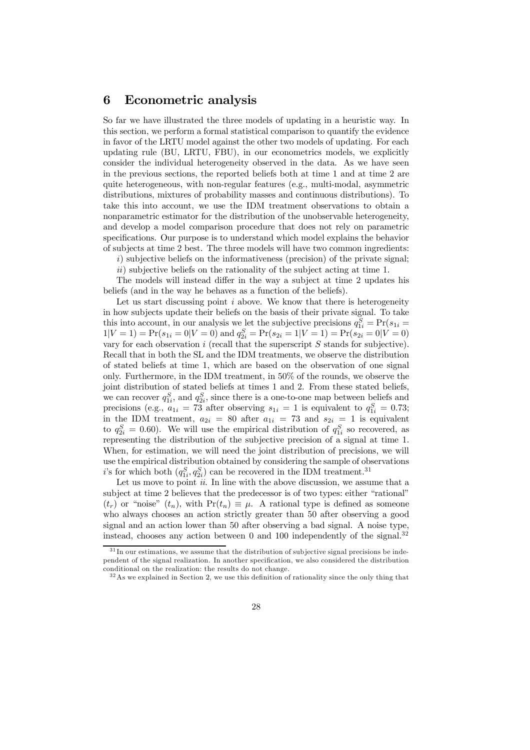### 6 Econometric analysis

So far we have illustrated the three models of updating in a heuristic way. In this section, we perform a formal statistical comparison to quantify the evidence in favor of the LRTU model against the other two models of updating. For each updating rule (BU, LRTU, FBU), in our econometrics models, we explicitly consider the individual heterogeneity observed in the data. As we have seen in the previous sections, the reported beliefs both at time 1 and at time 2 are quite heterogeneous, with non-regular features (e.g., multi-modal, asymmetric distributions, mixtures of probability masses and continuous distributions). To take this into account, we use the IDM treatment observations to obtain a nonparametric estimator for the distribution of the unobservable heterogeneity, and develop a model comparison procedure that does not rely on parametric specifications. Our purpose is to understand which model explains the behavior of subjects at time 2 best. The three models will have two common ingredients:

*i*) subjective beliefs on the informativeness (precision) of the private signal;

*ii*) subjective beliefs on the rationality of the subject acting at time 1.

The models will instead differ in the way a subject at time 2 updates his beliefs (and in the way he behaves as a function of the beliefs).

Let us start discussing point *i* above. We know that there is heterogeneity in how subjects update their beliefs on the basis of their private signal. To take this into account, in our analysis we let the subjective precisions  $q_{1i}^S = Pr(s_{1i} =$  $1|V=1$  = Pr( $s_{1i} = 0|V=0$ ) and  $q_{2i}^S = Pr(s_{2i} = 1|V=1)$  = Pr( $s_{2i} = 0|V=0$ ) vary for each observation  $i$  (recall that the superscript  $S$  stands for subjective). Recall that in both the SL and the IDM treatments, we observe the distribution of stated beliefs at time 1, which are based on the observation of one signal only. Furthermore, in the IDM treatment, in 50% of the rounds, we observe the joint distribution of stated beliefs at times 1 and 2. From these stated beliefs, we can recover  $q_{1i}^S$ , and  $q_{2i}^S$ , since there is a one-to-one map between beliefs and precisions (e.g.,  $a_{1i} = 73$  after observing  $s_{1i} = 1$  is equivalent to  $q_{1i}^S = 0.73$ ; in the IDM treatment,  $a_{2i} = 80$  after  $a_{1i} = 73$  and  $s_{2i} = 1$  is equivalent to  $q_{2i}^S = 0.60$ ). We will use the empirical distribution of  $q_{1i}^S$  so recovered, as representing the distribution of the subjective precision of a signal at time 1. When, for estimation, we will need the joint distribution of precisions, we will use the empirical distribution obtained by considering the sample of observations i's for which both  $(q_{1i}^S, q_{2i}^S)$  can be recovered in the IDM treatment.<sup>31</sup>

Let us move to point *ii*. In line with the above discussion, we assume that a subject at time 2 believes that the predecessor is of two types: either "rational"  $(t_r)$  or "noise"  $(t_n)$ , with  $Pr(t_n) \equiv \mu$ . A rational type is defined as someone who always chooses an action strictly greater than 50 after observing a good signal and an action lower than 50 after observing a bad signal. A noise type, instead, chooses any action between 0 and 100 independently of the signal.<sup>32</sup>

<sup>&</sup>lt;sup>31</sup> In our estimations, we assume that the distribution of subjective signal precisions be independent of the signal realization. In another specification, we also considered the distribution conditional on the realization: the results do not change.

 $32\text{ As we explained in Section 2, we use this definition of rationality since the only thing that}$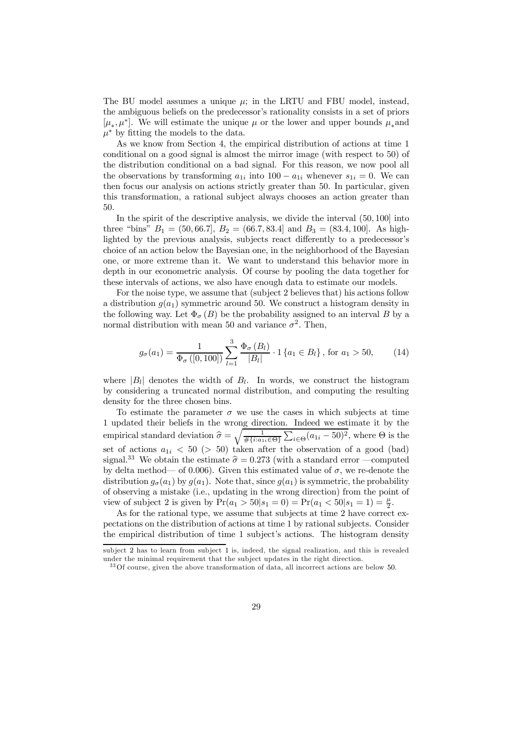The BU model assumes a unique  $\mu$ ; in the LRTU and FBU model, instead, the ambiguous beliefs on the predecessor's rationality consists in a set of priors  $[\mu_*, \mu^*]$ . We will estimate the unique  $\mu$  or the lower and upper bounds  $\mu_*$  and  $\mu^*$  by fitting the models to the data.

As we know from Section 4, the empirical distribution of actions at time 1 conditional on a good signal is almost the mirror image (with respect to 50) of the distribution conditional on a bad signal. For this reason, we now pool all the observations by transforming  $a_{1i}$  into  $100 - a_{1i}$  whenever  $s_{1i} = 0$ . We can then focus our analysis on actions strictly greater than 50. In particular, given this transformation, a rational subject always chooses an action greater than 50.

In the spirit of the descriptive analysis, we divide the interval  $(50, 100]$  into three "bins"  $B_1 = (50, 66.7, B_2 = (66.7, 83.4)$  and  $B_3 = (83.4, 100)$ . As highlighted by the previous analysis, subjects react differently to a predecessor's choice of an action below the Bayesian one, in the neighborhood of the Bayesian one, or more extreme than it. We want to understand this behavior more in depth in our econometric analysis. Of course by pooling the data together for these intervals of actions, we also have enough data to estimate our models.

For the noise type, we assume that (subject 2 believes that) his actions follow a distribution  $g(a_1)$  symmetric around 50. We construct a histogram density in the following way. Let  $\Phi_{\sigma}(B)$  be the probability assigned to an interval B by a normal distribution with mean 50 and variance  $\sigma^2$ . Then,

$$
g_{\sigma}(a_1) = \frac{1}{\Phi_{\sigma}([0,100])} \sum_{l=1}^{3} \frac{\Phi_{\sigma}(B_l)}{|B_l|} \cdot 1 \{a_1 \in B_l\}, \text{ for } a_1 > 50,
$$
 (14)

where  $|B_l|$  denotes the width of  $B_l$ . In words, we construct the histogram by considering a truncated normal distribution, and computing the resulting density for the three chosen bins.

To estimate the parameter  $\sigma$  we use the cases in which subjects at time 1 updated their beliefs in the wrong direction. Indeed we estimate it by the empirical standard deviation  $\hat{\sigma} = \sqrt{\frac{1}{\# \{i:a_1\}}}$  $\frac{1}{\# \{i : a_{1i} \in \Theta\}} \sum_{i \in \Theta} (a_{1i} - 50)^2$ , where  $\Theta$  is the set of actions  $a_{1i} < 50$  (> 50) taken after the observation of a good (bad) signal.<sup>33</sup> We obtain the estimate  $\hat{\sigma} = 0.273$  (with a standard error —computed by delta method— of 0.006). Given this estimated value of  $\sigma$ , we re-denote the distribution  $g_{\sigma}(a_1)$  by  $g(a_1)$ . Note that, since  $g(a_1)$  is symmetric, the probability of observing a mistake (i.e., updating in the wrong direction) from the point of view of subject 2 is given by  $Pr(a_1 > 50|s_1 = 0) = Pr(a_1 < 50|s_1 = 1) = \frac{\mu}{2}$ .

As for the rational type, we assume that subjects at time 2 have correct expectations on the distribution of actions at time 1 by rational subjects. Consider the empirical distribution of time 1 subject's actions. The histogram density

subject 2 has to learn from subject 1 is, indeed, the signal realization, and this is revealed under the minimal requirement that the subject updates in the right direction.

<sup>33</sup>Of course, given the above transformation of data, all incorrect actions are below 50.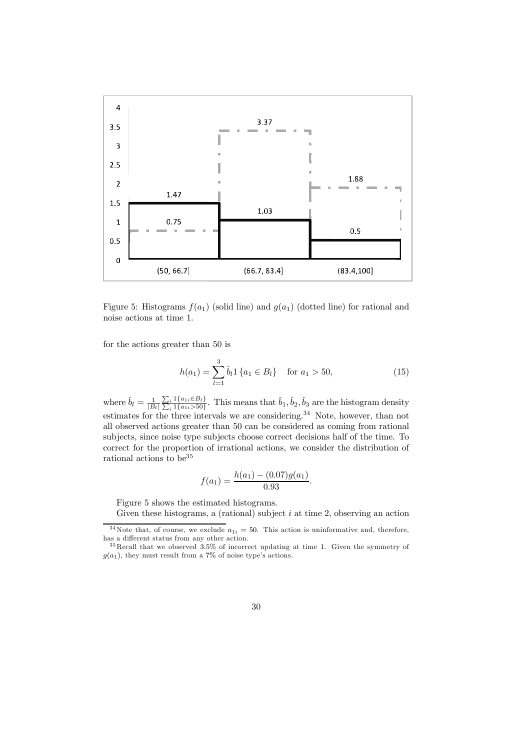

Figure 5: Histograms  $f(a_1)$  (solid line) and  $g(a_1)$  (dotted line) for rational and noise actions at time 1.

for the actions greater than 50 is

$$
h(a_1) = \sum_{l=1}^{3} \hat{b}_l \mathbb{1} \{ a_1 \in B_l \} \quad \text{for } a_1 > 50,
$$
 (15)

where  $\hat{b}_l = \frac{1}{|B_l|}$  $\frac{\sum_{i} 1\{a_{1i} \in B_{l}\}}{\sum_{i} 1\{a_{1i} > 50\}}$  $\frac{i}{\hbar} \frac{1}{\hbar} \left\{ a_{1i} \in B_{l} \right\}$ . This means that  $\hat{b}_{1}, \hat{b}_{2}, \hat{b}_{3}$  are the histogram density estimates for the three intervals we are considering.<sup>34</sup> Note, however, than not all observed actions greater than 50 can be considered as coming from rational subjects, since noise type subjects choose correct decisions half of the time. To correct for the proportion of irrational actions, we consider the distribution of rational actions to  $\rm{be}^{35}$ 

$$
f(a_1) = \frac{h(a_1) - (0.07)g(a_1)}{0.93}.
$$

Figure 5 shows the estimated histograms.

Given these histograms, a (rational) subject  $i$  at time 2, observing an action

<sup>&</sup>lt;sup>34</sup>Note that, of course, we exclude  $a_{1i} = 50$ . This action is uninformative and, therefore, has a different status from any other action.

<sup>35</sup> Recall that we observed 35% of incorrect updating at time 1. Given the symmetry of  $g(a_1)$ , they must result from a 7% of noise type's actions.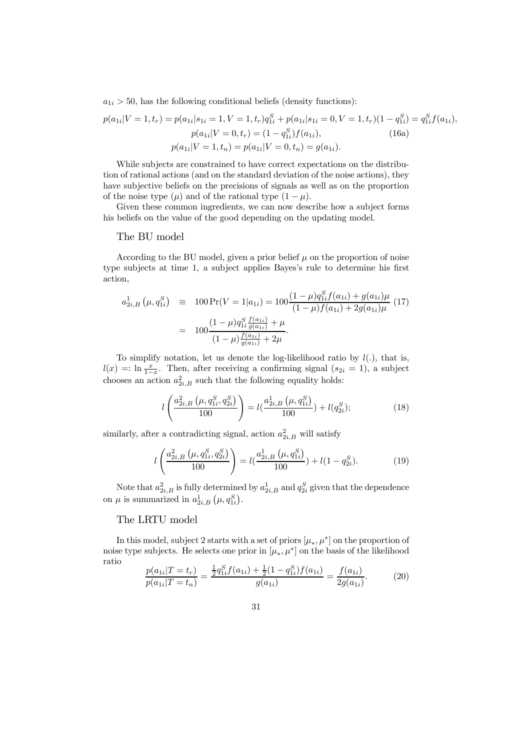$a_{1i} > 50$ , has the following conditional beliefs (density functions):

$$
p(a_{1i}|V=1, t_r) = p(a_{1i}|s_{1i} = 1, V=1, t_r)q_{1i}^S + p(a_{1i}|s_{1i} = 0, V=1, t_r)(1 - q_{1i}^S) = q_{1i}^S f(a_{1i}),
$$
  
\n
$$
p(a_{1i}|V=0, t_r) = (1 - q_{1i}^S) f(a_{1i}),
$$
  
\n
$$
p(a_{1i}|V=1, t_n) = p(a_{1i}|V=0, t_n) = g(a_{1i}).
$$
  
\n(16a)

While subjects are constrained to have correct expectations on the distribution of rational actions (and on the standard deviation of the noise actions), they have subjective beliefs on the precisions of signals as well as on the proportion of the noise type  $(\mu)$  and of the rational type  $(1 - \mu)$ .

Given these common ingredients, we can now describe how a subject forms his beliefs on the value of the good depending on the updating model.

#### The BU model

According to the BU model, given a prior belief  $\mu$  on the proportion of noise type subjects at time 1, a subject applies Bayes's rule to determine his first action,

$$
a_{2i,B}^1(\mu, q_{1i}^S) \equiv 100 \Pr(V = 1 | a_{1i}) = 100 \frac{(1 - \mu) q_{1i}^S f(a_{1i}) + g(a_{1i}) \mu}{(1 - \mu) f(a_{1i}) + 2g(a_{1i}) \mu} (17)
$$
  
= 
$$
100 \frac{(1 - \mu) q_{1i}^S \frac{f(a_{1i})}{g(a_{1i})} + \mu}{(1 - \mu) \frac{f(a_{1i})}{g(a_{1i})} + 2\mu}.
$$

To simplify notation, let us denote the log-likelihood ratio by  $l(.)$ , that is,  $l(x) =: \ln \frac{x}{1-x}$ . Then, after receiving a confirming signal  $(s_{2i} = 1)$ , a subject chooses an action  $a_{2i,B}^2$  such that the following equality holds:

$$
l\left(\frac{a_{2i,B}^2\left(\mu, q_{1i}^S, q_{2i}^S\right)}{100}\right) = l\left(\frac{a_{2i,B}^1\left(\mu, q_{1i}^S\right)}{100}\right) + l(q_{2i}^S);
$$
\n(18)

similarly, after a contradicting signal, action  $a_{2i,B}^2$  will satisfy

$$
l\left(\frac{a_{2i,B}^2\left(\mu, q_{1i}^S, q_{2i}^S\right)}{100}\right) = l\left(\frac{a_{2i,B}^1\left(\mu, q_{1i}^S\right)}{100}\right) + l\left(1 - q_{2i}^S\right). \tag{19}
$$

Note that  $a_{2i,B}^2$  is fully determined by  $a_{2i,B}^1$  and  $q_{2i}^S$  given that the dependence on  $\mu$  is summarized in  $a_{2i,B}^1(\mu, q_{1i}^S)$ .

### The LRTU model

In this model, subject 2 starts with a set of priors  $[\mu_*, \mu^*]$  on the proportion of noise type subjects. He selects one prior in  $[\mu_*, \mu^*]$  on the basis of the likelihood ratio

$$
\frac{p(a_{1i}|T=t_r)}{p(a_{1i}|T=t_n)} = \frac{\frac{1}{2}q_{1i}^S f(a_{1i}) + \frac{1}{2}(1-q_{1i}^S)f(a_{1i})}{g(a_{1i})} = \frac{f(a_{1i})}{2g(a_{1i})}.
$$
(20)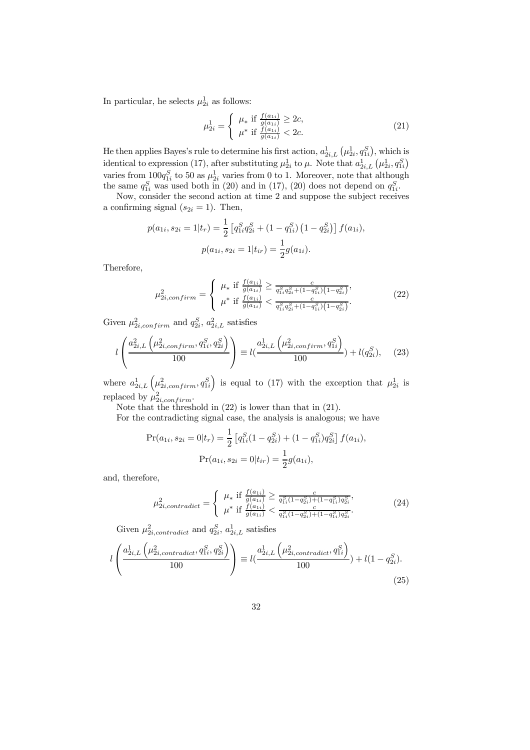In particular, he selects  $\mu_{2i}^1$  as follows:

$$
\mu_{2i}^{1} = \begin{cases} \mu_* & \text{if } \frac{f(a_{1i})}{g(a_{1i})} \ge 2c, \\ \mu^* & \text{if } \frac{f(a_{1i})}{g(a_{1i})} < 2c. \end{cases}
$$
 (21)

He then applies Bayes's rule to determine his first action,  $a_{2i,L}^1(\mu_{2i}^1, q_{1i}^S)$ , which is identical to expression (17), after substituting  $\mu_{2i}^1$  to  $\mu$ . Note that  $a_{2i,L}^1(\mu_{2i}^1, q_{1i}^S)$ varies from  $100q_{1i}^S$  to 50 as  $\mu_{2i}^1$  varies from 0 to 1. Moreover, note that although the same  $q_{1i}^S$  was used both in (20) and in (17), (20) does not depend on  $q_{1i}^S$ .

Now, consider the second action at time 2 and suppose the subject receives a confirming signal  $(s_{2i} = 1)$ . Then,

$$
p(a_{1i}, s_{2i} = 1 | t_r) = \frac{1}{2} \left[ q_{1i}^S q_{2i}^S + (1 - q_{1i}^S) (1 - q_{2i}^S) \right] f(a_{1i}),
$$
  

$$
p(a_{1i}, s_{2i} = 1 | t_{ir}) = \frac{1}{2} g(a_{1i}).
$$

Therefore,

$$
\mu_{2i,confirm}^2 = \begin{cases} \mu_* \text{ if } \frac{f(a_{1i})}{g(a_{1i})} \ge \frac{c}{q_{1i}^S q_{2i}^S + (1 - q_{1i}^S)(1 - q_{2i}^S)},\\ \mu^* \text{ if } \frac{f(a_{1i})}{g(a_{1i})} < \frac{c}{q_{1i}^S q_{2i}^S + (1 - q_{1i}^S)(1 - q_{2i}^S)}. \end{cases} \tag{22}
$$

Given  $\mu_{2i,confirm}^2$  and  $q_{2i}^S$ ,  $a_{2i,L}^2$  satisfies

$$
l\left(\frac{a_{2i,L}^2\left(\mu_{2i,confirm}^2, q_{1i}^S, q_{2i}^S\right)}{100}\right) \equiv l\left(\frac{a_{2i,L}^1\left(\mu_{2i,confirm}^2, q_{1i}^S\right)}{100}\right) + l(q_{2i}^S), \quad (23)
$$

where  $a_{2i,L}^1(\mu_{2i,confirm}^2, q_{1i}^S)$  is equal to (17) with the exception that  $\mu_{2i}^1$  is replaced by  $\mu_{2i,confirm}^2$ .

Note that the threshold in (22) is lower than that in (21).

For the contradicting signal case, the analysis is analogous; we have

$$
\Pr(a_{1i}, s_{2i} = 0 | t_r) = \frac{1}{2} \left[ q_{1i}^S (1 - q_{2i}^S) + (1 - q_{1i}^S) q_{2i}^S \right] f(a_{1i}),
$$

$$
\Pr(a_{1i}, s_{2i} = 0 | t_{ir}) = \frac{1}{2} g(a_{1i}),
$$

and, therefore,

$$
\mu_{2i,contract}^2 = \begin{cases} \mu_* & \text{if } \frac{f(a_{1i})}{g(a_{1i})} \ge \frac{c}{q_{1i}^S (1 - q_{2i}^S) + (1 - q_{1i}^S) q_{2i}^S}, \\ \mu^* & \text{if } \frac{f(a_{1i})}{g(a_{1i})} < \frac{c}{q_{1i}^S (1 - q_{2i}^S) + (1 - q_{1i}^S) q_{2i}^S}. \end{cases}
$$
(24)

Given  $\mu_{2i,contract}^2$  and  $q_{2i}^S$ ,  $a_{2i,L}^1$  satisfies

$$
l\left(\frac{a_{2i,L}^1\left(\mu_{2i,contract}^2, q_{1i}^S, q_{2i}^S\right)}{100}\right) \equiv l\left(\frac{a_{2i,L}^1\left(\mu_{2i,contract}^2, q_{1i}^S\right)}{100}\right) + l(1 - q_{2i}^S). \tag{25}
$$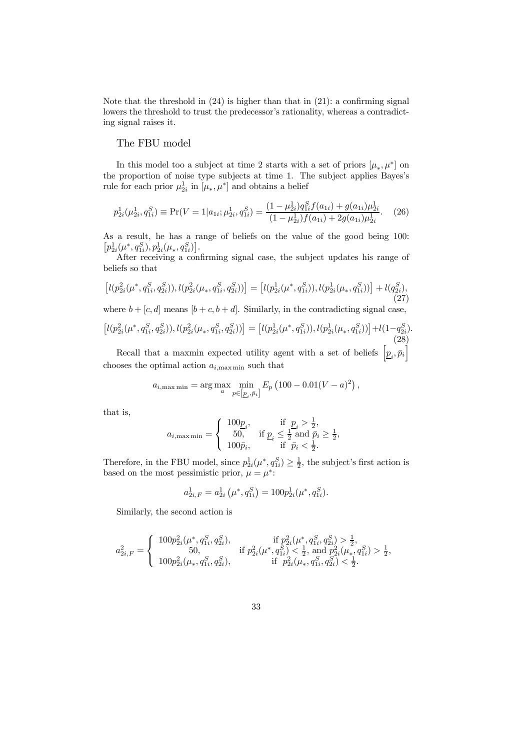Note that the threshold in  $(24)$  is higher than that in  $(21)$ : a confirming signal lowers the threshold to trust the predecessor's rationality, whereas a contradicting signal raises it.

### The FBU model

In this model too a subject at time 2 starts with a set of priors  $[\mu_*, \mu^*]$  on the proportion of noise type subjects at time 1. The subject applies Bayes's rule for each prior  $\mu_{2i}^1$  in  $[\mu_*, \mu^*]$  and obtains a belief

$$
p_{2i}^1(\mu_{2i}^1, q_{1i}^S) \equiv \Pr(V = 1 | a_{1i}; \mu_{2i}^1, q_{1i}^S) = \frac{(1 - \mu_{2i}^1) q_{1i}^S f(a_{1i}) + g(a_{1i}) \mu_{2i}^1}{(1 - \mu_{2i}^1) f(a_{1i}) + 2g(a_{1i}) \mu_{2i}^1}.
$$
 (26)

As a result, he has a range of beliefs on the value of the good being 100:  $\left[p_{2i}^1(\mu^*, q_{1i}^S), p_{2i}^1(\mu_*, q_{1i}^S)\right].$ 

After receiving a confirming signal case, the subject updates his range of beliefs so that

$$
\left[l(p_{2i}^2(\mu^*, q_{1i}^S, q_{2i}^S)), l(p_{2i}^2(\mu_*, q_{1i}^S, q_{2i}^S))\right] = \left[l(p_{2i}^1(\mu^*, q_{1i}^S)), l(p_{2i}^1(\mu_*, q_{1i}^S))\right] + l(q_{2i}^S),
$$
\n(27)

where  $b + [c, d]$  means  $[b + c, b + d]$ . Similarly, in the contradicting signal case,

$$
\left[l(p_{2i}^2(\mu^*, q_{1i}^S, q_{2i}^S)), l(p_{2i}^2(\mu_*, q_{1i}^S, q_{2i}^S))\right] = \left[l(p_{2i}^1(\mu^*, q_{1i}^S)), l(p_{2i}^1(\mu_*, q_{1i}^S))\right] + l(1 - q_{2i}^S).
$$
\n(28)

Recall that a maxmin expected utility agent with a set of beliefs  $\left[\underline{p}_i, \overline{p}_i\right]$ chooses the optimal action  $a_{i,\text{max min}}$  such that

$$
a_{i, \max \min} = \arg \max_{a} \min_{p \in [p_i, \bar{p}_i]} E_p (100 - 0.01(V - a)^2),
$$

that is,

$$
a_{i,\text{max}\min} = \left\{ \begin{array}{ll} 100\underline{p}_i, & \text{if } \underline{p}_i > \frac{1}{2},\\ 50, & \text{if } \underline{p}_i \leq \frac{1}{2} \text{ and } \bar{p}_i \geq \frac{1}{2},\\ 100\bar{p}_i, & \text{if } \bar{p}_i < \frac{1}{2}. \end{array} \right.
$$

Therefore, in the FBU model, since  $p_{2i}^1(\mu^*, q_{1i}^S) \ge \frac{1}{2}$ , the subject's first action is based on the most pessimistic prior,  $\mu = \mu^*$ :

$$
a_{2i,F}^1 = a_{2i}^1 \left( \mu^*, q_{1i}^S \right) = 100 p_{2i}^1(\mu^*, q_{1i}^S).
$$

Similarly, the second action is

$$
a_{2i,F}^2 = \left\{ \begin{array}{ll} 100p_{2i}^2(\mu^*,q_{1i}^S,q_{2i}^S), & \text{if } p_{2i}^2(\mu^*,q_{1i}^S,q_{2i}^S) > \frac{1}{2}, \\ 50, & \text{if } p_{2i}^2(\mu^*,q_{1i}^S) < \frac{1}{2}, \text{ and } p_{2i}^2(\mu_*,q_{1i}^S) > \frac{1}{2}, \\ 100p_{2i}^2(\mu_*,q_{1i}^S,q_{2i}^S), & \text{if } p_{2i}^2(\mu_*,q_{1i}^S,q_{2i}^S) < \frac{1}{2}. \end{array} \right.
$$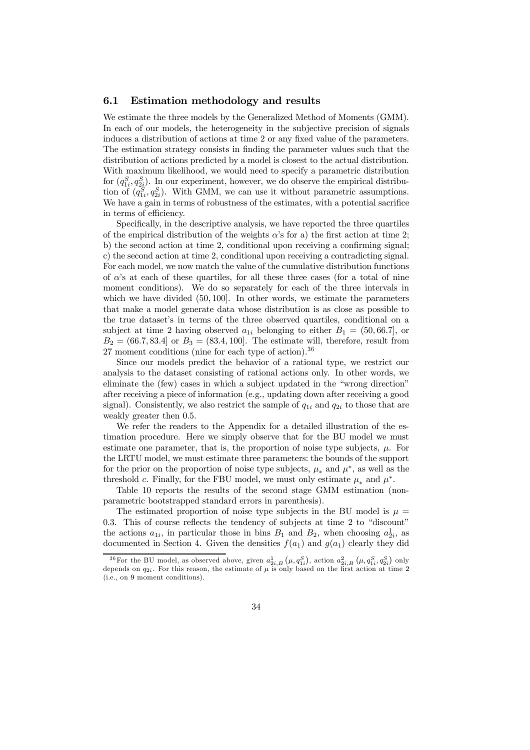### 6.1 Estimation methodology and results

We estimate the three models by the Generalized Method of Moments (GMM). In each of our models, the heterogeneity in the subjective precision of signals induces a distribution of actions at time 2 or any fixed value of the parameters. The estimation strategy consists in finding the parameter values such that the distribution of actions predicted by a model is closest to the actual distribution. With maximum likelihood, we would need to specify a parametric distribution for  $(q_{1i}^S, q_{2i}^S)$ . In our experiment, however, we do observe the empirical distribution of  $(q_{1i}^S, q_{2i}^S)$ . With GMM, we can use it without parametric assumptions. We have a gain in terms of robustness of the estimates, with a potential sacrifice in terms of efficiency.

Specifically, in the descriptive analysis, we have reported the three quartiles of the empirical distribution of the weights  $\alpha$ 's for a) the first action at time 2; b) the second action at time 2, conditional upon receiving a confirming signal; c) the second action at time 2, conditional upon receiving a contradicting signal. For each model, we now match the value of the cumulative distribution functions of  $\alpha$ 's at each of these quartiles, for all these three cases (for a total of nine moment conditions). We do so separately for each of the three intervals in which we have divided  $(50, 100)$ . In other words, we estimate the parameters that make a model generate data whose distribution is as close as possible to the true dataset's in terms of the three observed quartiles, conditional on a subject at time 2 having observed  $a_{1i}$  belonging to either  $B_1 = (50, 66.7)$ , or  $B_2 = (66.7, 83.4]$  or  $B_3 = (83.4, 100]$ . The estimate will, therefore, result from 27 moment conditions (nine for each type of action).<sup>36</sup>

Since our models predict the behavior of a rational type, we restrict our analysis to the dataset consisting of rational actions only. In other words, we eliminate the (few) cases in which a subject updated in the "wrong direction" after receiving a piece of information (e.g., updating down after receiving a good signal). Consistently, we also restrict the sample of  $q_{1i}$  and  $q_{2i}$  to those that are weakly greater then 0.5.

We refer the readers to the Appendix for a detailed illustration of the estimation procedure. Here we simply observe that for the BU model we must estimate one parameter, that is, the proportion of noise type subjects,  $\mu$ . For the LRTU model, we must estimate three parameters: the bounds of the support for the prior on the proportion of noise type subjects,  $\mu_*$  and  $\mu^*$ , as well as the threshold c. Finally, for the FBU model, we must only estimate  $\mu_*$  and  $\mu^*$ .

Table 10 reports the results of the second stage GMM estimation (nonparametric bootstrapped standard errors in parenthesis).

The estimated proportion of noise type subjects in the BU model is  $\mu =$ 0.3. This of course reflects the tendency of subjects at time 2 to "discount" the actions  $a_{1i}$ , in particular those in bins  $B_1$  and  $B_2$ , when choosing  $a_{2i}^1$ , as documented in Section 4. Given the densities  $f(a_1)$  and  $g(a_1)$  clearly they did

<sup>&</sup>lt;sup>36</sup>For the BU model, as observed above, given  $a_{2i,B}^1(\mu, q_{1i}^S)$ , action  $a_{2i,B}^2(\mu, q_{1i}^S, q_{2i}^S)$  only depends on  $q_{2i}$ . For this reason, the estimate of  $\mu$  is only based on the first action at time 2 (i.e., on 9 moment conditions).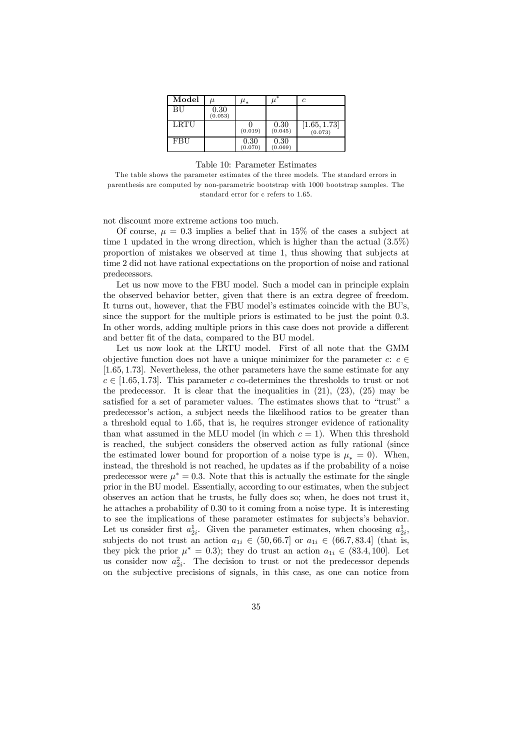| Model       | $_{II}$         | $\mu_*$         |                 | c                       |
|-------------|-----------------|-----------------|-----------------|-------------------------|
| <b>BU</b>   | 0.30<br>(0.053) |                 |                 |                         |
| <b>LRTU</b> |                 | (0.019)         | 0.30<br>(0.045) | [1.65, 1.73]<br>(0.073) |
| FBU         |                 | 0.30<br>(0.070) | 0.30<br>(0.069) |                         |

Table 10: Parameter Estimates

The table shows the parameter estimates of the three models. The standard errors in parenthesis are computed by non-parametric bootstrap with 1000 bootstrap samples. The standard error for c refers to 1.65.

not discount more extreme actions too much.

Of course,  $\mu = 0.3$  implies a belief that in 15% of the cases a subject at time 1 updated in the wrong direction, which is higher than the actual (35%) proportion of mistakes we observed at time 1, thus showing that subjects at time 2 did not have rational expectations on the proportion of noise and rational predecessors.

Let us now move to the FBU model. Such a model can in principle explain the observed behavior better, given that there is an extra degree of freedom. It turns out, however, that the FBU model's estimates coincide with the BU's, since the support for the multiple priors is estimated to be just the point 03. In other words, adding multiple priors in this case does not provide a different and better fit of the data, compared to the BU model.

Let us now look at the LRTU model. First of all note that the GMM objective function does not have a unique minimizer for the parameter  $c: c \in \mathbb{R}$ [165 173]. Nevertheless, the other parameters have the same estimate for any  $c \in [1.65, 1.73]$ . This parameter c co-determines the thresholds to trust or not the predecessor. It is clear that the inequalities in  $(21)$ ,  $(23)$ ,  $(25)$  may be satisfied for a set of parameter values. The estimates shows that to "trust" a predecessor's action, a subject needs the likelihood ratios to be greater than a threshold equal to 1.65, that is, he requires stronger evidence of rationality than what assumed in the MLU model (in which  $c = 1$ ). When this threshold is reached, the subject considers the observed action as fully rational (since the estimated lower bound for proportion of a noise type is  $\mu_* = 0$ . When, instead, the threshold is not reached, he updates as if the probability of a noise predecessor were  $\mu^* = 0.3$ . Note that this is actually the estimate for the single prior in the BU model. Essentially, according to our estimates, when the subject observes an action that he trusts, he fully does so; when, he does not trust it, he attaches a probability of 030 to it coming from a noise type. It is interesting to see the implications of these parameter estimates for subjects's behavior. Let us consider first  $a_{2i}^1$ . Given the parameter estimates, when choosing  $a_{2i}^1$ , subjects do not trust an action  $a_{1i} \in (50, 66.7]$  or  $a_{1i} \in (66.7, 83.4]$  (that is, they pick the prior  $\mu^* = 0.3$ ; they do trust an action  $a_{1i} \in (83.4, 100]$ . Let us consider now  $a_{2i}^2$ . The decision to trust or not the predecessor depends on the subjective precisions of signals, in this case, as one can notice from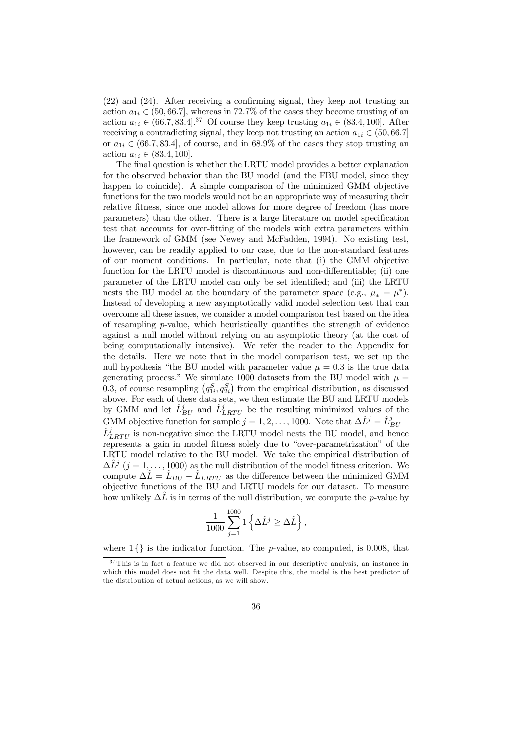$(22)$  and  $(24)$ . After receiving a confirming signal, they keep not trusting an action  $a_{1i} \in (50, 66.7]$ , whereas in 72.7% of the cases they become trusting of an action  $a_{1i} \in (66.7, 83.4]^{37}$  Of course they keep trusting  $a_{1i} \in (83.4, 100]$ . After receiving a contradicting signal, they keep not trusting an action  $a_{1i} \in (50, 66.7]$ or  $a_{1i} \in (66.7, 83.4]$ , of course, and in 68.9% of the cases they stop trusting an action  $a_{1i} \in (83.4, 100]$ .

The final question is whether the LRTU model provides a better explanation for the observed behavior than the BU model (and the FBU model, since they happen to coincide). A simple comparison of the minimized GMM objective functions for the two models would not be an appropriate way of measuring their relative fitness, since one model allows for more degree of freedom (has more parameters) than the other. There is a large literature on model specification test that accounts for over-fitting of the models with extra parameters within the framework of GMM (see Newey and McFadden, 1994). No existing test, however, can be readily applied to our case, due to the non-standard features of our moment conditions. In particular, note that (i) the GMM objective function for the LRTU model is discontinuous and non-differentiable; (ii) one parameter of the LRTU model can only be set identified; and (iii) the LRTU nests the BU model at the boundary of the parameter space (e.g.,  $\mu_* = \mu^*$ ). Instead of developing a new asymptotically valid model selection test that can overcome all these issues, we consider a model comparison test based on the idea of resampling  $p$ -value, which heuristically quantifies the strength of evidence against a null model without relying on an asymptotic theory (at the cost of being computationally intensive). We refer the reader to the Appendix for the details. Here we note that in the model comparison test, we set up the null hypothesis "the BU model with parameter value  $\mu = 0.3$  is the true data generating process." We simulate 1000 datasets from the BU model with  $\mu =$ 0.3, of course resampling  $(q_{1i}^S, q_{2i}^S)$  from the empirical distribution, as discussed above. For each of these data sets, we then estimate the BU and LRTU models by GMM and let  $\hat{L}_{BU}^j$  and  $\hat{L}_{LRTU}^j$  be the resulting minimized values of the GMM objective function for sample  $j = 1, 2, ..., 1000$ . Note that  $\Delta \hat{L}^j = \hat{L}_{BU}^j$  $\hat{L}^j_{LRTU}$  is non-negative since the LRTU model nests the BU model, and hence represents a gain in model fitness solely due to "over-parametrization" of the LRTU model relative to the BU model. We take the empirical distribution of  $\Delta \hat{L}^j$  ( $j = 1, ..., 1000$ ) as the null distribution of the model fitness criterion. We compute  $\Delta \hat{L} = \hat{L}_{BU} - \hat{L}_{LRTU}$  as the difference between the minimized GMM objective functions of the BU and LRTU models for our dataset. To measure how unlikely  $\Delta\bar{L}$  is in terms of the null distribution, we compute the *p*-value by

$$
\frac{1}{1000} \sum_{j=1}^{1000} 1 \left\{ \Delta \hat{L}^j \ge \Delta \hat{L} \right\},\,
$$

where  $1\{\}$  is the indicator function. The *p*-value, so computed, is 0.008, that

<sup>&</sup>lt;sup>37</sup> This is in fact a feature we did not observed in our descriptive analysis, an instance in which this model does not fit the data well. Despite this, the model is the best predictor of the distribution of actual actions, as we will show.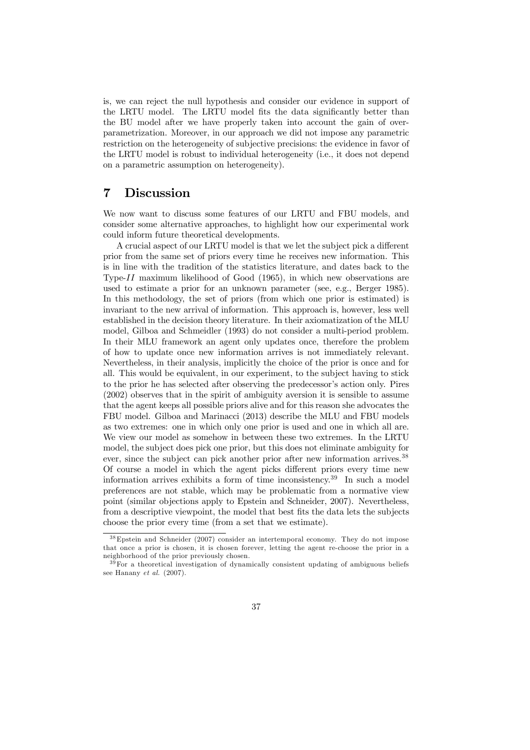is, we can reject the null hypothesis and consider our evidence in support of the LRTU model. The LRTU model fits the data significantly better than the BU model after we have properly taken into account the gain of overparametrization. Moreover, in our approach we did not impose any parametric restriction on the heterogeneity of subjective precisions: the evidence in favor of the LRTU model is robust to individual heterogeneity (i.e., it does not depend on a parametric assumption on heterogeneity).

### 7 Discussion

We now want to discuss some features of our LRTU and FBU models, and consider some alternative approaches, to highlight how our experimental work could inform future theoretical developments.

A crucial aspect of our LRTU model is that we let the subject pick a different prior from the same set of priors every time he receives new information. This is in line with the tradition of the statistics literature, and dates back to the Type- $II$  maximum likelihood of Good (1965), in which new observations are used to estimate a prior for an unknown parameter (see, e.g., Berger 1985). In this methodology, the set of priors (from which one prior is estimated) is invariant to the new arrival of information. This approach is, however, less well established in the decision theory literature. In their axiomatization of the MLU model, Gilboa and Schmeidler (1993) do not consider a multi-period problem. In their MLU framework an agent only updates once, therefore the problem of how to update once new information arrives is not immediately relevant. Nevertheless, in their analysis, implicitly the choice of the prior is once and for all. This would be equivalent, in our experiment, to the subject having to stick to the prior he has selected after observing the predecessor's action only. Pires (2002) observes that in the spirit of ambiguity aversion it is sensible to assume that the agent keeps all possible priors alive and for this reason she advocates the FBU model. Gilboa and Marinacci (2013) describe the MLU and FBU models as two extremes: one in which only one prior is used and one in which all are. We view our model as somehow in between these two extremes. In the LRTU model, the subject does pick one prior, but this does not eliminate ambiguity for ever, since the subject can pick another prior after new information arrives.<sup>38</sup> Of course a model in which the agent picks different priors every time new information arrives exhibits a form of time inconsistency.<sup>39</sup> In such a model preferences are not stable, which may be problematic from a normative view point (similar objections apply to Epstein and Schneider, 2007). Nevertheless, from a descriptive viewpoint, the model that best fits the data lets the subjects choose the prior every time (from a set that we estimate).

<sup>38</sup>Epstein and Schneider (2007) consider an intertemporal economy. They do not impose that once a prior is chosen, it is chosen forever, letting the agent re-choose the prior in a neighborhood of the prior previously chosen.

 $39$  For a theoretical investigation of dynamically consistent updating of ambiguous beliefs see Hanany *et al.* (2007).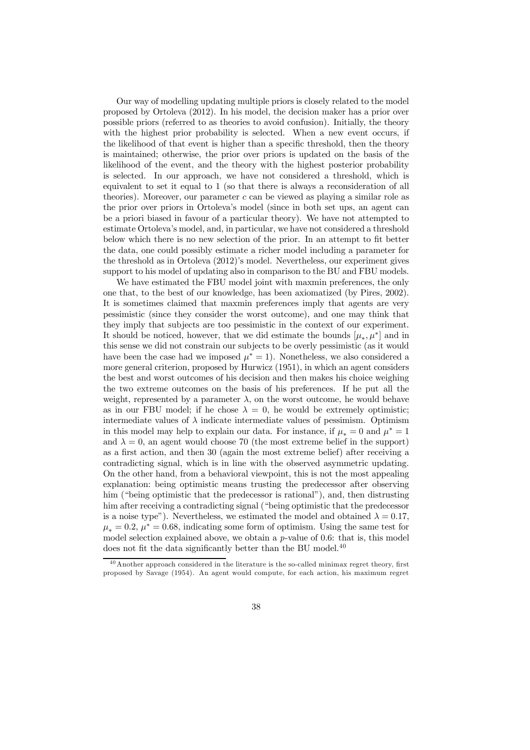Our way of modelling updating multiple priors is closely related to the model proposed by Ortoleva (2012). In his model, the decision maker has a prior over possible priors (referred to as theories to avoid confusion). Initially, the theory with the highest prior probability is selected. When a new event occurs, if the likelihood of that event is higher than a specific threshold, then the theory is maintained; otherwise, the prior over priors is updated on the basis of the likelihood of the event, and the theory with the highest posterior probability is selected. In our approach, we have not considered a threshold, which is equivalent to set it equal to 1 (so that there is always a reconsideration of all theories). Moreover, our parameter  $c$  can be viewed as playing a similar role as the prior over priors in Ortoleva's model (since in both set ups, an agent can be a priori biased in favour of a particular theory). We have not attempted to estimate Ortoleva's model, and, in particular, we have not considered a threshold below which there is no new selection of the prior. In an attempt to fit better the data, one could possibly estimate a richer model including a parameter for the threshold as in Ortoleva (2012)'s model. Nevertheless, our experiment gives support to his model of updating also in comparison to the BU and FBU models.

We have estimated the FBU model joint with maxmin preferences, the only one that, to the best of our knowledge, has been axiomatized (by Pires, 2002). It is sometimes claimed that maxmin preferences imply that agents are very pessimistic (since they consider the worst outcome), and one may think that they imply that subjects are too pessimistic in the context of our experiment. It should be noticed, however, that we did estimate the bounds  $[\mu_*, \mu^*]$  and in this sense we did not constrain our subjects to be overly pessimistic (as it would have been the case had we imposed  $\mu^* = 1$ ). Nonetheless, we also considered a more general criterion, proposed by Hurwicz (1951), in which an agent considers the best and worst outcomes of his decision and then makes his choice weighing the two extreme outcomes on the basis of his preferences. If he put all the weight, represented by a parameter  $\lambda$ , on the worst outcome, he would behave as in our FBU model; if he chose  $\lambda = 0$ , he would be extremely optimistic; intermediate values of  $\lambda$  indicate intermediate values of pessimism. Optimism in this model may help to explain our data. For instance, if  $\mu_* = 0$  and  $\mu^* = 1$ and  $\lambda = 0$ , an agent would choose 70 (the most extreme belief in the support) as a first action, and then 30 (again the most extreme belief) after receiving a contradicting signal, which is in line with the observed asymmetric updating. On the other hand, from a behavioral viewpoint, this is not the most appealing explanation: being optimistic means trusting the predecessor after observing him ("being optimistic that the predecessor is rational"), and, then distrusting him after receiving a contradicting signal ("being optimistic that the predecessor is a noise type"). Nevertheless, we estimated the model and obtained  $\lambda = 0.17$ ,  $\mu_* = 0.2$ ,  $\mu^* = 0.68$ , indicating some form of optimism. Using the same test for model selection explained above, we obtain a  $p$ -value of 0.6: that is, this model does not fit the data significantly better than the BU model. $40$ 

 $^{40}$  Another approach considered in the literature is the so-called minimax regret theory, first proposed by Savage (1954). An agent would compute, for each action, his maximum regret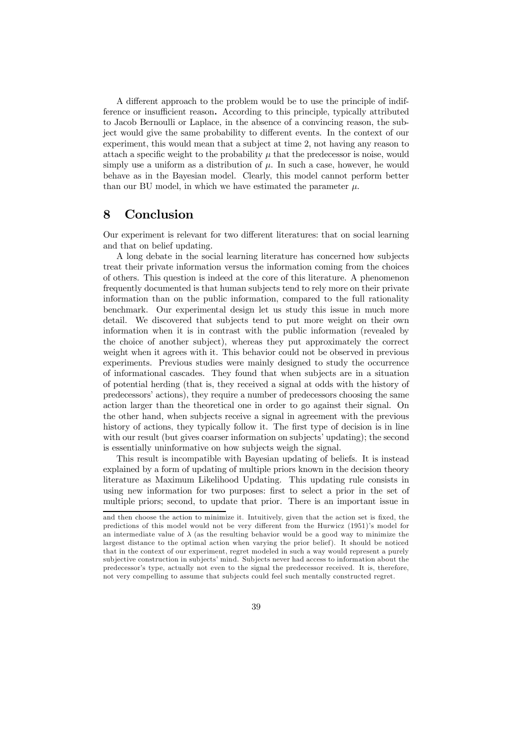A different approach to the problem would be to use the principle of indifference or insufficient reason. According to this principle, typically attributed to Jacob Bernoulli or Laplace, in the absence of a convincing reason, the subject would give the same probability to different events. In the context of our experiment, this would mean that a subject at time 2, not having any reason to attach a specific weight to the probability  $\mu$  that the predecessor is noise, would simply use a uniform as a distribution of  $\mu$ . In such a case, however, he would behave as in the Bayesian model. Clearly, this model cannot perform better than our BU model, in which we have estimated the parameter  $\mu$ .

### 8 Conclusion

Our experiment is relevant for two different literatures: that on social learning and that on belief updating.

A long debate in the social learning literature has concerned how subjects treat their private information versus the information coming from the choices of others. This question is indeed at the core of this literature. A phenomenon frequently documented is that human subjects tend to rely more on their private information than on the public information, compared to the full rationality benchmark. Our experimental design let us study this issue in much more detail. We discovered that subjects tend to put more weight on their own information when it is in contrast with the public information (revealed by the choice of another subject), whereas they put approximately the correct weight when it agrees with it. This behavior could not be observed in previous experiments. Previous studies were mainly designed to study the occurrence of informational cascades. They found that when subjects are in a situation of potential herding (that is, they received a signal at odds with the history of predecessors' actions), they require a number of predecessors choosing the same action larger than the theoretical one in order to go against their signal. On the other hand, when subjects receive a signal in agreement with the previous history of actions, they typically follow it. The first type of decision is in line with our result (but gives coarser information on subjects' updating); the second is essentially uninformative on how subjects weigh the signal.

This result is incompatible with Bayesian updating of beliefs. It is instead explained by a form of updating of multiple priors known in the decision theory literature as Maximum Likelihood Updating. This updating rule consists in using new information for two purposes: first to select a prior in the set of multiple priors; second, to update that prior. There is an important issue in

and then choose the action to minimize it. Intuitively, given that the action set is fixed, the predictions of this model would not be very different from the Hurwicz (1951)'s model for an intermediate value of  $\lambda$  (as the resulting behavior would be a good way to minimize the largest distance to the optimal action when varying the prior belief). It should be noticed that in the context of our experiment, regret modeled in such a way would represent a purely subjective construction in subjects' mind. Subjects never had access to information about the predecessor's type, actually not even to the signal the predecessor received. It is, therefore, not very compelling to assume that subjects could feel such mentally constructed regret.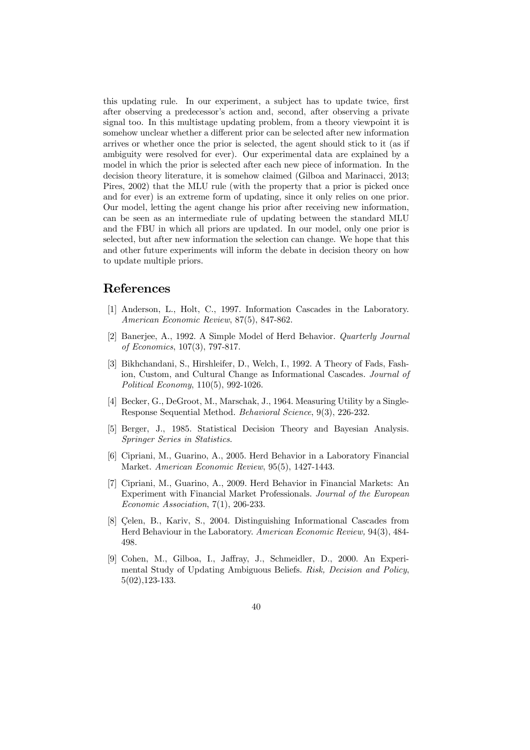this updating rule. In our experiment, a subject has to update twice, first after observing a predecessor's action and, second, after observing a private signal too. In this multistage updating problem, from a theory viewpoint it is somehow unclear whether a different prior can be selected after new information arrives or whether once the prior is selected, the agent should stick to it (as if ambiguity were resolved for ever). Our experimental data are explained by a model in which the prior is selected after each new piece of information. In the decision theory literature, it is somehow claimed (Gilboa and Marinacci, 2013; Pires, 2002) that the MLU rule (with the property that a prior is picked once and for ever) is an extreme form of updating, since it only relies on one prior. Our model, letting the agent change his prior after receiving new information, can be seen as an intermediate rule of updating between the standard MLU and the FBU in which all priors are updated. In our model, only one prior is selected, but after new information the selection can change. We hope that this and other future experiments will inform the debate in decision theory on how to update multiple priors.

### References

- [1] Anderson, L., Holt, C., 1997. Information Cascades in the Laboratory. *American Economic Review*, 87(5), 847-862.
- [2] Banerjee, A., 1992. A Simple Model of Herd Behavior. *Quarterly Journal of Economics*, 107(3), 797-817.
- [3] Bikhchandani, S., Hirshleifer, D., Welch, I., 1992. A Theory of Fads, Fashion, Custom, and Cultural Change as Informational Cascades. *Journal of Political Economy*, 110(5), 992-1026.
- [4] Becker, G., DeGroot, M., Marschak, J., 1964. Measuring Utility by a Single-Response Sequential Method. *Behavioral Science*, 9(3), 226-232.
- [5] Berger, J., 1985. Statistical Decision Theory and Bayesian Analysis. *Springer Series in Statistics*.
- [6] Cipriani, M., Guarino, A., 2005. Herd Behavior in a Laboratory Financial Market. *American Economic Review*, 95(5), 1427-1443.
- [7] Cipriani, M., Guarino, A., 2009. Herd Behavior in Financial Markets: An Experiment with Financial Market Professionals. *Journal of the European Economic Association*, 7(1), 206-233.
- [8] Çelen, B., Kariv, S., 2004. Distinguishing Informational Cascades from Herd Behaviour in the Laboratory. *American Economic Review,* 94(3), 484- 498.
- [9] Cohen, M., Gilboa, I., Jaffray, J., Schmeidler, D., 2000. An Experimental Study of Updating Ambiguous Beliefs. *Risk, Decision and Policy*, 5(02),123-133.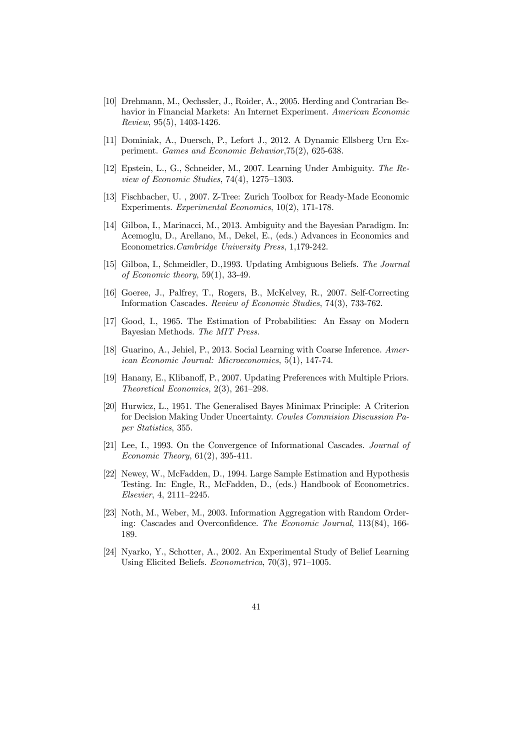- [10] Drehmann, M., Oechssler, J., Roider, A., 2005. Herding and Contrarian Behavior in Financial Markets: An Internet Experiment. *American Economic Review*, 95(5), 1403-1426.
- [11] Dominiak, A., Duersch, P., Lefort J., 2012. A Dynamic Ellsberg Urn Experiment. *Games and Economic Behavior*,75(2), 625-638.
- [12] Epstein, L., G., Schneider, M., 2007. Learning Under Ambiguity. *The Review of Economic Studies*, 74(4), 1275–1303.
- [13] Fischbacher, U. , 2007. Z-Tree: Zurich Toolbox for Ready-Made Economic Experiments. *Experimental Economics*, 10(2), 171-178.
- [14] Gilboa, I., Marinacci, M., 2013. Ambiguity and the Bayesian Paradigm. In: Acemoglu, D., Arellano, M., Dekel, E., (eds.) Advances in Economics and Econometrics.*Cambridge University Press*, 1,179-242.
- [15] Gilboa, I., Schmeidler, D.,1993. Updating Ambiguous Beliefs. *The Journal of Economic theory*, 59(1), 33-49.
- [16] Goeree, J., Palfrey, T., Rogers, B., McKelvey, R., 2007. Self-Correcting Information Cascades. *Review of Economic Studies*, 74(3), 733-762.
- [17] Good, I., 1965. The Estimation of Probabilities: An Essay on Modern Bayesian Methods. *The MIT Press*.
- [18] Guarino, A., Jehiel, P., 2013. Social Learning with Coarse Inference. *American Economic Journal: Microeconomics*, 5(1), 147-74.
- [19] Hanany, E., Klibanoff, P., 2007. Updating Preferences with Multiple Priors. *Theoretical Economics*, 2(3), 261–298.
- [20] Hurwicz, L., 1951. The Generalised Bayes Minimax Principle: A Criterion for Decision Making Under Uncertainty. *Cowles Commision Discussion Paper Statistics*, 355.
- [21] Lee, I., 1993. On the Convergence of Informational Cascades. *Journal of Economic Theory*, 61(2), 395-411.
- [22] Newey, W., McFadden, D., 1994. Large Sample Estimation and Hypothesis Testing. In: Engle, R., McFadden, D., (eds.) Handbook of Econometrics*. Elsevier*, 4, 2111–2245.
- [23] Noth, M., Weber, M., 2003. Information Aggregation with Random Ordering: Cascades and Overconfidence. *The Economic Journal*, 113(84), 166-189.
- [24] Nyarko, Y., Schotter, A., 2002. An Experimental Study of Belief Learning Using Elicited Beliefs. *Econometrica*, 70(3), 971–1005.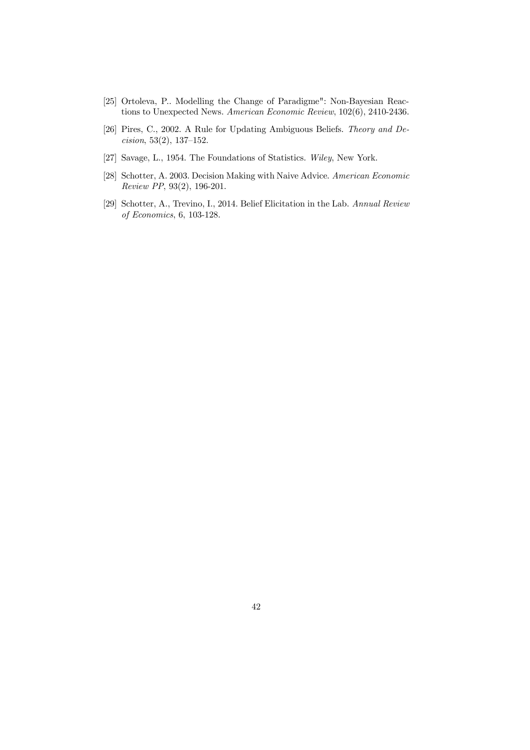- [25] Ortoleva, P.. Modelling the Change of Paradigme": Non-Bayesian Reactions to Unexpected News. *American Economic Review*, 102(6), 2410-2436.
- [26] Pires, C., 2002. A Rule for Updating Ambiguous Beliefs. *Theory and Decision*, 53(2), 137–152.
- [27] Savage, L., 1954. The Foundations of Statistics. *Wiley*, New York.
- [28] Schotter, A. 2003. Decision Making with Naive Advice. *American Economic Review PP*, 93(2), 196-201.
- [29] Schotter, A., Trevino, I., 2014. Belief Elicitation in the Lab. *Annual Review of Economics*, 6, 103-128.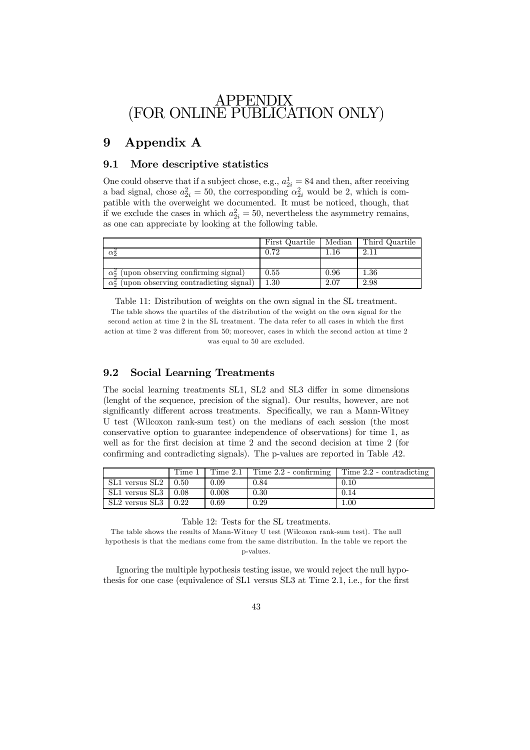## APPENDIX (FOR ONLINE PUBLICATION ONLY)

# 9 Appendix A

### 9.1 More descriptive statistics

One could observe that if a subject chose, e.g.,  $a_{2i}^1 = 84$  and then, after receiving a bad signal, chose  $a_{2i}^2 = 50$ , the corresponding  $\alpha_{2i}^2$  would be 2, which is compatible with the overweight we documented. It must be noticed, though, that if we exclude the cases in which  $a_{2i}^2 = 50$ , nevertheless the asymmetry remains, as one can appreciate by looking at the following table.

|                                                       | First Quartile | Median | Third Quartile |
|-------------------------------------------------------|----------------|--------|----------------|
| $\alpha$ <sub>2</sub>                                 | 0.72           | . . 16 | $2.1^{\circ}$  |
|                                                       |                |        |                |
| $\alpha_2^2$ (upon observing confirming signal)       | 0.55           | 0.96   | $1.36\,$       |
| (upon observing contradicting signal)<br>$\alpha_2^2$ | $1.30\,$       | 2.07   | 2.98           |

Table 11: Distribution of weights on the own signal in the SL treatment. The table shows the quartiles of the distribution of the weight on the own signal for the second action at time 2 in the SL treatment. The data refer to all cases in which the first action at time 2 was different from 50; moreover, cases in which the second action at time 2 was equal to 50 are excluded.

### 9.2 Social Learning Treatments

The social learning treatments SL1, SL2 and SL3 differ in some dimensions (lenght of the sequence, precision of the signal). Our results, however, are not significantly different across treatments. Specifically, we ran a Mann-Witney U test (Wilcoxon rank-sum test) on the medians of each session (the most conservative option to guarantee independence of observations) for time 1, as well as for the first decision at time 2 and the second decision at time 2 (for confirming and contradicting signals). The p-values are reported in Table  $A2$ .

|                            | Time 1 |          | Time $2.1$   Time $2.2$ - confirming | $\mid$ Time 2.2 - contradicting |
|----------------------------|--------|----------|--------------------------------------|---------------------------------|
| SL1 versus SL2 $\mid$ 0.50 |        | 0.09     | 0.84                                 | 0.10                            |
| $SL1$ versus $SL3$   0.08  |        | 0.008    | 0.30                                 | 0.14                            |
| $SL2$ versus $SL3$         | 0.22   | $0.69\,$ | 0.29                                 | 1.00                            |

Table 12: Tests for the SL treatments.

The table shows the results of Mann-Witney U test (Wilcoxon rank-sum test). The null hypothesis is that the medians come from the same distribution. In the table we report the p-values.

Ignoring the multiple hypothesis testing issue, we would reject the null hypothesis for one case (equivalence of  $SL1$  versus  $SL3$  at Time 2.1, i.e., for the first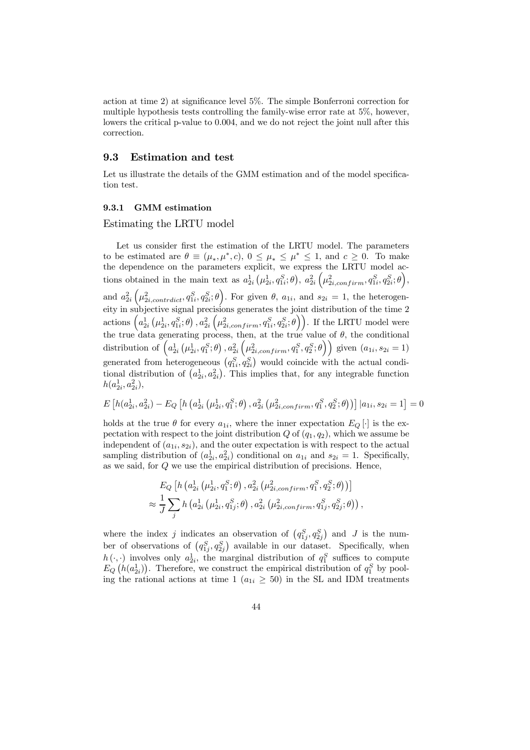action at time 2) at significance level  $5\%$ . The simple Bonferroni correction for multiple hypothesis tests controlling the family-wise error rate at 5%, however, lowers the critical p-value to 0.004, and we do not reject the joint null after this correction.

### 9.3 Estimation and test

Let us illustrate the details of the GMM estimation and of the model specification test.

#### 9.3.1 GMM estimation

Estimating the LRTU model

Let us consider first the estimation of the LRTU model. The parameters to be estimated are  $\theta \equiv (\mu_*, \mu^*, c), 0 \leq \mu_* \leq \mu^* \leq 1$ , and  $c \geq 0$ . To make the dependence on the parameters explicit, we express the LRTU model actions obtained in the main text as  $a_{2i}^1(\mu_{2i}^1, q_{1i}^S; \theta)$ ,  $a_{2i}^2(\mu_{2i,confirm}^2, q_{1i}^S, q_{2i}^S; \theta)$ , and  $a_{2i}^2\left(\mu_{2i,contract}^2, q_{1i}^S, q_{2i}^S; \theta\right)$ . For given  $\theta$ ,  $a_{1i}$ , and  $s_{2i} = 1$ , the heterogeneity in subjective signal precisions generates the joint distribution of the time 2 actions  $\left(a_{2i}^1\left(\mu_{2i}^1, q_{1i}^S; \theta\right), a_{2i}^2\left(\mu_{2i,confirm}^2, q_{1i}^S, q_{2i}^S; \theta\right)\right)$ . If the LRTU model were the true data generating process, then, at the true value of  $\theta$ , the conditional distribution of  $(a_{2i}^1 (\mu_{2i}^1, q_1^S; \theta), a_{2i}^2 (\mu_{2i, confirm}^2, q_1^S; \theta))$  given  $(a_{1i}, s_{2i} = 1)$ generated from heterogeneous  $(q_{1i}^S, q_{2i}^S)$  would coincide with the actual conditional distribution of  $(a_{2i}^1, a_{2i}^2)$ . This implies that, for any integrable function  $h(a_{2i}^1, a_{2i}^2),$ 

$$
E\left[h(a_{2i}^{1}, a_{2i}^{2}) - E_Q\left[h\left(a_{2i}^{1} \left(\mu_{2i}^{1}, q_1^{S}; \theta\right), a_{2i}^{2} \left(\mu_{2i, confirm}^{2}, q_1^{S}, q_2^{S}; \theta\right)\right)\right]|a_{1i}, s_{2i} = 1\right] = 0
$$

holds at the true  $\theta$  for every  $a_{1i}$ , where the inner expectation  $E_Q[\cdot]$  is the expectation with respect to the joint distribution  $Q$  of  $(q_1, q_2)$ , which we assume be independent of  $(a_{1i}, s_{2i})$ , and the outer expectation is with respect to the actual sampling distribution of  $(a_{2i}^1, a_{2i}^2)$  conditional on  $a_{1i}$  and  $s_{2i} = 1$ . Specifically, as we said, for  $Q$  we use the empirical distribution of precisions. Hence,

$$
E_Q\left[h\left(a_{2i}^1\left(\mu_{2i}^1, q_1^S; \theta\right), a_{2i}^2\left(\mu_{2i, confirm}^2, q_1^S; \theta\right)\right)\right] \\
\approx \frac{1}{J} \sum_j h\left(a_{2i}^1\left(\mu_{2i}^1, q_{1j}^S; \theta\right), a_{2i}^2\left(\mu_{2i, confirm}^2, q_{1j}^S; q_{2j}^S; \theta\right)\right),
$$

where the index j indicates an observation of  $(q_{1j}^S, q_{2j}^S)$  and J is the number of observations of  $(q_{1j}^S, q_{2j}^S)$  available in our dataset. Specifically, when  $h(\cdot, \cdot)$  involves only  $a_{2i}^1$ , the marginal distribution of  $q_1^S$  suffices to compute  $E_Q(n(a_{2i}^1))$ . Therefore, we construct the empirical distribution of  $q_1^S$  by pooling the rational actions at time 1  $(a_{1i} \geq 50)$  in the SL and IDM treatments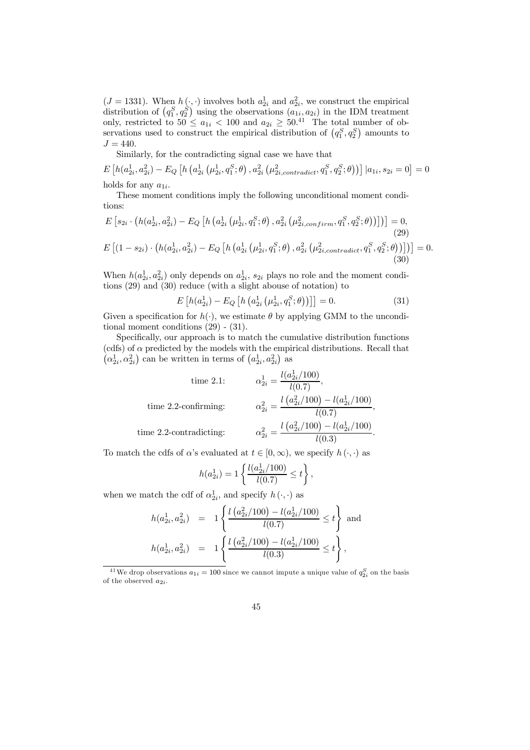$(J = 1331)$ . When  $h(\cdot, \cdot)$  involves both  $a_{2i}^1$  and  $a_{2i}^2$ , we construct the empirical distribution of  $(q_1^S, q_2^S)$  using the observations  $(a_{1i}, a_{2i})$  in the IDM treatment only, restricted to  $50 \le a_{1i} < 100$  and  $a_{2i} \ge 50^{41}$  The total number of observations used to construct the empirical distribution of  $(q_1^S, q_2^S)$  amounts to  $J = 440.$ 

Similarly, for the contradicting signal case we have that

 $E\left[h(a_{2i}^{1},a_{2i}^{2})-E_{Q}\left[h\left(a_{2i}^{1}\left(\mu_{2i}^{1},q_{1}^{S};\theta\right),a_{2i}^{2}\left(\mu_{2i,contract}^{2},q_{1}^{S},q_{2}^{S};\theta\right)\right)\right]|a_{1i},s_{2i}=0\right]=0$ holds for any  $a_{1i}$ .

These moment conditions imply the following unconditional moment conditions:

$$
E\left[s_{2i} \cdot \left(h(a_{2i}^1, a_{2i}^2) - E_Q\left[h\left(a_{2i}^1\left(\mu_{2i}^1, q_1^S; \theta\right), a_{2i}^2\left(\mu_{2i,confirm}^2, q_1^S; \theta\right)\right)\right]\right)\right] = 0,
$$
\n(29)  
\n
$$
E\left[\left(1 - s_{2i}\right) \cdot \left(h(a_{2i}^1, a_{2i}^2) - E_Q\left[h\left(a_{2i}^1\left(\mu_{2i}^1, q_1^S; \theta\right), a_{2i}^2\left(\mu_{2i,contract}^2, q_1^S; \theta\right)\right)\right]\right)\right] = 0.
$$
\n(30)

When  $h(a_{2i}^1, a_{2i}^2)$  only depends on  $a_{2i}^1$ ,  $s_{2i}$  plays no role and the moment conditions (29) and (30) reduce (with a slight abouse of notation) to

$$
E\left[h(a_{2i}^1) - E_Q\left[h\left(a_{2i}^1\left(\mu_{2i}^1, q_1^S; \theta\right)\right)\right]\right] = 0.
$$
\n(31)

Given a specification for  $h(\cdot)$ , we estimate  $\theta$  by applying GMM to the unconditional moment conditions (29) - (31).

Specifically, our approach is to match the cumulative distribution functions (cdfs) of  $\alpha$  predicted by the models with the empirical distributions. Recall that  $(\alpha_{2i}^1, \alpha_{2i}^2)$  can be written in terms of  $(a_{2i}^1, a_{2i}^2)$  as

time 2.1: 
$$
\alpha_{2i}^{1} = \frac{l(a_{2i}^{1}/100)}{l(0.7)},
$$
  
time 2.2-confirming: 
$$
\alpha_{2i}^{2} = \frac{l(a_{2i}^{2}/100) - l(a_{2i}^{1}/100)}{l(0.7)},
$$
  
time 2.2-contradicting: 
$$
\alpha_{2i}^{2} = \frac{l(a_{2i}^{2}/100) - l(a_{2i}^{1}/100)}{l(0.3)}.
$$

To match the cdfs of  $\alpha$ 's evaluated at  $t \in [0,\infty)$ , we specify  $h(\cdot, \cdot)$  as

$$
h(a_{2i}^1) = 1 \left\{ \frac{l(a_{2i}^1/100)}{l(0.7)} \le t \right\},\,
$$

when we match the cdf of  $\alpha_{2i}^1$ , and specify  $h(\cdot, \cdot)$  as

$$
h(a_{2i}^1, a_{2i}^2) = 1 \left\{ \frac{l\left(a_{2i}^2/100\right) - l(a_{2i}^1/100)}{l(0.7)} \le t \right\} \text{ and}
$$
  

$$
h(a_{2i}^1, a_{2i}^2) = 1 \left\{ \frac{l\left(a_{2i}^2/100\right) - l(a_{2i}^1/100)}{l(0.3)} \le t \right\},
$$

<sup>&</sup>lt;sup>41</sup>We drop observations  $a_{1i} = 100$  since we cannot impute a unique value of  $q_{2i}^S$  on the basis of the observed  $a_{2i}$ .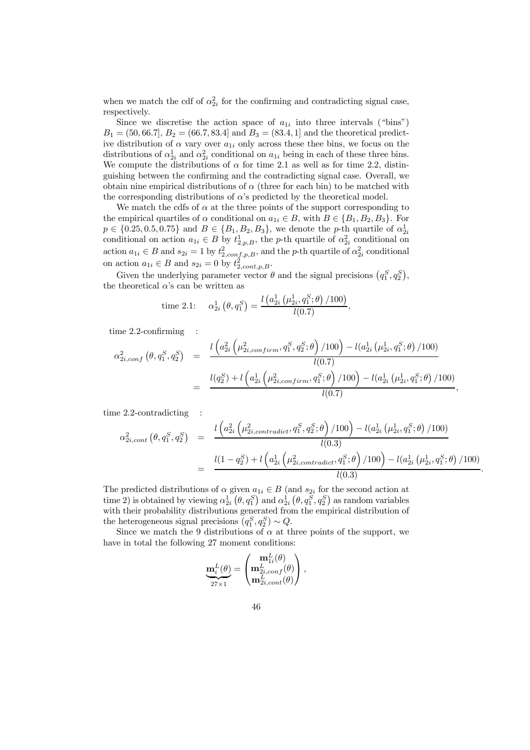when we match the cdf of  $\alpha_{2i}^2$  for the confirming and contradicting signal case, respectively.

Since we discretise the action space of  $a_{1i}$  into three intervals ("bins")  $B_1 = (50, 66.7], B_2 = (66.7, 83.4]$  and  $B_3 = (83.4, 1]$  and the theoretical predictive distribution of  $\alpha$  vary over  $a_{1i}$  only across these thee bins, we focus on the distributions of  $\alpha_{2i}^1$  and  $\alpha_{2i}^2$  conditional on  $a_{1i}$  being in each of these three bins. We compute the distributions of  $\alpha$  for time 2.1 as well as for time 2.2, distinguishing between the confirming and the contradicting signal case. Overall, we obtain nine empirical distributions of  $\alpha$  (three for each bin) to be matched with the corresponding distributions of  $\alpha$ 's predicted by the theoretical model.

We match the cdfs of  $\alpha$  at the three points of the support corresponding to the empirical quartiles of  $\alpha$  conditional on  $a_{1i} \in B$ , with  $B \in \{B_1, B_2, B_3\}$ . For  $p \in \{0.25, 0.5, 0.75\}$  and  $B \in \{B_1, B_2, B_3\}$ , we denote the *p*-th quartile of  $\alpha_{2i}^1$  conditional on action  $a_{1i} \in B$  by  $t_{2,p,B}^1$ , the *p*-th quartile of  $\alpha_{2i}^2$  conditional on action  $a_{1i} \in B$  and  $s_{2i} = 1$  by  $t_{2, conf,p,B}^2$ , and the *p*-th quartile of  $\alpha_{2i}^2$  conditional on action  $a_{1i} \in B$  and  $s_{2i} = 0$  by  $t_{2, cont, p, B}^2$ .

Given the underlying parameter vector  $\theta$  and the signal precisions  $(q_1^S, q_2^S)$ , the theoretical  $\alpha$ 's can be written as

time 2.1: 
$$
\alpha_{2i}^1(\theta, q_1^S) = \frac{l(a_{2i}^1(\mu_{2i}^1, q_1^S; \theta) / 100)}{l(0.7)},
$$

 $time 2.2$ -confirming :

$$
\alpha_{2i,conf}^{2}(\theta, q_{1}^{S}, q_{2}^{S}) = \frac{l\left(a_{2i}^{2}\left(\mu_{2i,confirm}^{2}, q_{1}^{S}, q_{2}^{S}; \theta\right)/100\right) - l(a_{2i}^{1}\left(\mu_{2i}^{1}, q_{1}^{S}; \theta\right)/100\right)}{l(0.7)}
$$
  
= 
$$
\frac{l(q_{2}^{S}) + l\left(a_{2i}^{1}\left(\mu_{2i, confirm}^{2}, q_{1}^{S}; \theta\right)/100\right) - l(a_{2i}^{1}\left(\mu_{2i}^{1}, q_{1}^{S}; \theta\right)/100\right)}{l(0.7)},
$$

time 2.2-contradicting :

$$
\alpha_{2i,cont}^{2}(\theta, q_{1}^{S}, q_{2}^{S}) = \frac{l\left(a_{2i}^{2}\left(\mu_{2i,contract}^{2}, q_{1}^{S}, q_{2}^{S}; \theta\right) / 100\right) - l(a_{2i}^{1}\left(\mu_{2i}^{1}, q_{1}^{S}; \theta\right) / 100)}{l(0.3)}
$$
  
= 
$$
\frac{l(1 - q_{2}^{S}) + l\left(a_{2i}^{1}\left(\mu_{2i,contract}^{2}, q_{1}^{S}; \theta\right) / 100\right) - l(a_{2i}^{1}\left(\mu_{2i}^{1}, q_{1}^{S}; \theta\right) / 100)}{l(0.3)}.
$$

The predicted distributions of  $\alpha$  given  $a_{1i} \in B$  (and  $s_{2i}$  for the second action at time 2) is obtained by viewing  $\alpha_{2i}^1(\theta, q_1^S)$  and  $\alpha_{2i}^1(\theta, q_1^S, q_2^S)$  as random variables with their probability distributions generated from the empirical distribution of the heterogeneous signal precisions  $(q_1^S, q_2^S) \sim Q$ .

Since we match the 9 distributions of  $\alpha$  at three points of the support, we have in total the following 27 moment conditions:

$$
\underbrace{\mathbf{m}_i^L(\theta)}_{27\times 1} = \begin{pmatrix} \mathbf{m}_{1i}^L(\theta) \\ \mathbf{m}_{2i,conf}^L(\theta) \\ \mathbf{m}_{2i,cont}^L(\theta) \end{pmatrix},
$$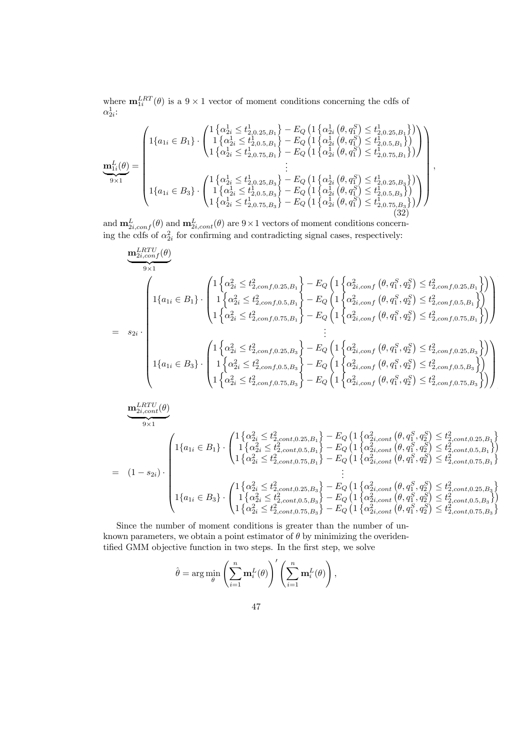where  $\mathbf{m}_{1i}^{LRT}(\theta)$  is a  $9 \times 1$  vector of moment conditions concerning the cdfs of  $\alpha_{2i}^1$ :

$$
\mathbf{m}_{1i}^{L}(\theta) = \begin{pmatrix} 1\left\{a_{1i} \in B_{1}\right\} \cdot \begin{pmatrix} 1\left\{a_{2i}^{1} \leq t_{2,0.25,B_{1}}^{1}\right\} - E_{Q} \left(1\left\{a_{2i}^{1} \left(\theta, q_{1}^{S}\right) \leq t_{2,0.25,B_{1}}^{1}\right\}\right) \\ 1\left\{a_{2i}^{1} \leq t_{2,0.5,B_{1}}^{1}\right\} - E_{Q} \left(1\left\{a_{2i}^{1} \left(\theta, q_{1}^{S}\right) \leq t_{2,0.5,B_{1}}^{1}\right\}\right) \\ 1\left\{a_{2i}^{1} \leq t_{2,0.75,B_{1}}^{1}\right\} - E_{Q} \left(1\left\{a_{2i}^{1} \left(\theta, q_{1}^{S}\right) \leq t_{2,0.75,B_{1}}^{1}\right\}\right)\right) \\ \vdots \\ \mathbf{m}_{1i}^{L}(\theta) = \begin{pmatrix} 1\left\{a_{1i}^{1} \in B_{3}\right\} \cdot \begin{pmatrix} 1\left\{a_{2i}^{1} \leq t_{2,0.25,B_{3}}^{1}\right\} - E_{Q} \left(1\left\{a_{2i}^{1} \left(\theta, q_{1}^{S}\right) \leq t_{2,0.75,B_{1}}^{1}\right\}\right) \end{pmatrix} \\ \vdots \\ 1\left\{a_{1i} \in B_{3}\right\} \cdot \begin{pmatrix} 1\left\{a_{2i}^{1} \leq t_{2,0.25,B_{3}}^{1}\right\} - E_{Q} \left(1\left\{a_{2i}^{1} \left(\theta, q_{1}^{S}\right) \leq t_{2,0.25,B_{3}}^{1}\right\}\right) \\ 1\left\{a_{2i}^{1} \leq t_{2,0.75,B_{3}}^{1}\right\} - E_{Q} \left(1\left\{a_{2i}^{1} \left(\theta, q_{1}^{S}\right) \leq t_{2,0.5,B_{3}}^{1}\right\}\right) \end{pmatrix} \end{pmatrix} \end{pmatrix} \tag{32}
$$

and  $\mathbf{m}_{2i,conf}^{L}(\theta)$  and  $\mathbf{m}_{2i,cont}^{L}(\theta)$  are  $9\times1$  vectors of moment conditions concerning the cdfs of  $\alpha_{2i}^2$  for confirming and contradicting signal cases, respectively:

$$
\underbrace{\mathbf{m}_{2i,conf}^{LRTU}(\theta)}_{9\times 1}
$$
\n
$$
= s_{2i} \cdot \left(\begin{array}{c} 1 \left\{\alpha_{2i}^{2} \leq t_{2,conf,0.25,B_{1}}^{2}\right\} - E_{Q} \left(1 \left\{\alpha_{2i,conf}^{2}, \theta_{1}^{S}\right\} \leq t_{2,conf,0.25,B_{1}}^{2}\right\} \right) \\ 1 \left\{\alpha_{1i} \in B_{1}\right\} \cdot \left(\begin{array}{c} 1 \left\{\alpha_{2i}^{2} \leq t_{2,conf,0.5,B_{1}}^{2}\right\} - E_{Q} \left(1 \left\{\alpha_{2i,conf}^{2}, \theta_{1}^{S}\right\} \leq t_{2,conf,0.5,B_{1}}^{2}\right\} \right) \\ 1 \left\{\alpha_{2i}^{2} \leq t_{2,conf,0.75,B_{1}}^{2}\right\} - E_{Q} \left(1 \left\{\alpha_{2i,conf}^{2}, \theta_{1}^{S}\right\} \leq t_{2,conf,0.75,B_{1}}^{2}\right\} \right) \right) \\ \vdots \\ 1 \left\{\alpha_{1i} \in B_{3}\right\} \cdot \left(\begin{array}{c} 1 \left\{\alpha_{2i}^{2} \leq t_{2,conf,0.25,B_{3}}^{2}\right\} - E_{Q} \left(1 \left\{\alpha_{2i,conf}^{2}, \theta_{1}^{S}\right\} \leq t_{2,conf,0.25,B_{3}}^{2}\right\} \right) \\ 1 \left\{\alpha_{1i} \in B_{3}\right\} \cdot \left(\begin{array}{c} 1 \left\{\alpha_{2i}^{2} \leq t_{2,conf,0.25,B_{3}}^{2}\right\} - E_{Q} \left(1 \left\{\alpha_{2i,conf}^{2}, \theta_{1}^{S}\right\} \leq t_{2,conf,0.25,B_{3}}^{2}\right\} \right) \\ 1 \left\{\alpha_{2i}^{2} \leq t_{2,conf,0.5,B_{3}}^{2}\right\} - E_{Q} \left(1 \left\{\alpha_{2i,conf}^{2}, \theta_{1}^{S}\right\} \leq t_{2,conf,0.75,B_{3}}^{2}\right\} \right) \right) \\ \underbrace{\mathbf{m}_{2i,conf}^{LRT
$$

,

$$
= (1 - s_{2i}) \cdot \begin{pmatrix} 1\left\{\alpha_{1i} \in B_{1}\right\} \cdot \begin{pmatrix} 1\left\{\alpha_{2i}^{2} \leq t_{2,cont,0.25,B_{1}}^{2}\right\} - E_{Q} \left(1\left\{\alpha_{2i,cont}^{2}\left(\theta, q_{1}^{S}, q_{2}^{S}\right) \leq t_{2,cont,0.25,B_{1}}^{2}\right\} \\ 1\left\{\alpha_{2i}^{2} \leq t_{2,cont,0.5,B_{1}}^{2}\right\} - E_{Q} \left(1\left\{\alpha_{2i,cont}^{2}\left(\theta, q_{1}^{S}, q_{2}^{S}\right) \leq t_{2,cont,0.5,B_{1}}^{2}\right\} \right) \\ 1\left\{\alpha_{2i}^{2} \leq t_{2,cont,0.75,B_{1}}^{2}\right\} - E_{Q} \left(1\left\{\alpha_{2i,cont}^{2}\left(\theta, q_{1}^{S}, q_{2}^{S}\right) \leq t_{2,cont,0.5,B_{1}}^{2}\right\} \right) \\ \vdots \\ \frac{1}{2} \cdot \begin{pmatrix} 1\left\{\alpha_{2i}^{2} \leq t_{2,cont,0.25,B_{3}}^{2}\right\} - E_{Q} \left(1\left\{\alpha_{2i,cont}^{2}\left(\theta, q_{1}^{S}, q_{2}^{S}\right) \leq t_{2,cont,0.75,B_{1}}^{2}\right\} \\ \vdots \\ 1\left\{\alpha_{1i} \in B_{3}\right\} \cdot \begin{pmatrix} 1\left\{\alpha_{2i}^{2} \leq t_{2,cont,0.25,B_{3}}^{2}\right\} - E_{Q} \left(1\left\{\alpha_{2i,cont}^{2}\left(\theta, q_{1}^{S}, q_{2}^{S}\right) \leq t_{2,cont,0.25,B_{3}}^{2}\right\} \\ 1\left\{\alpha_{2i}^{2} \leq t_{2,cont,0.5,B_{3}}^{2}\right\} - E_{Q} \left(1\left\{\alpha_{2i,cont}^{2}\left(\theta, q_{1}^{S}, q_{2}^{S}\right) \leq t_{2,cont,0.5,B_{3}}^{2}\right\} \right) \end{pmatrix} \end{pmatrix}
$$

Since the number of moment conditions is greater than the number of unknown parameters, we obtain a point estimator of  $\theta$  by minimizing the overidentified GMM objective function in two steps. In the first step, we solve

$$
\hat{\theta} = \arg\min_{\theta} \left( \sum_{i=1}^{n} \mathbf{m}_i^L(\theta) \right)' \left( \sum_{i=1}^{n} \mathbf{m}_i^L(\theta) \right),
$$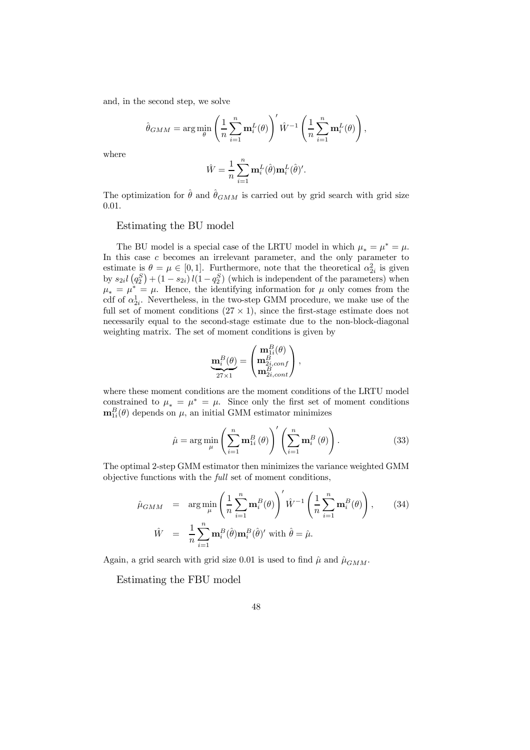and, in the second step, we solve

$$
\hat{\theta}_{GMM} = \arg\min_{\theta} \left( \frac{1}{n} \sum_{i=1}^{n} \mathbf{m}_i^L(\theta) \right)' \hat{W}^{-1} \left( \frac{1}{n} \sum_{i=1}^{n} \mathbf{m}_i^L(\theta) \right),
$$

where

$$
\hat{W} = \frac{1}{n} \sum_{i=1}^{n} \mathbf{m}_i^L(\hat{\theta}) \mathbf{m}_i^L(\hat{\theta})'.
$$

The optimization for  $\hat{\theta}$  and  $\hat{\theta}_{GMM}$  is carried out by grid search with grid size  $0.01.$ 

### Estimating the BU model

The BU model is a special case of the LRTU model in which  $\mu_* = \mu^* = \mu$ . In this case  $c$  becomes an irrelevant parameter, and the only parameter to estimate is  $\theta = \mu \in [0, 1]$ . Furthermore, note that the theoretical  $\alpha_{2i}^2$  is given by  $s_{2i}l(q_2^S) + (1 - s_{2i})l(1 - q_2^S)$  (which is independent of the parameters) when  $\mu_* = \mu^* = \mu$ . Hence, the identifying information for  $\mu$  only comes from the cdf of  $\alpha_{2i}^1$ . Nevertheless, in the two-step GMM procedure, we make use of the full set of moment conditions  $(27 \times 1)$ , since the first-stage estimate does not necessarily equal to the second-stage estimate due to the non-block-diagonal weighting matrix. The set of moment conditions is given by

$$
\underbrace{\mathbf{m}^B_i(\theta)}_{27\times 1} = \begin{pmatrix} \mathbf{m}^B_{1i}(\theta) \\ \mathbf{m}^B_{2i,conf} \\ \mathbf{m}^B_{2i,cont} \end{pmatrix},
$$

where these moment conditions are the moment conditions of the LRTU model constrained to  $\mu_* = \mu^* = \mu$ . Since only the first set of moment conditions  $\mathbf{m}_{1i}^{B}(\theta)$  depends on  $\mu$ , an initial GMM estimator minimizes

$$
\hat{\mu} = \arg\min_{\mu} \left( \sum_{i=1}^{n} \mathbf{m}_{1i}^{B}(\theta) \right)' \left( \sum_{i=1}^{n} \mathbf{m}_{i}^{B}(\theta) \right). \tag{33}
$$

The optimal 2-step GMM estimator then minimizes the variance weighted GMM objective functions with the *full* set of moment conditions,

$$
\hat{\mu}_{GMM} = \arg \min_{\mu} \left( \frac{1}{n} \sum_{i=1}^{n} \mathbf{m}_{i}^{B}(\theta) \right)' \hat{W}^{-1} \left( \frac{1}{n} \sum_{i=1}^{n} \mathbf{m}_{i}^{B}(\theta) \right), \quad (34)
$$
\n
$$
\hat{W} = \frac{1}{n} \sum_{i=1}^{n} \mathbf{m}_{i}^{B}(\hat{\theta}) \mathbf{m}_{i}^{B}(\hat{\theta})' \text{ with } \hat{\theta} = \hat{\mu}.
$$

Again, a grid search with grid size 0.01 is used to find  $\hat{\mu}$  and  $\hat{\mu}_{GMM}$ .

Estimating the FBU model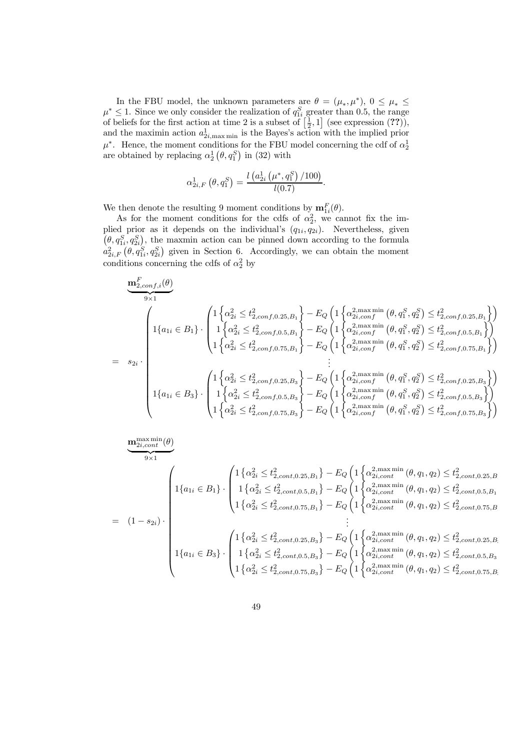In the FBU model, the unknown parameters are  $\theta = (\mu_*, \mu^*), 0 \le \mu_* \le$  $\mu^* \leq 1$ . Since we only consider the realization of  $q_{1i}^S$  greater than 0.5, the range of beliefs for the first action at time 2 is a subset of  $\left[\frac{1}{2},1\right]$  (see expression (??)), and the maximin action  $a_{2i,\text{max min}}^1$  is the Bayes's action with the implied prior  $\mu^*$ . Hence, the moment conditions for the FBU model concerning the cdf of  $\alpha_2^1$ are obtained by replacing  $\alpha_2^1(\theta, q_1^S)$  in (32) with

$$
\alpha_{2i,F}^1(\theta, q_1^S) = \frac{l\left(a_{2i}^1(\mu^*, q_1^S)/100\right)}{l(0.7)}.
$$

We then denote the resulting 9 moment conditions by  $\mathbf{m}_{1i}^F(\theta)$ .

As for the moment conditions for the cdfs of  $\alpha_2^2$ , we cannot fix the implied prior as it depends on the individual's  $(q_{1i}, q_{2i})$ . Nevertheless, given  $(\theta, q_{1i}^S, q_{2i}^S)$ , the maxmin action can be pinned down according to the formula  $a_{2i,F}^2(\theta, q_{1i}^S, q_{2i}^S)$  given in Section 6. Accordingly, we can obtain the moment conditions concerning the cdfs of  $\alpha_2^2$  by

$$
\frac{\mathbf{m}_{2,conf,i}^{F}(\theta)}{9 \times 1}
$$
\n
$$
= s_{2i} \cdot \begin{pmatrix}\n1\left\{\alpha_{2i}^{2} \leq t_{2,conf,0.25,B_{1}}^{2}\right\} - E_{Q} \left(1\left\{\alpha_{2i,conf}^{2,\max \min}(\theta, q_{1}^{S}, q_{2}^{S}) \leq t_{2,conf,0.25,B_{1}}^{2}\right\}\right) \\
1\left\{\alpha_{1i} \in B_{1}\right\} \cdot \begin{pmatrix}\n1\left\{\alpha_{2i}^{2} \leq t_{2,conf,0.5,B_{1}}^{2}\right\} - E_{Q} \left(1\left\{\alpha_{2i,conf}^{2,\max \min}(\theta, q_{1}^{S}, q_{2}^{S}) \leq t_{2,conf,0.5,B_{1}}^{2}\right\}\right) \\
1\left\{\alpha_{2i}^{2} \leq t_{2,conf,0.75,B_{1}}^{2}\right\} - E_{Q} \left(1\left\{\alpha_{2i,conf}^{2,\max \min}(\theta, q_{1}^{S}, q_{2}^{S}) \leq t_{2,conf,0.5,B_{1}}^{2}\right\}\right) \\
\vdots \\
1\left\{\alpha_{1i} \in B_{3}\right\} \cdot \begin{pmatrix}\n1\left\{\alpha_{2i}^{2} \leq t_{2,conf,0.25,B_{3}}^{2}\right\} - E_{Q} \left(1\left\{\alpha_{2i,conf}^{2,\max \min}(\theta, q_{1}^{S}, q_{2}^{S}) \leq t_{2,conf,0.75,B_{3}}^{2}\right\}\right) \\
1\left\{\alpha_{1i} \in B_{3}\right\} \cdot \begin{pmatrix}\n1\left\{\alpha_{2i}^{2} \leq t_{2,conf,0.25,B_{3}}^{2}\right\} - E_{Q} \left(1\left\{\alpha_{2i,conf}^{2,\max \min}(\theta, q_{1}^{S}, q_{2}^{S}) \leq t_{2,conf,0.25,B_{3}}^{2}\right\}\right) \\
1\left\{\alpha_{2i}^{2} \leq t_{2,conf,0.5,B_{3}}^{2}\right\} - E_{Q} \left(1\left\{\alpha_{2i,conf}^{2,\max \min}(\theta, q_{1}^{S}, q_{2}^{S}) \leq t_{2,conf,0.5,B_{3}}
$$

$$
\underbrace{\mathbf{m}_{2i,cont}^{\max \min}(\theta)}_{9 \times 1}
$$
\n
$$
= (1 - s_{2i}) \cdot \begin{pmatrix} 1 \{ \alpha_{1i} \in B_1 \} \cdot \begin{pmatrix} 1 \{ \alpha_{2i}^2 \le t_{2,cont, 0.25, B_1}^2 \} - E_Q \left( 1 \{ \alpha_{2i, cont}^{2, \max \min}(\theta, q_1, q_2) \le t_{2,cont, 0.25, B_1}^2 \right) \\ 1 \{ \alpha_{1i} \in B_1 \} \cdot \begin{pmatrix} 1 \{ \alpha_{2i}^2 \le t_{2,cont, 0.5, B_1}^2 \} - E_Q \left( 1 \{ \alpha_{2i, cont}^{2, \max \min}(\theta, q_1, q_2) \le t_{2,cont, 0.5, B_1}^2 \right) \\ 1 \{ \alpha_{2i}^2 \le t_{2, cont, 0.75, B_1}^2 \} - E_Q \left( 1 \{ \alpha_{2i, cont}^{2, \max \min}(\theta, q_1, q_2) \le t_{2, cont, 0.75, B_1}^2 \right) \\ \vdots \\ \frac{1}{2} \cdot \begin{pmatrix} 1 \{ \alpha_{2i}^2 \le t_{2, cont, 0.25, B_3}^2 \} - E_Q \left( 1 \{ \alpha_{2i, cont}^{2, \max \min}(\theta, q_1, q_2) \le t_{2, cont, 0.25, B_1}^2 \right) \\ 1 \{ \alpha_{1i} \in B_3 \} \cdot \begin{pmatrix} 1 \{ \alpha_{2i}^2 \le t_{2, cont, 0.5, B_3}^2 \} - E_Q \left( 1 \{ \alpha_{2i, cont}^{2, \max \min}(\theta, q_1, q_2) \le t_{2, cont, 0.25, B_3}^2 \right) \\ 1 \{ \alpha_{2i}^2 \le t_{2, cont, 0.75, B_3}^2 \} - E_Q \left( 1 \{ \alpha_{2i, cont}^{2, \max \min}(\theta, q_1, q_2) \le t_{2, cont, 0.5, B_3}^2 \right) \end{pmatrix} \end{pmatrix}
$$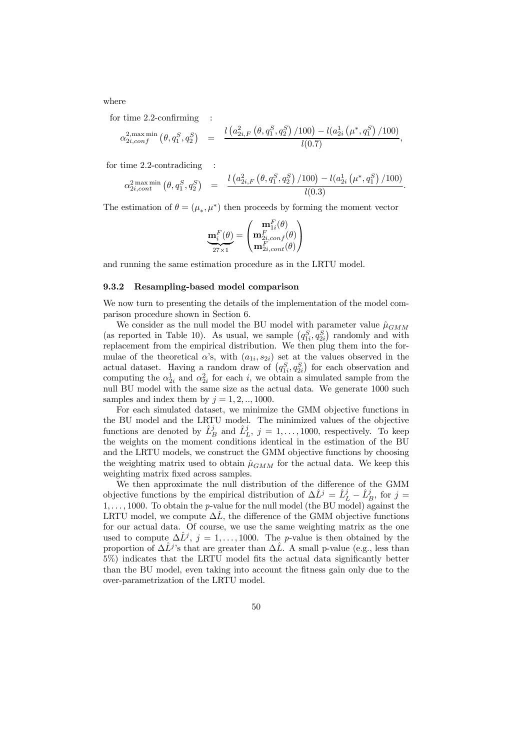where

for time  $2.2$ -confirming

$$
\alpha_{2i,conf}^{2,\max \min}(\theta, q_1^S, q_2^S) = \frac{l\left(a_{2i,F}^2\left(\theta, q_1^S, q_2^S\right)/100\right) - l\left(a_{2i}^1\left(\mu^*, q_1^S\right)/100\right)}{l(0.7)},
$$

for time 2.2-contradicing

$$
\alpha_{2i,cont}^{2\max \min}(\theta, q_1^S, q_2^S) = \frac{l\left(a_{2i, F}^2\left(\theta, q_1^S, q_2^S\right)/100\right) - l\left(a_{2i}^1\left(\mu^*, q_1^S\right)/100\right)}{l(0.3)}.
$$

The estimation of  $\theta = (\mu_*, \mu^*)$  then proceeds by forming the moment vector

$$
\mathbf{m}_i^F(\theta) = \begin{pmatrix} \mathbf{m}_{1i}^F(\theta) \\ \mathbf{m}_{2i,conf}^F(\theta) \\ \mathbf{m}_{2i,cont}^F(\theta) \end{pmatrix}
$$

and running the same estimation procedure as in the LRTU model.

#### 9.3.2 Resampling-based model comparison

We now turn to presenting the details of the implementation of the model comparison procedure shown in Section 6.

We consider as the null model the BU model with parameter value  $\hat{\mu}_{GMM}$ (as reported in Table 10). As usual, we sample  $(q_{1i}^S, q_{2i}^S)$  randomly and with replacement from the empirical distribution. We then plug them into the formulae of the theoretical  $\alpha$ 's, with  $(a_{1i}, s_{2i})$  set at the values observed in the actual dataset. Having a random draw of  $(q_{1i}^S, q_{2i}^S)$  for each observation and computing the  $\alpha_{2i}^1$  and  $\alpha_{2i}^2$  for each i, we obtain a simulated sample from the null BU model with the same size as the actual data. We generate 1000 such samples and index them by  $j = 1, 2, \ldots, 1000$ .

For each simulated dataset, we minimize the GMM objective functions in the BU model and the LRTU model. The minimized values of the objective functions are denoted by  $\hat{L}_{B}^{j}$  and  $\hat{L}_{L}^{j}$ ,  $j = 1, ..., 1000$ , respectively. To keep the weights on the moment conditions identical in the estimation of the BU and the LRTU models, we construct the GMM objective functions by choosing the weighting matrix used to obtain  $\hat{\mu}_{GMM}$  for the actual data. We keep this weighting matrix fixed across samples.

We then approximate the null distribution of the difference of the GMM objective functions by the empirical distribution of  $\Delta \hat{L}^j = \hat{L}^j_L - \hat{L}^j_B$ , for  $j =$  $1, \ldots, 1000$ . To obtain the *p*-value for the null model (the BU model) against the LRTU model, we compute  $\Delta L$ , the difference of the GMM objective functions for our actual data. Of course, we use the same weighting matrix as the one used to compute  $\Delta \hat{L}^j$ ,  $j = 1, \ldots, 1000$ . The *p*-value is then obtained by the proportion of  $\Delta \hat{L}^j$ 's that are greater than  $\Delta \hat{L}$ . A small p-value (e.g., less than  $5\%$ ) indicates that the LRTU model fits the actual data significantly better than the BU model, even taking into account the fitness gain only due to the over-parametrization of the LRTU model.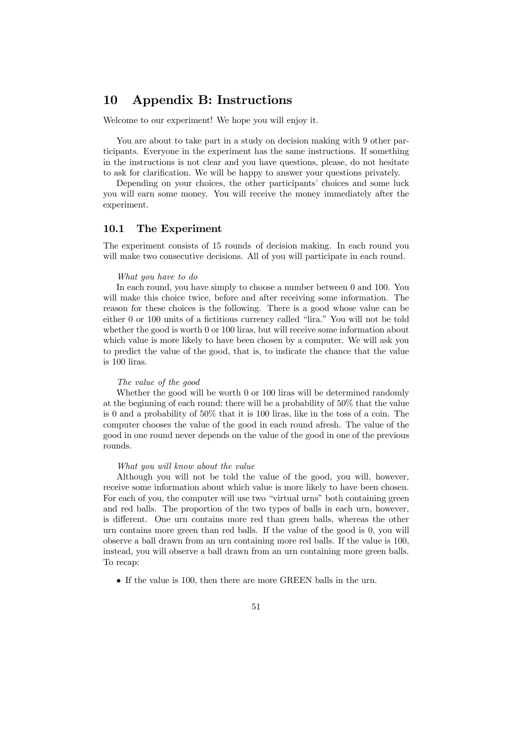### 10 Appendix B: Instructions

Welcome to our experiment! We hope you will enjoy it.

You are about to take part in a study on decision making with 9 other participants. Everyone in the experiment has the same instructions. If something in the instructions is not clear and you have questions, please, do not hesitate to ask for clarification. We will be happy to answer your questions privately.

Depending on your choices, the other participants' choices and some luck you will earn some money. You will receive the money immediately after the experiment.

### 10.1 The Experiment

The experiment consists of 15 rounds of decision making. In each round you will make two consecutive decisions. All of you will participate in each round.

#### *What you have to do*

In each round, you have simply to choose a number between 0 and 100. You will make this choice twice, before and after receiving some information. The reason for these choices is the following. There is a good whose value can be either  $0$  or  $100$  units of a fictitious currency called "lira." You will not be told whether the good is worth 0 or 100 liras, but will receive some information about which value is more likely to have been chosen by a computer. We will ask you to predict the value of the good, that is, to indicate the chance that the value is 100 liras.

#### *The value of the good*

Whether the good will be worth 0 or 100 liras will be determined randomly at the beginning of each round: there will be a probability of 50% that the value is 0 and a probability of 50% that it is 100 liras, like in the toss of a coin. The computer chooses the value of the good in each round afresh. The value of the good in one round never depends on the value of the good in one of the previous rounds.

#### *What you will know about the value*

Although you will not be told the value of the good, you will, however, receive some information about which value is more likely to have been chosen. For each of you, the computer will use two "virtual urns" both containing green and red balls. The proportion of the two types of balls in each urn, however, is different. One urn contains more red than green balls, whereas the other urn contains more green than red balls. If the value of the good is 0, you will observe a ball drawn from an urn containing more red balls. If the value is 100, instead, you will observe a ball drawn from an urn containing more green balls. To recap:

• If the value is 100, then there are more GREEN balls in the urn.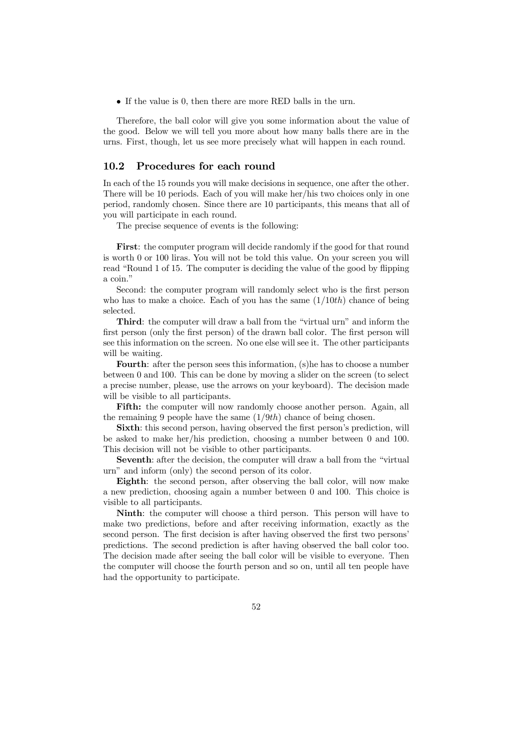• If the value is 0, then there are more RED balls in the urn.

Therefore, the ball color will give you some information about the value of the good. Below we will tell you more about how many balls there are in the urns. First, though, let us see more precisely what will happen in each round.

### 10.2 Procedures for each round

In each of the 15 rounds you will make decisions in sequence, one after the other. There will be 10 periods. Each of you will make her/his two choices only in one period, randomly chosen. Since there are 10 participants, this means that all of you will participate in each round.

The precise sequence of events is the following:

First: the computer program will decide randomly if the good for that round is worth 0 or 100 liras. You will not be told this value. On your screen you will read "Round 1 of 15. The computer is deciding the value of the good by flipping a coin."

Second: the computer program will randomly select who is the first person who has to make a choice. Each of you has the same  $(1/10th)$  chance of being selected.

Third: the computer will draw a ball from the "virtual urn" and inform the first person (only the first person) of the drawn ball color. The first person will see this information on the screen. No one else will see it. The other participants will be waiting.

Fourth: after the person sees this information, (s) he has to choose a number between 0 and 100. This can be done by moving a slider on the screen (to select a precise number, please, use the arrows on your keyboard). The decision made will be visible to all participants.

Fifth: the computer will now randomly choose another person. Again, all the remaining 9 people have the same  $(1/9th)$  chance of being chosen.

Sixth: this second person, having observed the first person's prediction, will be asked to make her/his prediction, choosing a number between 0 and 100. This decision will not be visible to other participants.

Seventh: after the decision, the computer will draw a ball from the "virtual urn" and inform (only) the second person of its color.

Eighth: the second person, after observing the ball color, will now make a new prediction, choosing again a number between 0 and 100. This choice is visible to all participants.

Ninth: the computer will choose a third person. This person will have to make two predictions, before and after receiving information, exactly as the second person. The first decision is after having observed the first two persons' predictions. The second prediction is after having observed the ball color too. The decision made after seeing the ball color will be visible to everyone. Then the computer will choose the fourth person and so on, until all ten people have had the opportunity to participate.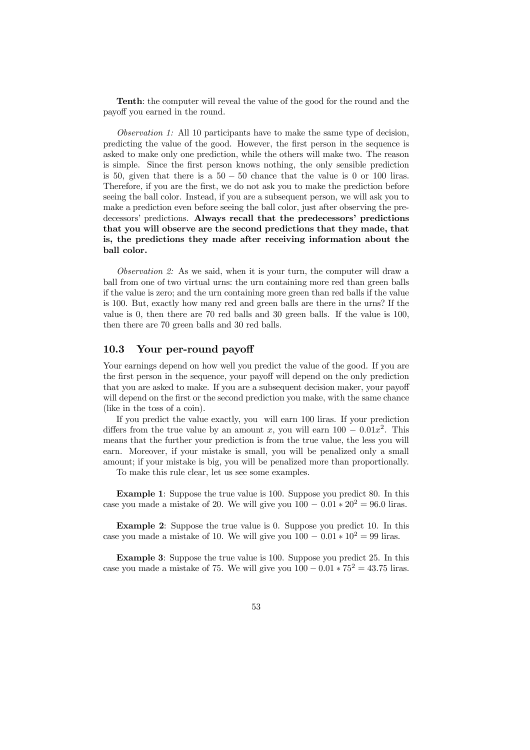Tenth: the computer will reveal the value of the good for the round and the payoff you earned in the round.

*Observation 1:* All 10 participants have to make the same type of decision, predicting the value of the good. However, the first person in the sequence is asked to make only one prediction, while the others will make two. The reason is simple. Since the first person knows nothing, the only sensible prediction is 50, given that there is a  $50 - 50$  chance that the value is 0 or 100 liras. Therefore, if you are the first, we do not ask you to make the prediction before seeing the ball color. Instead, if you are a subsequent person, we will ask you to make a prediction even before seeing the ball color, just after observing the predecessors' predictions. Always recall that the predecessors' predictions that you will observe are the second predictions that they made, that is, the predictions they made after receiving information about the ball color.

*Observation 2:* As we said, when it is your turn, the computer will draw a ball from one of two virtual urns: the urn containing more red than green balls if the value is zero; and the urn containing more green than red balls if the value is 100. But, exactly how many red and green balls are there in the urns? If the value is 0, then there are 70 red balls and 30 green balls. If the value is 100, then there are 70 green balls and 30 red balls.

### 10.3 Your per-round payoff

Your earnings depend on how well you predict the value of the good. If you are the first person in the sequence, your payoff will depend on the only prediction that you are asked to make. If you are a subsequent decision maker, your payoff will depend on the first or the second prediction you make, with the same chance (like in the toss of a coin).

If you predict the value exactly, you will earn 100 liras. If your prediction differs from the true value by an amount x, you will earn  $100 - 0.01x^2$ . This means that the further your prediction is from the true value, the less you will earn. Moreover, if your mistake is small, you will be penalized only a small amount; if your mistake is big, you will be penalized more than proportionally.

To make this rule clear, let us see some examples.

Example 1: Suppose the true value is 100. Suppose you predict 80. In this case you made a mistake of 20. We will give you  $100 - 0.01 * 20^2 = 96.0$  liras.

Example 2: Suppose the true value is 0. Suppose you predict 10. In this case you made a mistake of 10. We will give you  $100 - 0.01 * 10^2 = 99$  liras.

Example 3: Suppose the true value is 100. Suppose you predict 25. In this case you made a mistake of 75. We will give you  $100 - 0.01 * 75^2 = 43.75$  liras.